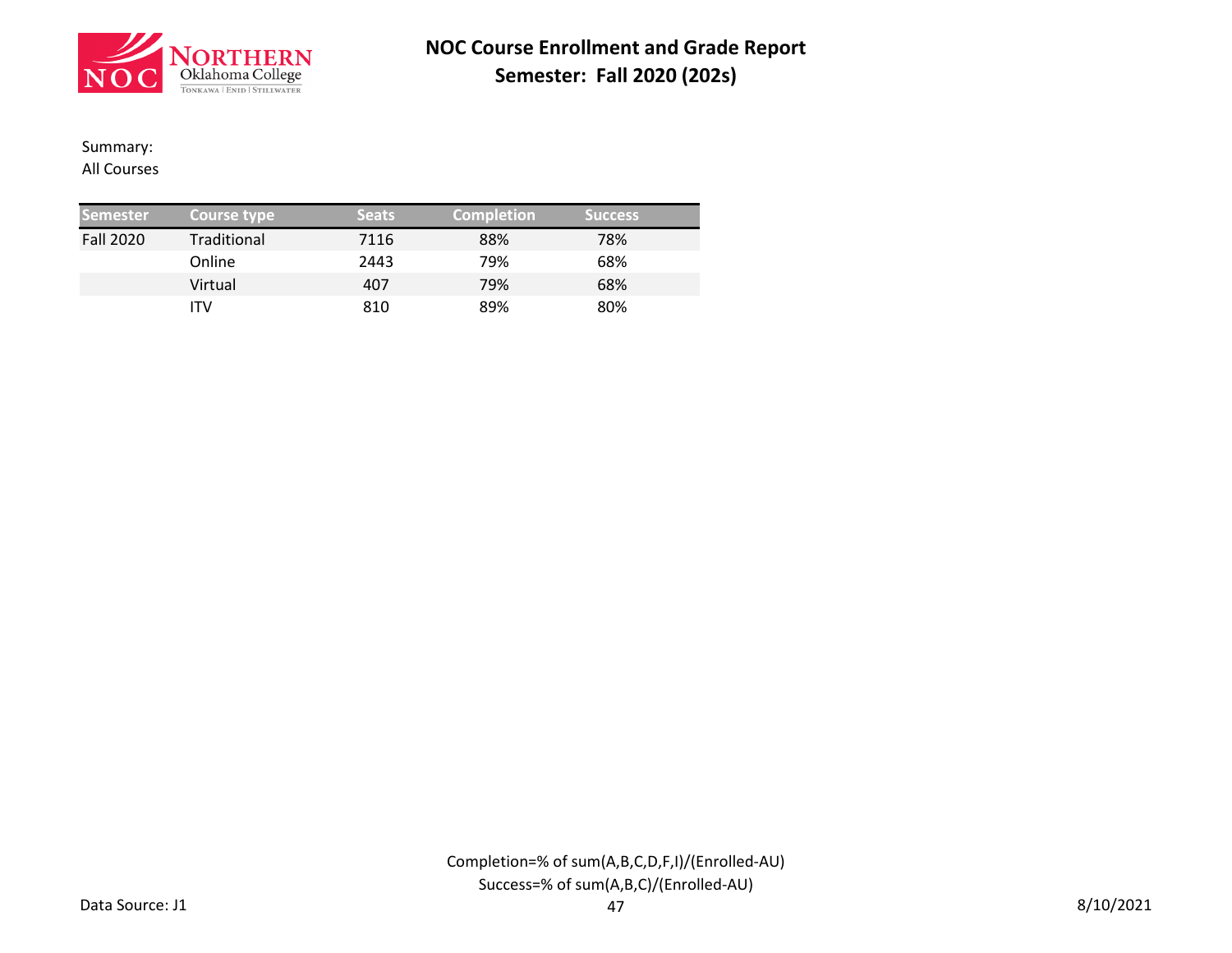

### Summary:

All Courses

| <b>Semester</b>  | Course type | <b>Seats</b> | <b>Completion</b> | <b>Success</b> |  |
|------------------|-------------|--------------|-------------------|----------------|--|
| <b>Fall 2020</b> | Traditional | 7116         | 88%               | 78%            |  |
|                  | Online      | 2443         | 79%               | 68%            |  |
|                  | Virtual     | 407          | 79%               | 68%            |  |
|                  | ITV         | 810          | 89%               | 80%            |  |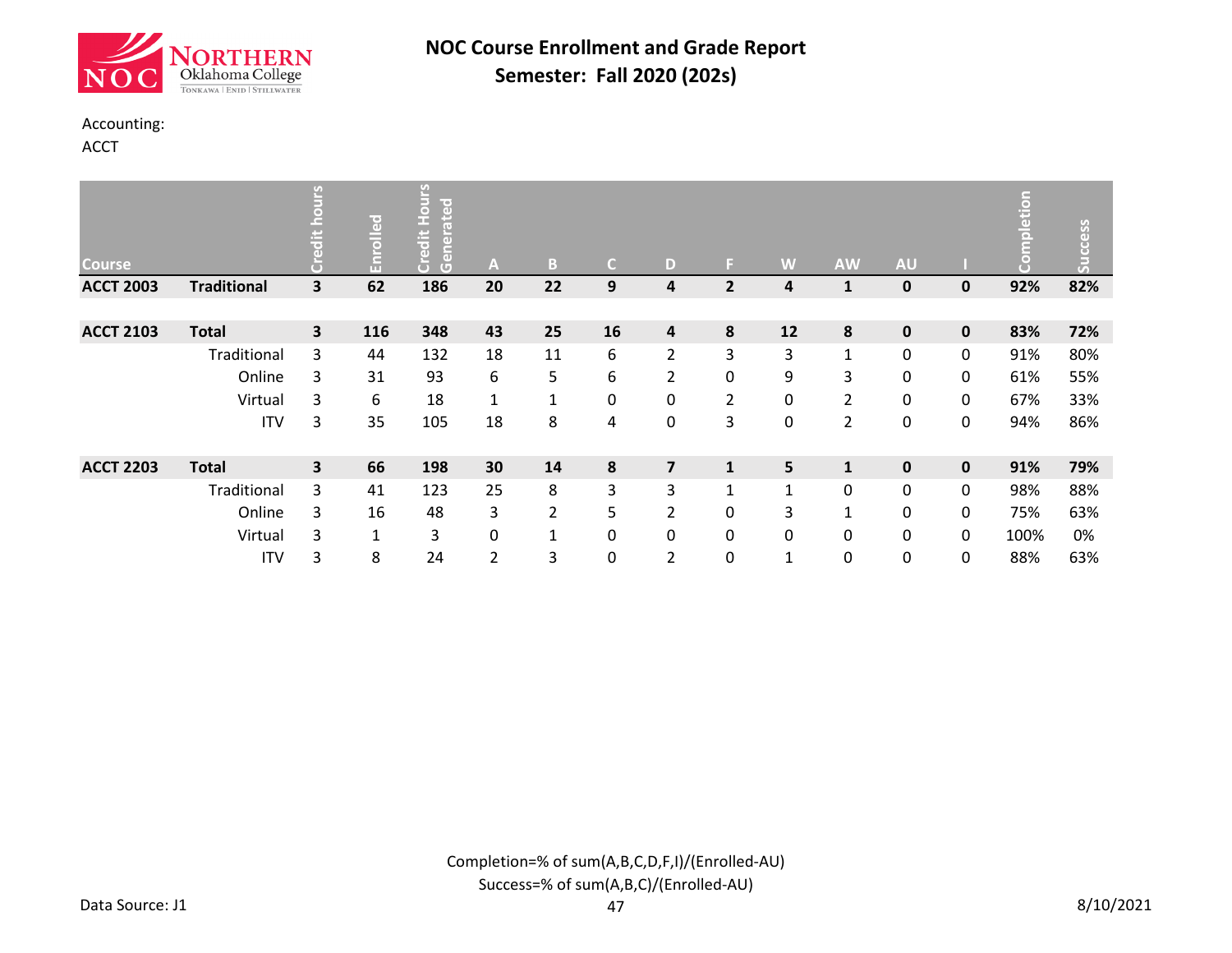

#### Accounting:

ACCT

| <b>Course</b>    |                    | <u>ب</u> | Enrolled     | ŠΙ<br>loate<br>$\bullet$<br>ž,<br>Credit<br>Gener | A            | B              | $\mathsf{C}$ | D                       | F.             | W            | <b>AW</b>      | AU          |             | etion | Success |
|------------------|--------------------|----------|--------------|---------------------------------------------------|--------------|----------------|--------------|-------------------------|----------------|--------------|----------------|-------------|-------------|-------|---------|
| <b>ACCT 2003</b> | <b>Traditional</b> | 3        | 62           | 186                                               | 20           | 22             | 9            | 4                       | $\overline{2}$ | 4            | $\mathbf{1}$   | 0           | 0           | 92%   | 82%     |
|                  |                    |          |              |                                                   |              |                |              |                         |                |              |                |             |             |       |         |
| <b>ACCT 2103</b> | <b>Total</b>       | 3        | 116          | 348                                               | 43           | 25             | 16           | 4                       | 8              | 12           | 8              | $\mathbf 0$ | 0           | 83%   | 72%     |
|                  | Traditional        | 3        | 44           | 132                                               | 18           | 11             | 6            | 2                       | 3              | 3            | $\mathbf{1}$   | 0           | 0           | 91%   | 80%     |
|                  | Online             | 3        | 31           | 93                                                | 6            | 5              | 6            | $\overline{2}$          | 0              | 9            | 3              | $\mathbf 0$ | 0           | 61%   | 55%     |
|                  | Virtual            | 3        | 6            | 18                                                | $\mathbf{1}$ | $\mathbf{1}$   | 0            | 0                       | $\overline{2}$ | 0            | $\overline{2}$ | 0           | 0           | 67%   | 33%     |
|                  | <b>ITV</b>         | 3        | 35           | 105                                               | 18           | 8              | 4            | 0                       | 3              | 0            | $\overline{2}$ | 0           | 0           | 94%   | 86%     |
|                  |                    |          |              |                                                   |              |                |              |                         |                |              |                |             |             |       |         |
| <b>ACCT 2203</b> | <b>Total</b>       | 3        | 66           | 198                                               | 30           | 14             | ${\bf 8}$    | $\overline{\mathbf{z}}$ | $\mathbf{1}$   | 5            | $\mathbf{1}$   | $\mathbf 0$ | $\mathbf 0$ | 91%   | 79%     |
|                  | Traditional        | 3        | 41           | 123                                               | 25           | 8              | 3            | 3                       | $\mathbf{1}$   | $\mathbf{1}$ | 0              | 0           | 0           | 98%   | 88%     |
|                  | Online             | 3        | 16           | 48                                                | 3            | $\overline{2}$ | 5            | 2                       | 0              | 3            | $\mathbf{1}$   | 0           | 0           | 75%   | 63%     |
|                  | Virtual            | 3        | $\mathbf{1}$ | 3                                                 | 0            | $\mathbf{1}$   | 0            | $\mathbf{0}$            | 0              | 0            | 0              | 0           | 0           | 100%  | 0%      |
|                  | <b>ITV</b>         | 3        | 8            | 24                                                | 2            | 3              | 0            | 2                       | 0              | 1            | 0              | 0           | 0           | 88%   | 63%     |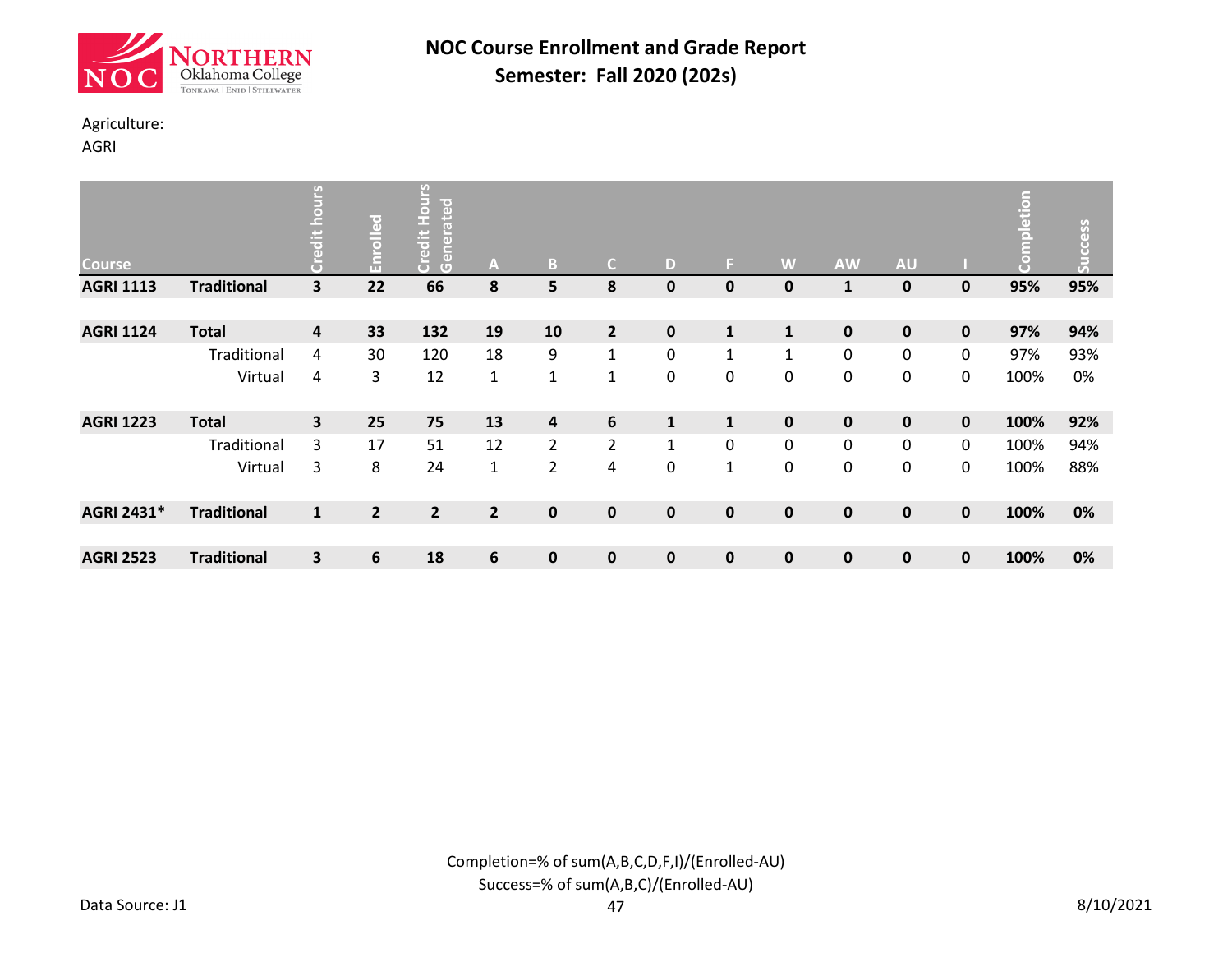

### Agriculture:

AGRI

| <b>Course</b>    |                    | 연<br>$\ddot{a}$<br>$\mathbf{e}$ | Enrolled       | <b>Hours</b><br>ated<br>Credit<br>Gener | Α              | ß,             | C.             | D            | F.           | W            | <b>AW</b>   | <b>AU</b>   |             | npletion<br>$\bullet$<br>Ō | <b>Success</b> |
|------------------|--------------------|---------------------------------|----------------|-----------------------------------------|----------------|----------------|----------------|--------------|--------------|--------------|-------------|-------------|-------------|----------------------------|----------------|
| <b>AGRI 1113</b> | <b>Traditional</b> | 3                               | 22             | 66                                      | 8              | 5              | 8              | $\mathbf 0$  | 0            | 0            | 1           | 0           | $\mathbf 0$ | 95%                        | 95%            |
|                  |                    |                                 |                |                                         |                |                |                |              |              |              |             |             |             |                            |                |
| <b>AGRI 1124</b> | <b>Total</b>       | $\overline{\mathbf{4}}$         | 33             | 132                                     | 19             | 10             | $\overline{2}$ | $\mathbf 0$  | $\mathbf{1}$ | ${\bf 1}$    | 0           | $\mathbf 0$ | 0           | 97%                        | 94%            |
|                  | Traditional        | 4                               | 30             | 120                                     | 18             | 9              | $\mathbf{1}$   | 0            | $\mathbf{1}$ | $\mathbf{1}$ | 0           | 0           | 0           | 97%                        | 93%            |
|                  | Virtual            | 4                               | 3              | 12                                      | $\mathbf{1}$   | $\mathbf{1}$   | $\mathbf{1}$   | $\mathbf{0}$ | 0            | $\mathbf 0$  | 0           | $\pmb{0}$   | 0           | 100%                       | 0%             |
| <b>AGRI 1223</b> | <b>Total</b>       | 3                               | 25             | 75                                      | 13             | 4              | $6\phantom{1}$ | $\mathbf{1}$ | $\mathbf{1}$ | $\mathbf 0$  | 0           | $\mathbf 0$ | $\mathbf 0$ | 100%                       | 92%            |
|                  | Traditional        | 3                               | 17             | 51                                      | 12             | $\overline{2}$ | $\overline{2}$ | $\mathbf{1}$ | 0            | $\mathbf 0$  | 0           | 0           | 0           | 100%                       | 94%            |
|                  | Virtual            | 3                               | 8              | 24                                      | $\mathbf{1}$   | $\overline{c}$ | 4              | 0            | $\mathbf{1}$ | 0            | 0           | 0           | 0           | 100%                       | 88%            |
| AGRI 2431*       | <b>Traditional</b> | $\mathbf{1}$                    | $\overline{2}$ | $\overline{2}$                          | $\overline{2}$ | $\mathbf 0$    | $\mathbf 0$    | $\mathbf{0}$ | 0            | $\mathbf 0$  | $\mathbf 0$ | 0           | $\mathbf 0$ | 100%                       | 0%             |
|                  |                    |                                 |                |                                         |                |                |                |              |              |              |             |             |             |                            |                |
| <b>AGRI 2523</b> | <b>Traditional</b> | 3                               | 6              | 18                                      | 6              | $\mathbf 0$    | $\mathbf 0$    | $\mathbf 0$  | 0            | 0            | 0           | 0           | $\pmb{0}$   | 100%                       | 0%             |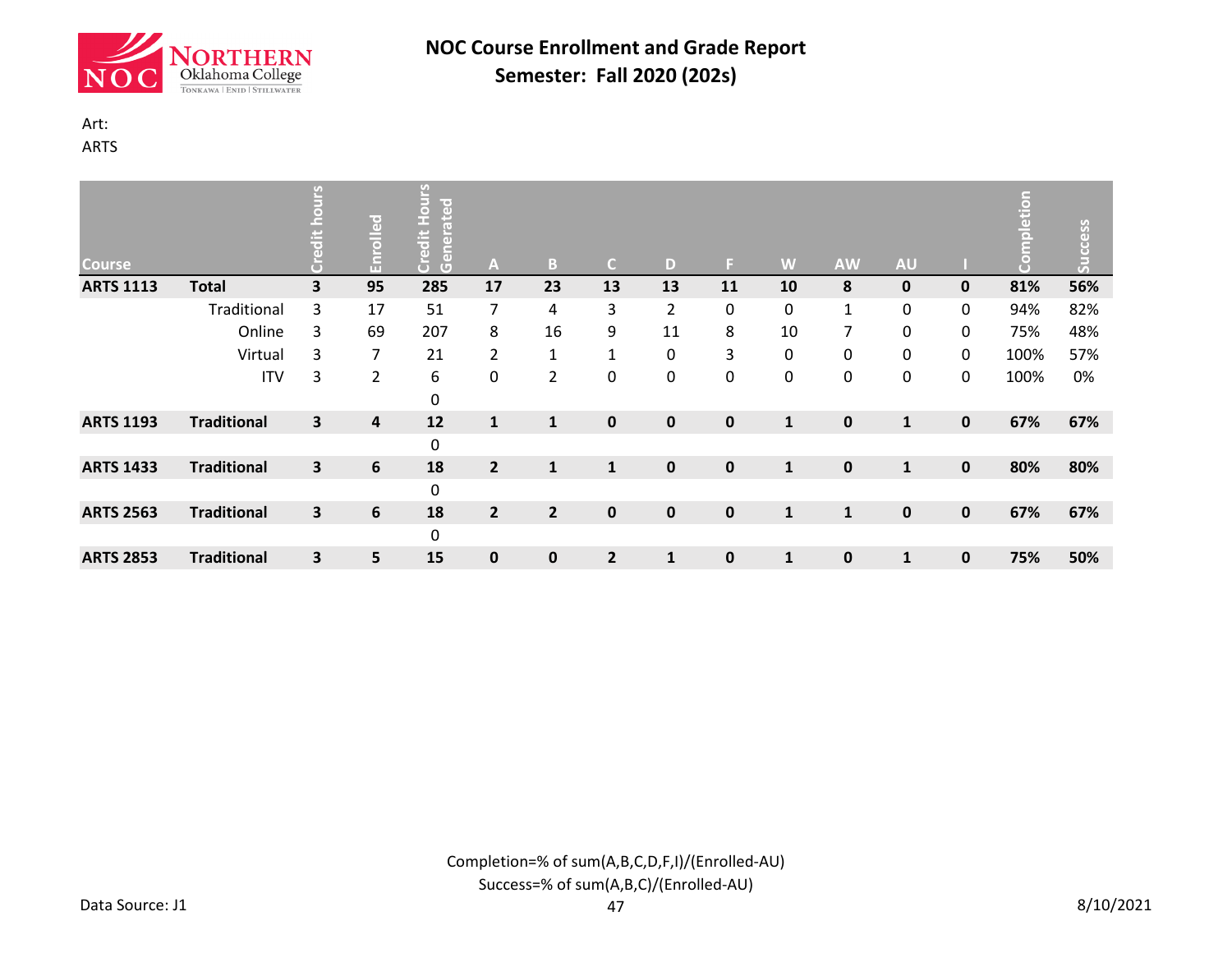

# Art:

ARTS

| <b>Course</b>    |                    | 9 | Enrolled       | Hours<br>lated<br>Credit<br>lener<br>Gener | A              | B.             | C.             | D              | E.          | W            | <b>AW</b>      | <b>AU</b>    |             | etion<br>n<br>E<br>g | Success |
|------------------|--------------------|---|----------------|--------------------------------------------|----------------|----------------|----------------|----------------|-------------|--------------|----------------|--------------|-------------|----------------------|---------|
| <b>ARTS 1113</b> | <b>Total</b>       | 3 | 95             | 285                                        | 17             | 23             | 13             | 13             | 11          | 10           | 8              | $\mathbf 0$  | $\mathbf 0$ | 81%                  | 56%     |
|                  | Traditional        | 3 | 17             | 51                                         | $\overline{7}$ | 4              | 3              | $\overline{2}$ | 0           | 0            | $\mathbf{1}$   | 0            | 0           | 94%                  | 82%     |
|                  | Online             | 3 | 69             | 207                                        | 8              | 16             | 9              | 11             | 8           | 10           | $\overline{7}$ | $\pmb{0}$    | 0           | 75%                  | 48%     |
|                  | Virtual            | 3 | $\overline{7}$ | 21                                         | $\overline{2}$ | $\mathbf{1}$   | $\mathbf{1}$   | 0              | 3           | 0            | 0              | 0            | $\mathbf 0$ | 100%                 | 57%     |
|                  | <b>ITV</b>         | 3 | $\overline{2}$ | 6<br>0                                     | 0              | $\overline{2}$ | 0              | 0              | 0           | 0            | 0              | 0            | 0           | 100%                 | 0%      |
| <b>ARTS 1193</b> | <b>Traditional</b> | 3 | 4              | 12                                         | $\mathbf{1}$   | $\mathbf{1}$   | $\mathbf 0$    | $\mathbf 0$    | $\mathbf 0$ | $\mathbf{1}$ | $\pmb{0}$      | $\mathbf{1}$ | $\mathbf 0$ | 67%                  | 67%     |
|                  |                    |   |                | 0                                          |                |                |                |                |             |              |                |              |             |                      |         |
| <b>ARTS 1433</b> | <b>Traditional</b> | 3 | 6              | 18                                         | $\overline{2}$ | $\mathbf{1}$   | $\mathbf{1}$   | $\mathbf{0}$   | $\mathbf 0$ | $\mathbf{1}$ | $\pmb{0}$      | $\mathbf{1}$ | $\mathbf 0$ | 80%                  | 80%     |
|                  |                    |   |                | 0                                          |                |                |                |                |             |              |                |              |             |                      |         |
| <b>ARTS 2563</b> | <b>Traditional</b> | 3 | 6              | 18                                         | $\overline{2}$ | $\overline{2}$ | $\mathbf 0$    | $\mathbf{0}$   | $\mathbf 0$ | $\mathbf{1}$ | $\mathbf{1}$   | $\mathbf 0$  | $\mathbf 0$ | 67%                  | 67%     |
|                  |                    |   |                | 0                                          |                |                |                |                |             |              |                |              |             |                      |         |
| <b>ARTS 2853</b> | <b>Traditional</b> | 3 | 5              | 15                                         | 0              | $\mathbf 0$    | $\overline{2}$ | $\mathbf{1}$   | 0           | $\mathbf{1}$ | $\mathbf 0$    | 1            | $\pmb{0}$   | 75%                  | 50%     |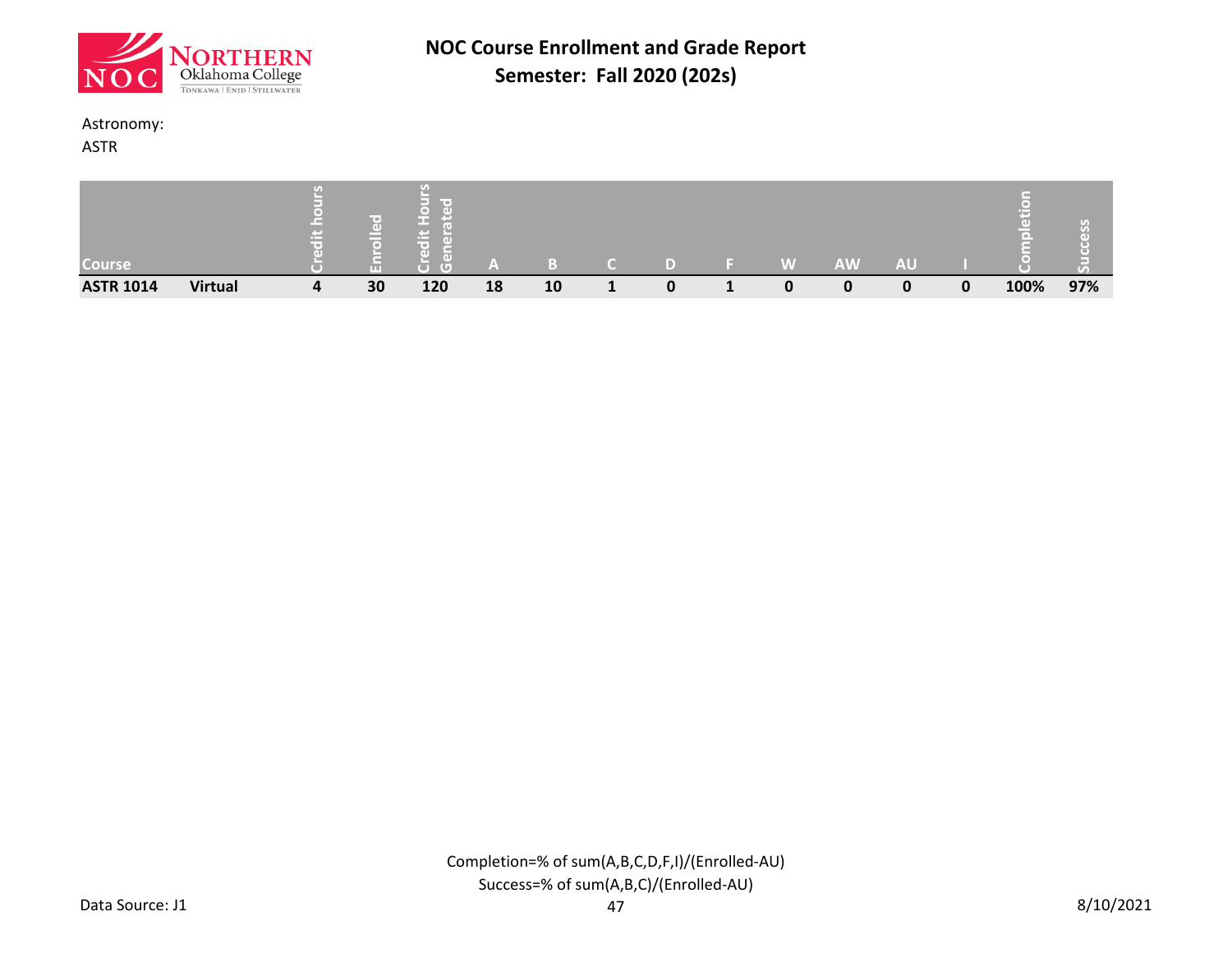

#### Astronomy:

ASTR

| Course           |                |   |    | --<br>$\left( \right)$ |    |    |   | W | <b>AW</b> | <b>AU</b> |   |      | $\mathcal{L}_{\mathcal{L}}$<br>$\sigma$ |
|------------------|----------------|---|----|------------------------|----|----|---|---|-----------|-----------|---|------|-----------------------------------------|
| <b>ASTR 1014</b> | <b>Virtual</b> | 4 | 30 | 120                    | 18 | 10 | 0 | 0 |           | 0         | 0 | 100% | 97%                                     |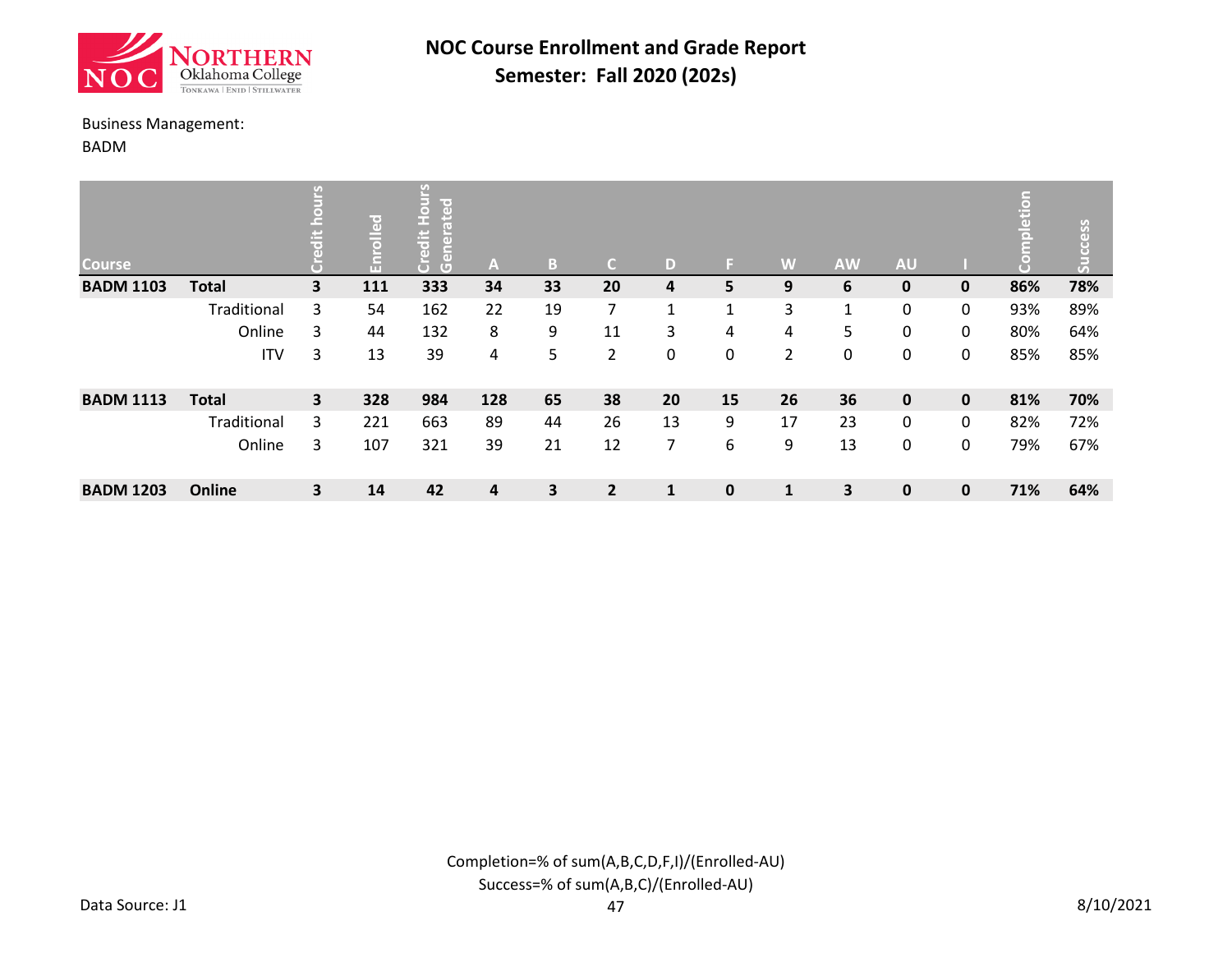![](_page_5_Picture_0.jpeg)

#### Business Management:

BADM

| <b>Course</b>    |              | U)                      | ဥ<br>ᇹ<br>Ĕ | ပ္ပ<br>loate<br>$\Box$<br>F.<br>edit<br>$\left( \mathbf{d} \right)$<br>Cene | A   | B. | C.             | D            | E. | W            | <b>AW</b> | <b>AU</b>   |             | S   | Success |
|------------------|--------------|-------------------------|-------------|-----------------------------------------------------------------------------|-----|----|----------------|--------------|----|--------------|-----------|-------------|-------------|-----|---------|
| <b>BADM 1103</b> | <b>Total</b> | $\overline{\mathbf{3}}$ | 111         | 333                                                                         | 34  | 33 | 20             | 4            | 5  | 9            | 6         | $\mathbf 0$ | 0           | 86% | 78%     |
|                  | Traditional  | 3                       | 54          | 162                                                                         | 22  | 19 | $\overline{7}$ | 1            | 1  | 3            | 1         | 0           | 0           | 93% | 89%     |
|                  | Online       | 3                       | 44          | 132                                                                         | 8   | 9  | 11             | 3            | 4  | 4            | 5         | 0           | 0           | 80% | 64%     |
|                  | <b>ITV</b>   | 3                       | 13          | 39                                                                          | 4   | 5  | $\overline{2}$ | 0            | 0  | 2            | 0         | 0           | 0           | 85% | 85%     |
| <b>BADM 1113</b> | <b>Total</b> | $\overline{\mathbf{3}}$ | 328         | 984                                                                         | 128 | 65 | 38             | 20           | 15 | 26           | 36        | $\mathbf 0$ | $\mathbf 0$ | 81% | 70%     |
|                  | Traditional  | 3                       | 221         | 663                                                                         | 89  | 44 | 26             | 13           | 9  | 17           | 23        | 0           | 0           | 82% | 72%     |
|                  | Online       | 3                       | 107         | 321                                                                         | 39  | 21 | 12             | 7            | 6  | 9            | 13        | 0           | 0           | 79% | 67%     |
| <b>BADM 1203</b> | Online       | $\overline{\mathbf{3}}$ | 14          | 42                                                                          | 4   | 3  | $\overline{2}$ | $\mathbf{1}$ | 0  | $\mathbf{1}$ | 3         | $\mathbf 0$ | $\mathbf 0$ | 71% | 64%     |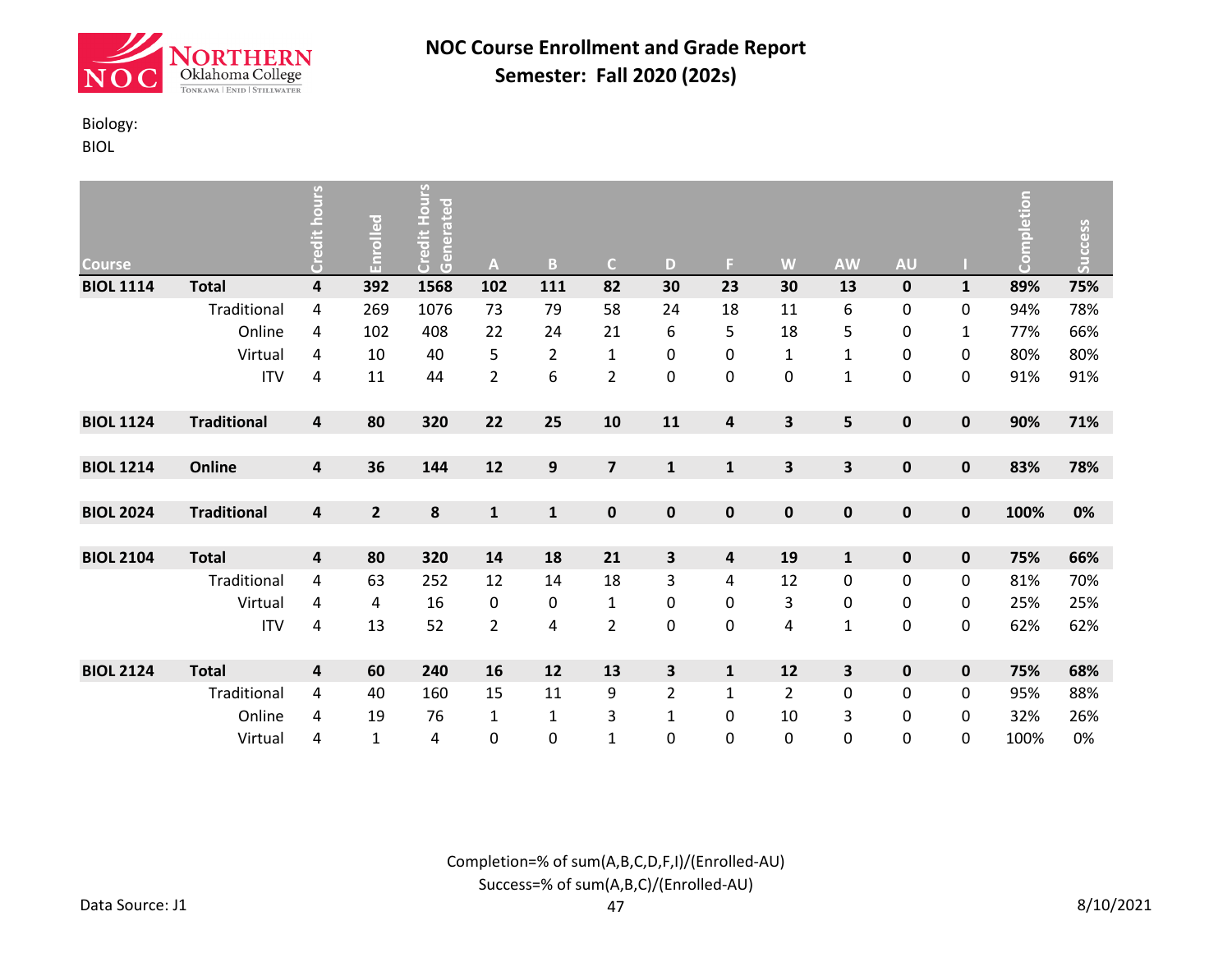![](_page_6_Picture_0.jpeg)

### Biology:

BIOL

| Course           |                    | Credit hours            | Enrolled       | <b>Credit Hours</b><br>Generated | A              | $\mathbf{B}$     | $\mathsf{C}$            | D              | F.                      | W              | <b>AW</b>    | <b>AU</b>   |              | Completion | <b>Success</b> |
|------------------|--------------------|-------------------------|----------------|----------------------------------|----------------|------------------|-------------------------|----------------|-------------------------|----------------|--------------|-------------|--------------|------------|----------------|
| <b>BIOL 1114</b> | <b>Total</b>       | $\pmb{4}$               | 392            | 1568                             | 102            | 111              | 82                      | 30             | 23                      | 30             | 13           | $\mathbf 0$ | $\mathbf{1}$ | 89%        | 75%            |
|                  | Traditional        | 4                       | 269            | 1076                             | 73             | 79               | 58                      | 24             | 18                      | 11             | 6            | 0           | 0            | 94%        | 78%            |
|                  | Online             | 4                       | 102            | 408                              | 22             | 24               | 21                      | 6              | 5                       | 18             | 5            | 0           | $\mathbf{1}$ | 77%        | 66%            |
|                  | Virtual            | 4                       | 10             | 40                               | 5              | $\overline{2}$   | $\mathbf{1}$            | 0              | 0                       | $\mathbf{1}$   | $\mathbf 1$  | 0           | 0            | 80%        | 80%            |
|                  | <b>ITV</b>         | 4                       | 11             | 44                               | $\overline{2}$ | 6                | $\overline{2}$          | $\pmb{0}$      | 0                       | 0              | $\mathbf{1}$ | 0           | 0            | 91%        | 91%            |
| <b>BIOL 1124</b> | <b>Traditional</b> | 4                       | 80             | 320                              | 22             | 25               | 10                      | 11             | $\overline{\mathbf{4}}$ | 3              | 5            | $\pmb{0}$   | $\pmb{0}$    | 90%        | 71%            |
|                  |                    |                         |                |                                  |                |                  |                         |                |                         |                |              |             |              |            |                |
| <b>BIOL 1214</b> | Online             | $\overline{\mathbf{4}}$ | 36             | 144                              | 12             | $\boldsymbol{9}$ | $\overline{\mathbf{z}}$ | $\mathbf{1}$   | $\mathbf{1}$            | 3              | 3            | $\pmb{0}$   | $\pmb{0}$    | 83%        | 78%            |
|                  |                    |                         |                |                                  |                |                  |                         |                |                         |                |              |             |              |            |                |
| <b>BIOL 2024</b> | <b>Traditional</b> | $\pmb{4}$               | $\overline{2}$ | 8                                | $\mathbf{1}$   | $\mathbf 1$      | $\pmb{0}$               | $\pmb{0}$      | $\mathbf 0$             | $\pmb{0}$      | $\mathbf 0$  | 0           | 0            | 100%       | 0%             |
|                  |                    |                         |                |                                  |                |                  |                         |                |                         |                |              |             |              |            |                |
| <b>BIOL 2104</b> | <b>Total</b>       | $\pmb{4}$               | 80             | 320                              | 14             | 18               | 21                      | 3              | 4                       | 19             | $\mathbf 1$  | $\pmb{0}$   | 0            | 75%        | 66%            |
|                  | Traditional        | 4                       | 63             | 252                              | 12             | 14               | 18                      | 3              | 4                       | 12             | $\pmb{0}$    | 0           | 0            | 81%        | 70%            |
|                  | Virtual            | 4                       | 4              | 16                               | 0              | 0                | $\mathbf{1}$            | $\pmb{0}$      | 0                       | 3              | $\pmb{0}$    | 0           | 0            | 25%        | 25%            |
|                  | <b>ITV</b>         | 4                       | 13             | 52                               | $\overline{2}$ | 4                | $\overline{2}$          | $\pmb{0}$      | 0                       | 4              | $\mathbf 1$  | $\pmb{0}$   | 0            | 62%        | 62%            |
|                  |                    |                         |                |                                  |                |                  |                         |                |                         |                |              |             |              |            |                |
| <b>BIOL 2124</b> | <b>Total</b>       | $\pmb{4}$               | 60             | 240                              | 16             | 12               | 13                      | 3              | ${\bf 1}$               | 12             | 3            | $\pmb{0}$   | $\pmb{0}$    | 75%        | 68%            |
|                  | Traditional        | 4                       | 40             | 160                              | 15             | 11               | 9                       | $\overline{2}$ | $\mathbf{1}$            | $\overline{2}$ | $\pmb{0}$    | 0           | $\pmb{0}$    | 95%        | 88%            |
|                  | Online             | 4                       | 19             | 76                               | $\mathbf{1}$   | $\mathbf{1}$     | 3                       | 1              | 0                       | 10             | 3            | 0           | 0            | 32%        | 26%            |
|                  | Virtual            | 4                       | $\mathbf{1}$   | 4                                | 0              | 0                | $\mathbf{1}$            | 0              | 0                       | 0              | 0            | 0           | 0            | 100%       | 0%             |

Completion=% of sum(A,B,C,D,F,I)/(Enrolled-AU) Success=% of sum(A,B,C)/(Enrolled-AU)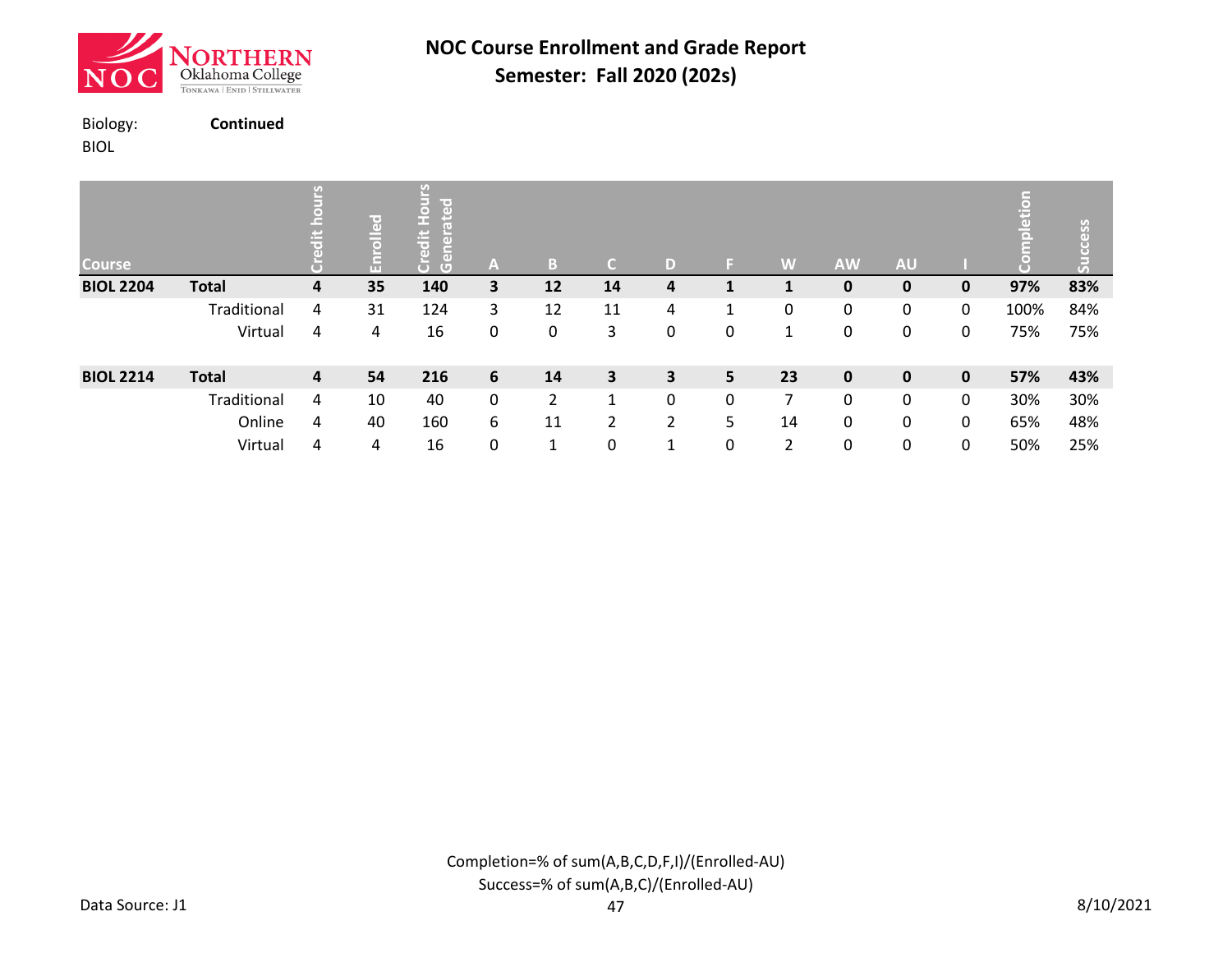![](_page_7_Picture_0.jpeg)

BIOL

Biology: **Continued**

| <b>Course</b>    |              | $\frac{1}{\sigma}$ | ဥ <br>品 | ပ္ပ<br>ō<br>$\Box$<br>$\left( \right)$<br>$\overline{G}$<br>$\sqrt{2}$ | A           | B              | $\mathsf{C}$ | D |   | W  | <b>AW</b>   | <b>AU</b>   |              | etion | ess<br>Ō<br>$\overline{5}$ |
|------------------|--------------|--------------------|---------|------------------------------------------------------------------------|-------------|----------------|--------------|---|---|----|-------------|-------------|--------------|-------|----------------------------|
| <b>BIOL 2204</b> | <b>Total</b> | 4                  | 35      | 140                                                                    | 3           | 12             | 14           | 4 |   |    | 0           | $\mathbf 0$ | 0            | 97%   | 83%                        |
|                  | Traditional  | 4                  | 31      | 124                                                                    | 3           | 12             | 11           | 4 |   | 0  | 0           | 0           | 0            | 100%  | 84%                        |
|                  | Virtual      | 4                  | 4       | 16                                                                     | 0           | 0              | 3            | 0 | 0 | 1  | 0           | 0           | 0            | 75%   | 75%                        |
| <b>BIOL 2214</b> | <b>Total</b> | 4                  | 54      | 216                                                                    | 6           | 14             | 3            | 3 | 5 | 23 | $\mathbf 0$ | $\mathbf 0$ | $\mathbf{0}$ | 57%   | 43%                        |
|                  | Traditional  | 4                  | 10      | 40                                                                     | $\mathbf 0$ | $\overline{2}$ | 1            | 0 | 0 | 7  | 0           | 0           | 0            | 30%   | 30%                        |
|                  | Online       | 4                  | 40      | 160                                                                    | 6           | 11             | 2            | 2 | 5 | 14 | 0           | 0           | 0            | 65%   | 48%                        |
|                  | Virtual      | 4                  | 4       | 16                                                                     | $\mathbf 0$ | 1              | 0            | 1 | 0 | 2  | 0           | $\mathbf 0$ | $\mathbf 0$  | 50%   | 25%                        |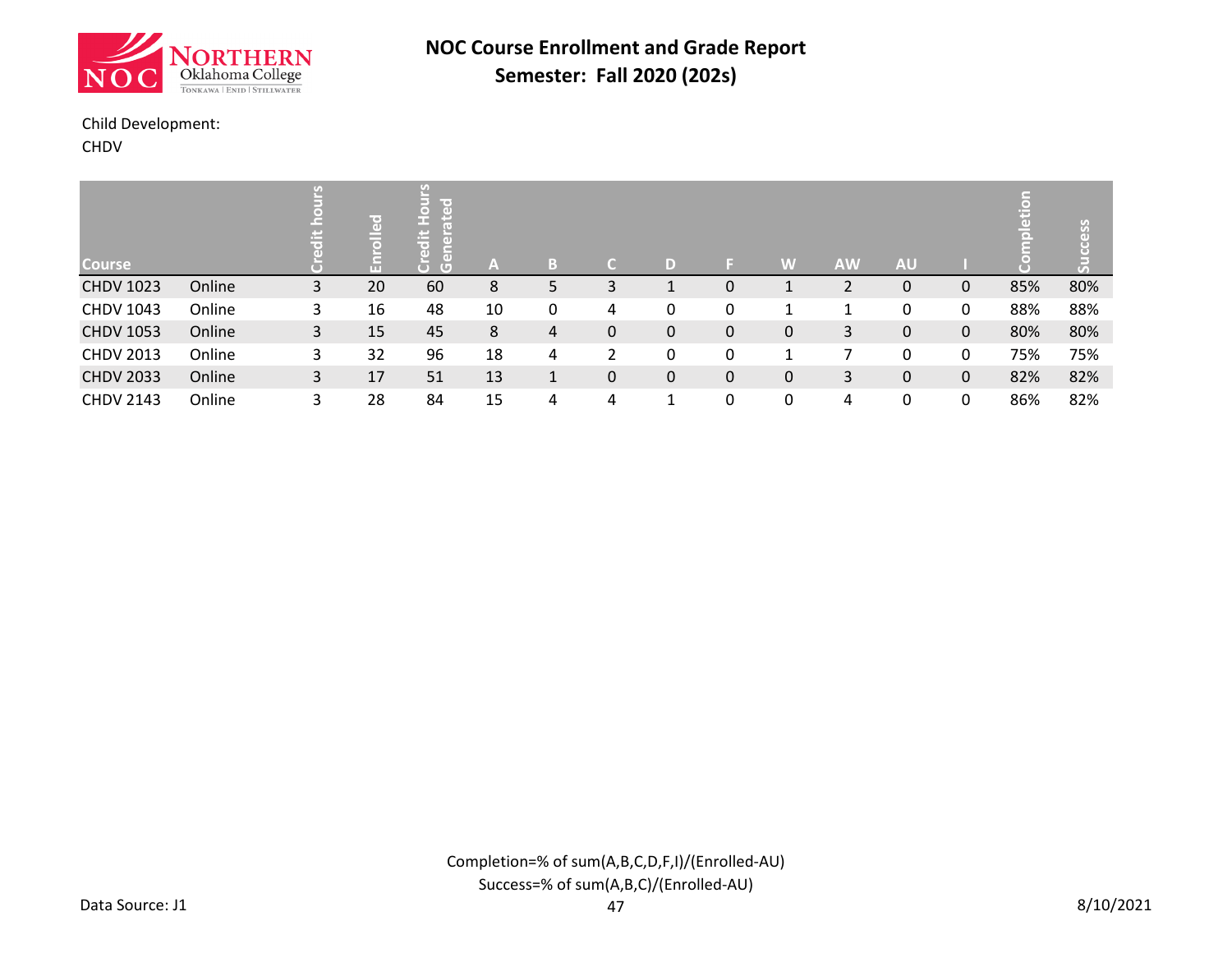![](_page_8_Picture_0.jpeg)

### Child Development:

CHDV

| <b>Course</b>    |        |   | ᄝ<br>$\circ$<br>F | $\mathbf{r}$<br>Гď<br>œ<br>B<br>$\overline{\phantom{0}}$<br>$\overline{a}$<br>$\overline{a}$<br>$\mathbb G$ | A  | B |                |              | E. | W | <b>AW</b> | <b>AU</b> |   | ä   | ess |
|------------------|--------|---|-------------------|-------------------------------------------------------------------------------------------------------------|----|---|----------------|--------------|----|---|-----------|-----------|---|-----|-----|
| <b>CHDV 1023</b> | Online | 3 | 20                | 60                                                                                                          | 8  | 5 | 3              |              | 0  |   |           | 0         | 0 | 85% | 80% |
| <b>CHDV 1043</b> | Online | 3 | 16                | 48                                                                                                          | 10 | 0 | 4              |              | 0  |   |           | 0         | 0 | 88% | 88% |
| <b>CHDV 1053</b> | Online | 3 | 15                | 45                                                                                                          | 8  | 4 | 0              | $\mathbf{0}$ | 0  | 0 | 3         | 0         | 0 | 80% | 80% |
| <b>CHDV 2013</b> | Online | 3 | 32                | 96                                                                                                          | 18 | 4 | $\overline{2}$ |              | 0  |   | ⇁         | 0         | 0 | 75% | 75% |
| <b>CHDV 2033</b> | Online | 3 | 17                | 51                                                                                                          | 13 | 1 | 0              | $\Omega$     | 0  | 0 | 3         | 0         | 0 | 82% | 82% |
| <b>CHDV 2143</b> | Online | 3 | 28                | 84                                                                                                          | 15 | 4 | 4              |              | 0  | 0 | 4         | 0         | 0 | 86% | 82% |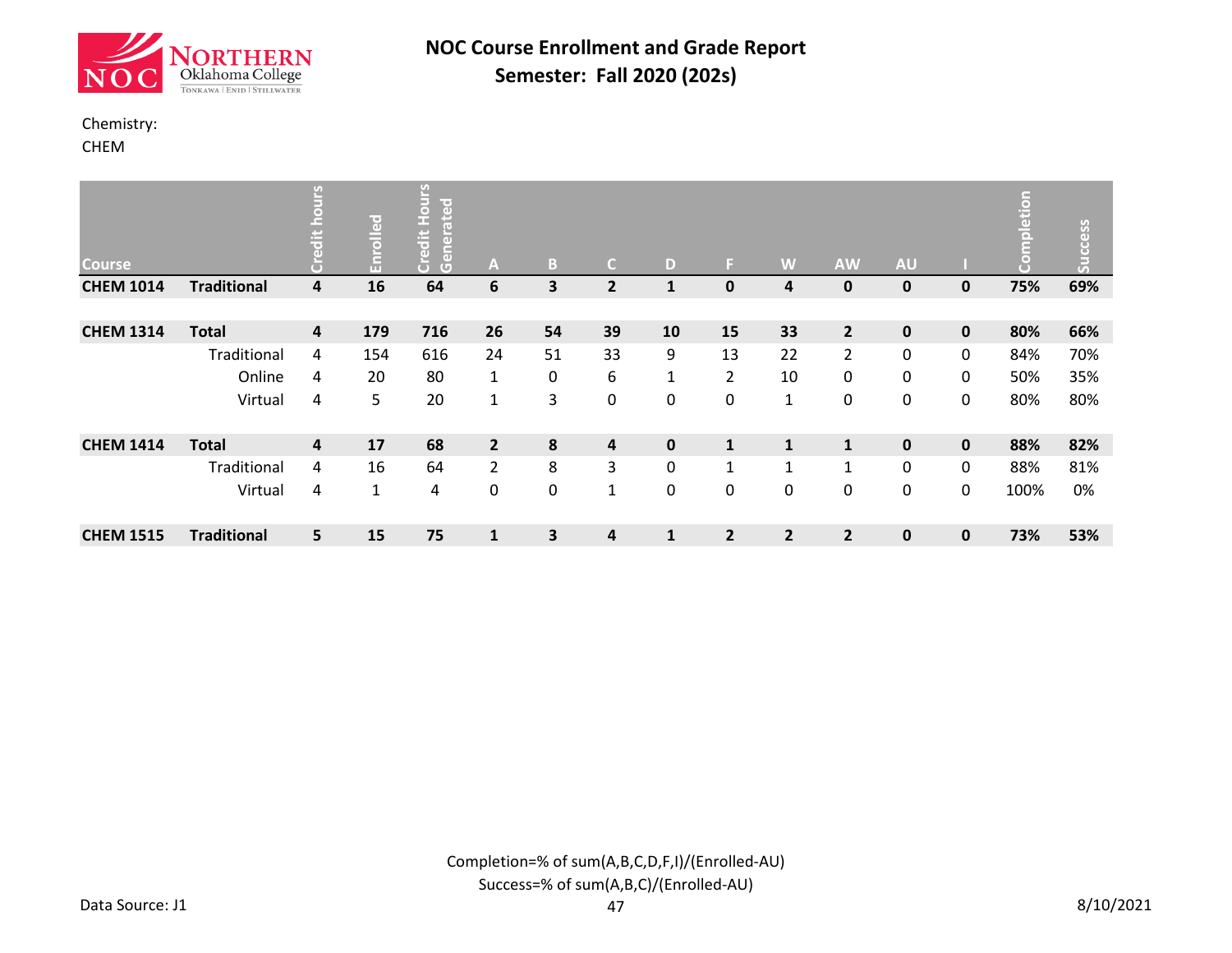![](_page_9_Picture_0.jpeg)

#### Chemistry:

CHEM

| <b>Course</b>    |                    | بہ                      | Enrolled     | 인<br>$rac{5}{2}$<br>loate<br>Credit<br>Gener | A              | B                       | C.             | D            | F.             | W              | <b>AW</b>      | <b>AU</b>    |             | etion<br>$\Xi$ | Success |
|------------------|--------------------|-------------------------|--------------|----------------------------------------------|----------------|-------------------------|----------------|--------------|----------------|----------------|----------------|--------------|-------------|----------------|---------|
| <b>CHEM 1014</b> | <b>Traditional</b> | 4                       | 16           | 64                                           | 6              | $\overline{\mathbf{3}}$ | $\mathbf{2}$   | $\mathbf{1}$ | 0              | 4              | $\bf{0}$       | $\mathbf 0$  | 0           | 75%            | 69%     |
|                  |                    |                         |              |                                              |                |                         |                |              |                |                |                |              |             |                |         |
| <b>CHEM 1314</b> | <b>Total</b>       | $\overline{\mathbf{4}}$ | 179          | 716                                          | 26             | 54                      | 39             | 10           | 15             | 33             | $\overline{2}$ | $\pmb{0}$    | 0           | 80%            | 66%     |
|                  | Traditional        | 4                       | 154          | 616                                          | 24             | 51                      | 33             | 9            | 13             | 22             | $\overline{2}$ | 0            | 0           | 84%            | 70%     |
|                  | Online             | 4                       | 20           | 80                                           | 1              | $\pmb{0}$               | 6              | $\mathbf{1}$ | 2              | 10             | 0              | 0            | 0           | 50%            | 35%     |
|                  | Virtual            | 4                       | 5            | 20                                           | 1              | 3                       | 0              | 0            | 0              | $\mathbf{1}$   | 0              | 0            | 0           | 80%            | 80%     |
|                  |                    |                         |              |                                              |                |                         |                |              |                |                |                |              |             |                |         |
| <b>CHEM 1414</b> | <b>Total</b>       | 4                       | 17           | 68                                           | $\overline{2}$ | 8                       | $\overline{4}$ | $\mathbf 0$  | $\mathbf 1$    | $\mathbf{1}$   | $\mathbf{1}$   | $\mathbf 0$  | 0           | 88%            | 82%     |
|                  | Traditional        | 4                       | 16           | 64                                           | $\overline{2}$ | 8                       | 3              | $\mathbf{0}$ | $\mathbf{1}$   | $\mathbf{1}$   | $\mathbf{1}$   | 0            | 0           | 88%            | 81%     |
|                  | Virtual            | 4                       | $\mathbf{1}$ | 4                                            | 0              | $\pmb{0}$               | $\mathbf{1}$   | 0            | 0              | 0              | 0              | 0            | 0           | 100%           | 0%      |
| <b>CHEM 1515</b> | <b>Traditional</b> | 5                       | 15           | 75                                           | $\mathbf{1}$   | 3                       | 4              | $\mathbf{1}$ | $\overline{2}$ | $\overline{2}$ | $\overline{2}$ | $\mathbf{0}$ | $\mathbf 0$ | 73%            | 53%     |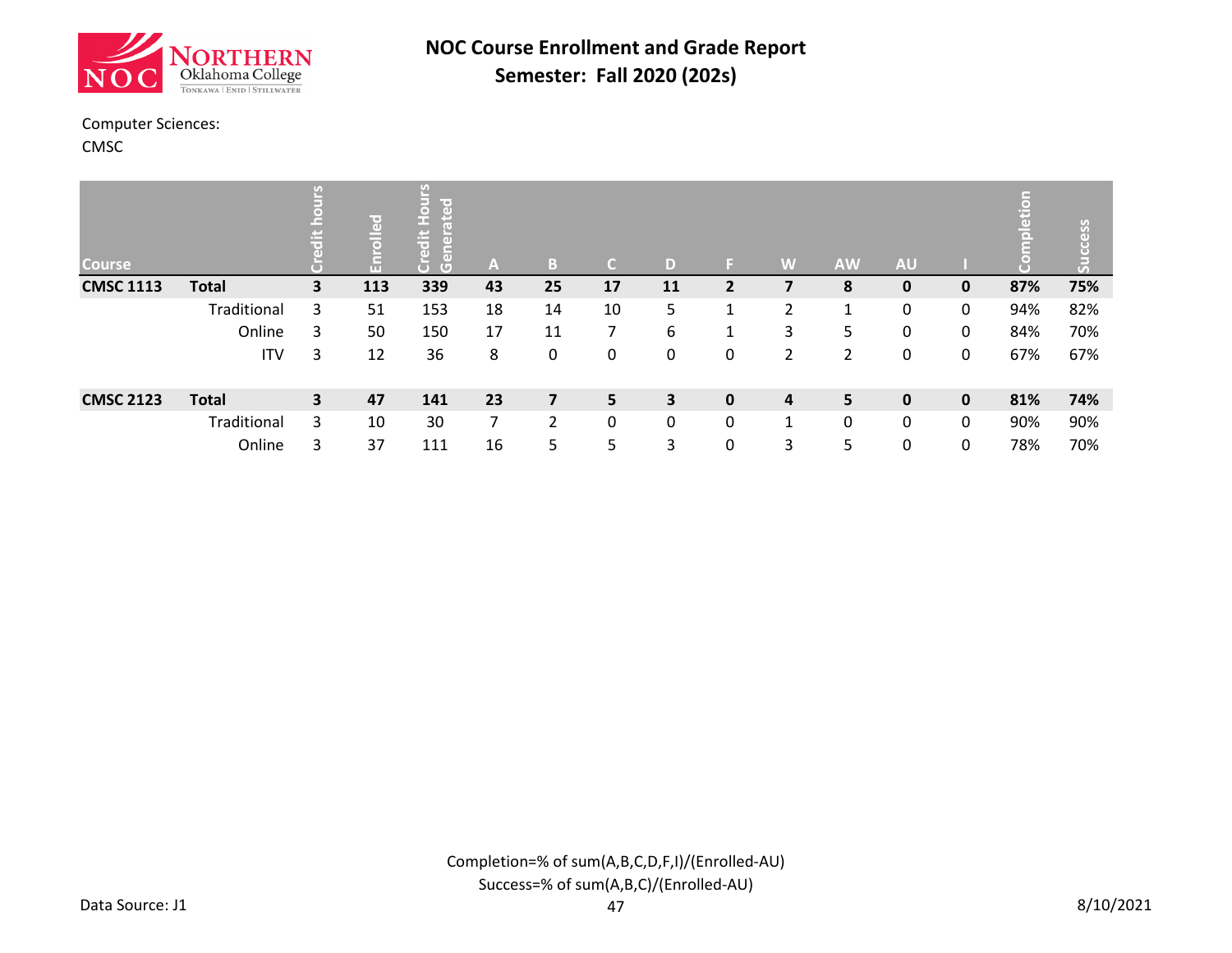![](_page_10_Picture_0.jpeg)

#### Computer Sciences:

CMSC

| <b>Course</b>    |              |                         | ဥ<br>$\bar{a}$<br>Я | n<br>le e<br>$\overline{a}$<br>m<br>$\ddot{a}$<br>ã<br>$\overline{a}$<br>Ğ | A              | B              | C.             | D                       | ы              | W              | <b>AW</b> | <b>AU</b>    |              | ã   | ess<br>$\overline{C}$<br>$\bar{5}$ |
|------------------|--------------|-------------------------|---------------------|----------------------------------------------------------------------------|----------------|----------------|----------------|-------------------------|----------------|----------------|-----------|--------------|--------------|-----|------------------------------------|
| <b>CMSC 1113</b> | <b>Total</b> | $\overline{\mathbf{3}}$ | 113                 | 339                                                                        | 43             | 25             | 17             | 11                      | $\overline{2}$ |                | 8         | 0            | 0            | 87% | 75%                                |
|                  | Traditional  | 3                       | 51                  | 153                                                                        | 18             | 14             | 10             | 5                       | 1              | 2              | 1         | 0            | 0            | 94% | 82%                                |
|                  | Online       | 3                       | 50                  | 150                                                                        | 17             | 11             | 7              | 6                       | 1              | 3              | 5         | 0            | 0            | 84% | 70%                                |
|                  | <b>ITV</b>   | 3                       | 12                  | 36                                                                         | 8              | 0              | 0              | 0                       | 0              | $\overline{2}$ | 2         | 0            | 0            | 67% | 67%                                |
| <b>CMSC 2123</b> | <b>Total</b> | $\overline{\mathbf{3}}$ | 47                  | 141                                                                        | 23             | $\overline{z}$ | $5\phantom{.}$ | $\overline{\mathbf{3}}$ | $\mathbf{0}$   | 4              | 5         | $\mathbf{0}$ | $\mathbf{0}$ | 81% | 74%                                |
|                  | Traditional  | 3                       | 10                  | 30                                                                         | $\overline{7}$ | $\mathcal{P}$  | 0              | 0                       | $\mathbf{0}$   | $\mathbf{1}$   | 0         | 0            | 0            | 90% | 90%                                |
|                  | Online       | 3                       | 37                  | 111                                                                        | 16             | 5              | 5              | 3                       | 0              | 3              | 5         | 0            | 0            | 78% | 70%                                |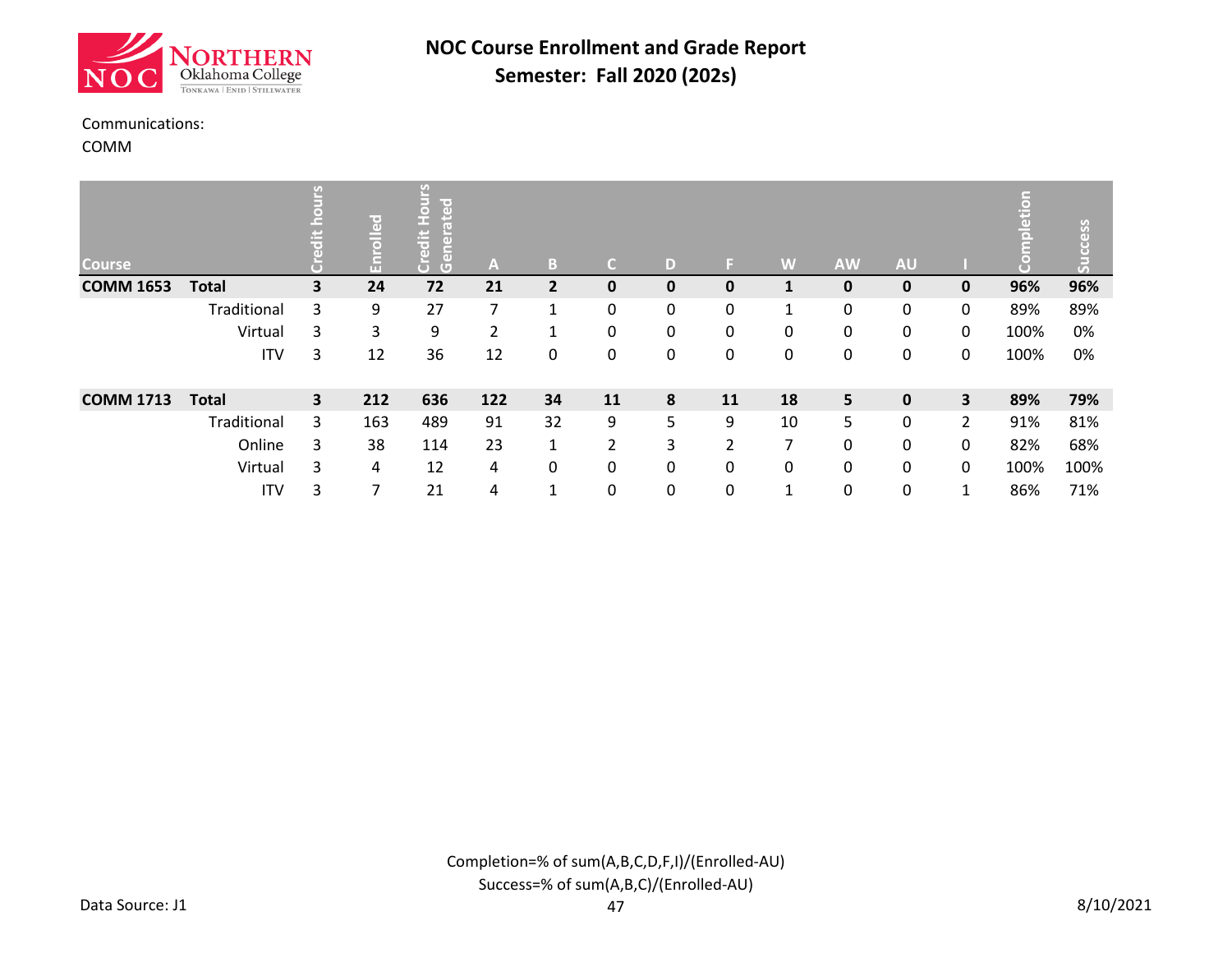![](_page_11_Picture_0.jpeg)

#### Communications:

COMM

| <b>Course</b>    |              | U)                      | ဥ္ပ<br>$\bar{5}$<br>F | y)<br>lit e j<br>$\overline{a}$<br>o<br>е<br>H<br>븒<br>$\overline{a}$<br>$\overline{a}$<br>$\overline{G}$ | A   | B              | C.             | D            | E.             | W  | <b>AW</b> | <b>AU</b>   |                | ā<br>高 | cess |
|------------------|--------------|-------------------------|-----------------------|-----------------------------------------------------------------------------------------------------------|-----|----------------|----------------|--------------|----------------|----|-----------|-------------|----------------|--------|------|
| <b>COMM 1653</b> | <b>Total</b> | $\overline{\mathbf{3}}$ | 24                    | 72                                                                                                        | 21  | $\overline{2}$ | 0              | 0            | 0              |    | $\bf{0}$  | $\mathbf 0$ | $\mathbf 0$    | 96%    | 96%  |
|                  | Traditional  | 3                       | 9                     | 27                                                                                                        | 7   | 1              | 0              | $\mathbf{0}$ | 0              | 1  | 0         | 0           | 0              | 89%    | 89%  |
|                  | Virtual      | 3                       | 3                     | 9                                                                                                         | 2   | 1              | 0              | 0            | 0              | 0  | 0         | 0           | 0              | 100%   | 0%   |
|                  | <b>ITV</b>   | 3                       | 12                    | 36                                                                                                        | 12  | 0              | 0              | 0            | 0              | 0  | 0         | 0           | 0              | 100%   | 0%   |
| <b>COMM 1713</b> | <b>Total</b> | $\overline{\mathbf{3}}$ | 212                   | 636                                                                                                       | 122 | 34             | 11             | 8            | 11             | 18 | 5         | $\mathbf 0$ | 3              | 89%    | 79%  |
|                  | Traditional  | 3                       | 163                   | 489                                                                                                       | 91  | 32             | 9              | 5            | 9              | 10 | 5         | 0           | $\overline{2}$ | 91%    | 81%  |
|                  | Online       | 3                       | 38                    | 114                                                                                                       | 23  | $\mathbf{1}$   | $\overline{2}$ | 3            | $\overline{2}$ | 7  | 0         | 0           | 0              | 82%    | 68%  |
|                  | Virtual      | 3                       | 4                     | 12                                                                                                        | 4   | 0              | 0              | 0            | 0              | 0  | 0         | 0           | 0              | 100%   | 100% |
|                  | <b>ITV</b>   | 3                       | 7                     | 21                                                                                                        | 4   | $\mathbf{1}$   | 0              | 0            | 0              | 1  | 0         | 0           | 1              | 86%    | 71%  |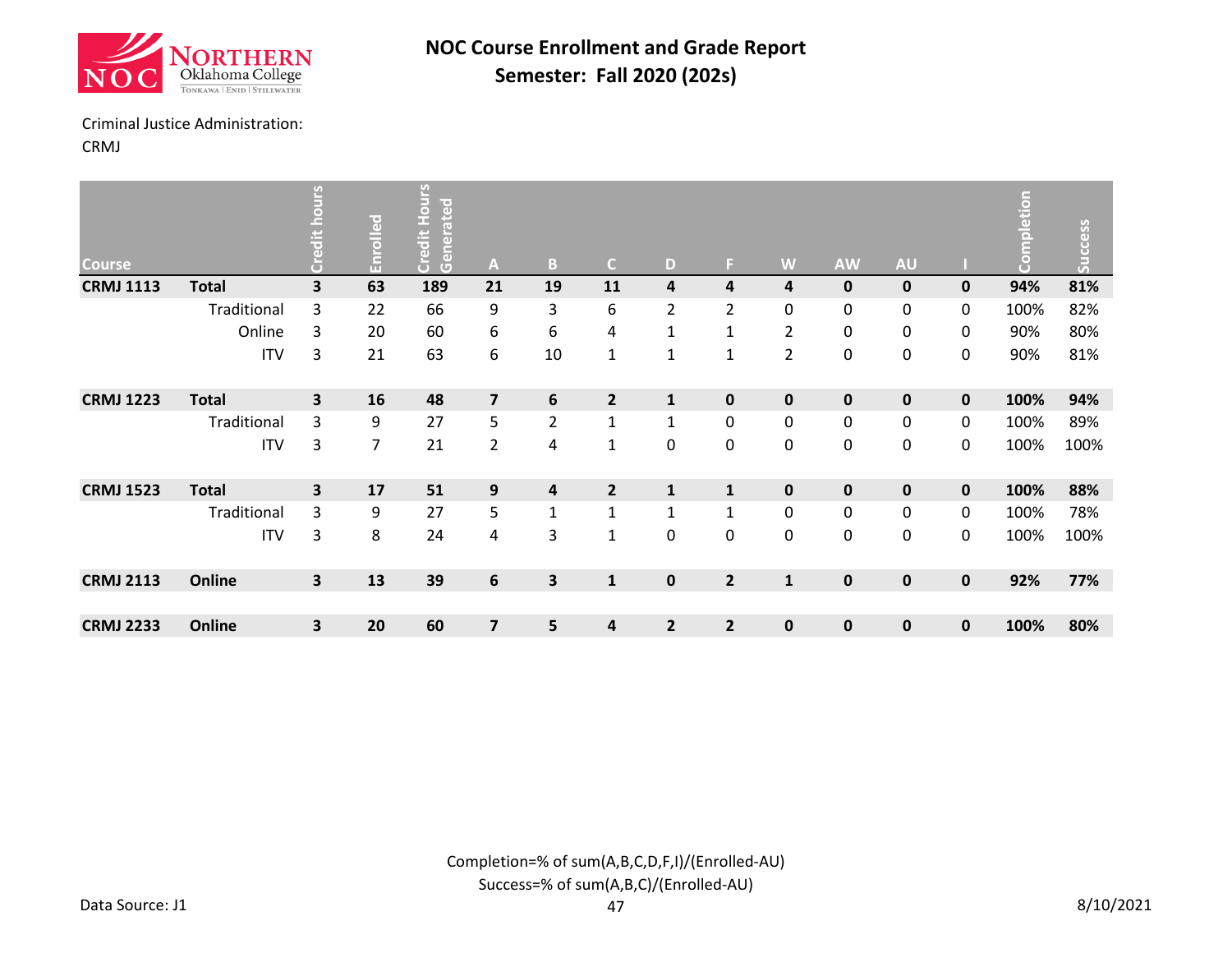![](_page_12_Picture_0.jpeg)

#### Criminal Justice Administration:

CRMJ

| <b>Course</b>    |              | Sun                     | Enrolled | <b>Credit Hours</b><br>Generated | $\mathbf{A}$            | $\, {\bf B}$            | $\mathsf{C}$            | D              | F.                      | W              | <b>AW</b>   | <b>AU</b>   |             | mpletion<br>$\overline{C}$ | Success |
|------------------|--------------|-------------------------|----------|----------------------------------|-------------------------|-------------------------|-------------------------|----------------|-------------------------|----------------|-------------|-------------|-------------|----------------------------|---------|
| <b>CRMJ 1113</b> | <b>Total</b> | $\overline{\mathbf{3}}$ | 63       | 189                              | 21                      | 19                      | 11                      | 4              | 4                       | 4              | $\mathbf 0$ | $\mathbf 0$ | 0           | 94%                        | 81%     |
|                  | Traditional  | 3                       | 22       | 66                               | 9                       | 3                       | 6                       | $\overline{2}$ | 2                       | 0              | 0           | 0           | 0           | 100%                       | 82%     |
|                  | Online       | 3                       | 20       | 60                               | 6                       | 6                       | $\overline{\mathbf{4}}$ | $\mathbf{1}$   | 1                       | $\overline{2}$ | 0           | 0           | 0           | 90%                        | 80%     |
|                  | <b>ITV</b>   | 3                       | 21       | 63                               | 6                       | 10                      | $\mathbf{1}$            | 1              | $\mathbf{1}$            | $\overline{2}$ | 0           | 0           | 0           | 90%                        | 81%     |
| <b>CRMJ 1223</b> | <b>Total</b> | $\overline{\mathbf{3}}$ | 16       | 48                               | $\overline{\mathbf{z}}$ | $6\phantom{1}$          | $\overline{2}$          | $\mathbf{1}$   | $\pmb{0}$               | $\mathbf 0$    | $\pmb{0}$   | $\mathbf 0$ | 0           | 100%                       | 94%     |
|                  | Traditional  | 3                       | 9        | 27                               | 5                       | $\overline{2}$          | $\mathbf 1$             | 1              | 0                       | 0              | 0           | 0           | 0           | 100%                       | 89%     |
|                  | <b>ITV</b>   | 3                       | 7        | 21                               | $\overline{2}$          | 4                       | $\mathbf 1$             | $\pmb{0}$      | 0                       | 0              | $\pmb{0}$   | $\mathbf 0$ | 0           | 100%                       | 100%    |
| <b>CRMJ 1523</b> | <b>Total</b> | 3                       | 17       | 51                               | 9                       | $\overline{\mathbf{4}}$ | $\overline{2}$          | $\mathbf{1}$   | 1                       | $\mathbf 0$    | $\mathbf 0$ | $\mathbf 0$ | $\mathbf 0$ | 100%                       | 88%     |
|                  | Traditional  | 3                       | 9        | 27                               | 5                       | $\mathbf 1$             | $\mathbf{1}$            | $\mathbf{1}$   | 1                       | 0              | $\pmb{0}$   | 0           | 0           | 100%                       | 78%     |
|                  | <b>ITV</b>   | 3                       | 8        | 24                               | 4                       | 3                       | $\mathbf{1}$            | $\mathbf 0$    | 0                       | 0              | $\pmb{0}$   | $\mathbf 0$ | 0           | 100%                       | 100%    |
| <b>CRMJ 2113</b> | Online       | $\mathbf{3}$            | 13       | 39                               | 6                       | 3                       | $\mathbf{1}$            | $\mathbf 0$    | $\overline{2}$          | $\mathbf{1}$   | $\mathbf 0$ | $\mathbf 0$ | 0           | 92%                        | 77%     |
| <b>CRMJ 2233</b> | Online       | 3                       | 20       | 60                               | 7                       | 5                       | 4                       | $\mathbf{2}$   | $\overline{\mathbf{2}}$ | $\pmb{0}$      | $\bf{0}$    | $\mathbf 0$ | 0           | 100%                       | 80%     |

Completion=% of sum(A,B,C,D,F,I)/(Enrolled-AU) Success=% of sum(A,B,C)/(Enrolled-AU)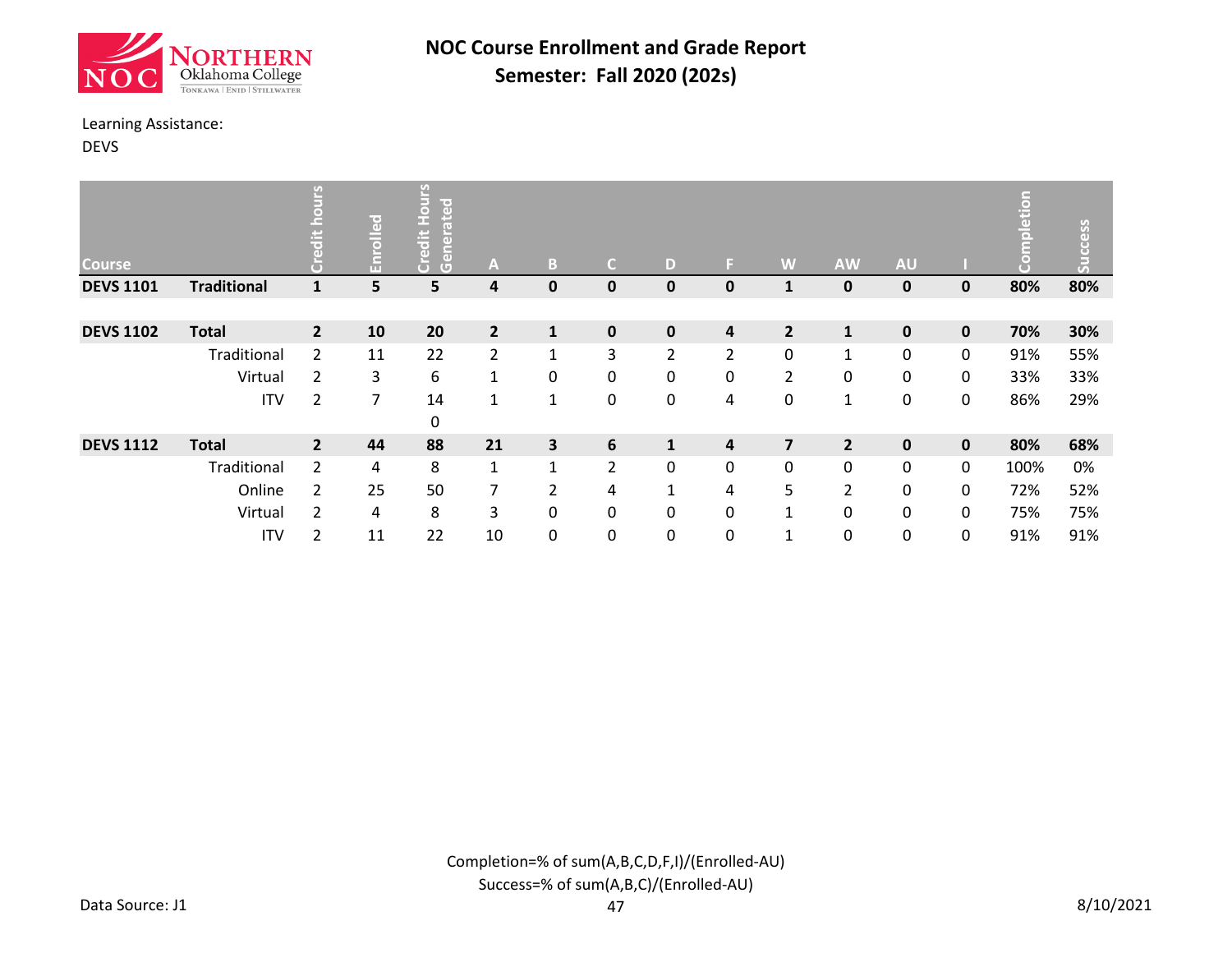![](_page_13_Picture_0.jpeg)

#### Learning Assistance:

DEVS

| <b>Course</b>    |                    | <u>ب</u><br>GD. | Enrolled | N<br>ated<br>$\overline{O}$<br>Œ.<br>edit<br>ene<br>5<br>$\overline{G}$ | A              | B              | C              | D            | F              | W              | <b>AW</b>      | <b>AU</b>   |              | etion<br>5 | Success |
|------------------|--------------------|-----------------|----------|-------------------------------------------------------------------------|----------------|----------------|----------------|--------------|----------------|----------------|----------------|-------------|--------------|------------|---------|
| <b>DEVS 1101</b> | <b>Traditional</b> | $\mathbf{1}$    | 5        | 5                                                                       | 4              | $\mathbf 0$    | $\mathbf 0$    | $\mathbf{0}$ | 0              | $\mathbf{1}$   | 0              | $\mathbf 0$ | 0            | 80%        | 80%     |
|                  |                    |                 |          |                                                                         |                |                |                |              |                |                |                |             |              |            |         |
| <b>DEVS 1102</b> | <b>Total</b>       | $\overline{2}$  | 10       | 20                                                                      | $\overline{2}$ | $\mathbf{1}$   | $\pmb{0}$      | $\mathbf 0$  | 4              | $\overline{2}$ | $\mathbf{1}$   | $\mathbf 0$ | 0            | 70%        | 30%     |
|                  | Traditional        | $\overline{2}$  | 11       | 22                                                                      | $\overline{2}$ | $\mathbf{1}$   | 3              | 2            | $\overline{2}$ | $\mathbf 0$    | $\mathbf{1}$   | $\mathbf 0$ | 0            | 91%        | 55%     |
|                  | Virtual            | $\overline{2}$  | 3        | 6                                                                       | $\mathbf{1}$   | 0              | 0              | 0            | 0              | $\overline{2}$ | 0              | $\mathbf 0$ | 0            | 33%        | 33%     |
|                  | <b>ITV</b>         | 2               | 7        | 14                                                                      | 1              | $\mathbf{1}$   | 0              | 0            | 4              | 0              | $\mathbf{1}$   | 0           | 0            | 86%        | 29%     |
|                  |                    |                 |          | 0                                                                       |                |                |                |              |                |                |                |             |              |            |         |
| <b>DEVS 1112</b> | <b>Total</b>       | $\overline{2}$  | 44       | 88                                                                      | 21             | 3              | 6              | $\mathbf{1}$ | 4              | $\overline{7}$ | $\overline{2}$ | $\mathbf 0$ | $\mathbf{0}$ | 80%        | 68%     |
|                  | Traditional        | $\overline{2}$  | 4        | 8                                                                       | $\mathbf{1}$   | $\mathbf{1}$   | $\overline{2}$ | $\mathbf{0}$ | 0              | 0              | 0              | 0           | 0            | 100%       | 0%      |
|                  | Online             | 2               | 25       | 50                                                                      | $\overline{7}$ | $\overline{2}$ | 4              | $\mathbf{1}$ | 4              | 5              | 2              | 0           | 0            | 72%        | 52%     |
|                  | Virtual            | 2               | 4        | 8                                                                       | 3              | 0              | 0              | 0            | 0              | $\mathbf{1}$   | 0              | 0           | 0            | 75%        | 75%     |
|                  | <b>ITV</b>         | $\overline{2}$  | 11       | 22                                                                      | 10             | 0              | $\mathbf 0$    | $\mathbf{0}$ | 0              | $\mathbf{1}$   | 0              | 0           | 0            | 91%        | 91%     |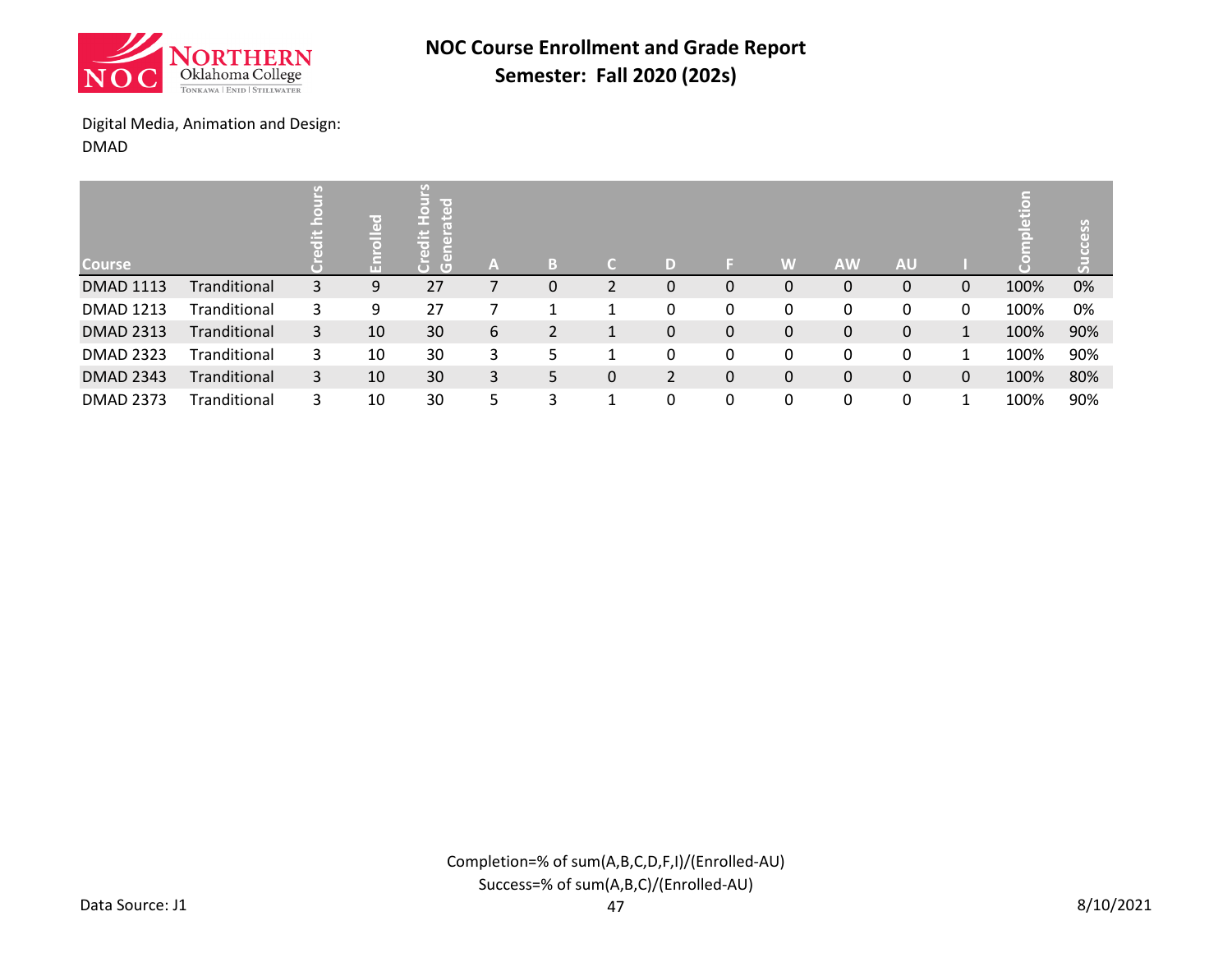![](_page_14_Picture_0.jpeg)

### Digital Media, Animation and Design: DMAD

| <b>Course</b>    |              | U) | $\overline{a}$<br>m | Ø<br>line of<br>r = 1<br>σ | A  | B | C. | D            |   | W | <b>AW</b> | <b>AU</b>    |    | 풉    | ess<br>3 |
|------------------|--------------|----|---------------------|----------------------------|----|---|----|--------------|---|---|-----------|--------------|----|------|----------|
| <b>DMAD 1113</b> | Tranditional | 3  | 9                   | 27                         |    | 0 | 2  | $\mathbf{0}$ | 0 | 0 | 0         | 0            | 0  | 100% | 0%       |
| <b>DMAD 1213</b> | Tranditional | 3  | 9                   | 27                         |    |   | -1 | 0            | 0 | 0 | 0         | 0            | 0  | 100% | 0%       |
| <b>DMAD 2313</b> | Tranditional | 3  | 10                  | 30                         | 6  | 2 | 1  | $\mathbf 0$  | 0 | 0 | 0         | $\mathbf{0}$ | 1  | 100% | 90%      |
| <b>DMAD 2323</b> | Tranditional | 3  | 10                  | 30                         | 3  | 5 |    | 0            | 0 | 0 | 0         | 0            | 1. | 100% | 90%      |
| <b>DMAD 2343</b> | Tranditional | 3  | 10                  | 30                         | 3  | 5 | 0  | 2            | 0 | 0 | 0         | 0            | 0  | 100% | 80%      |
| <b>DMAD 2373</b> | Tranditional | 3  | 10                  | 30                         | 5. | 3 | 1  | 0            | 0 | 0 | 0         | 0            |    | 100% | 90%      |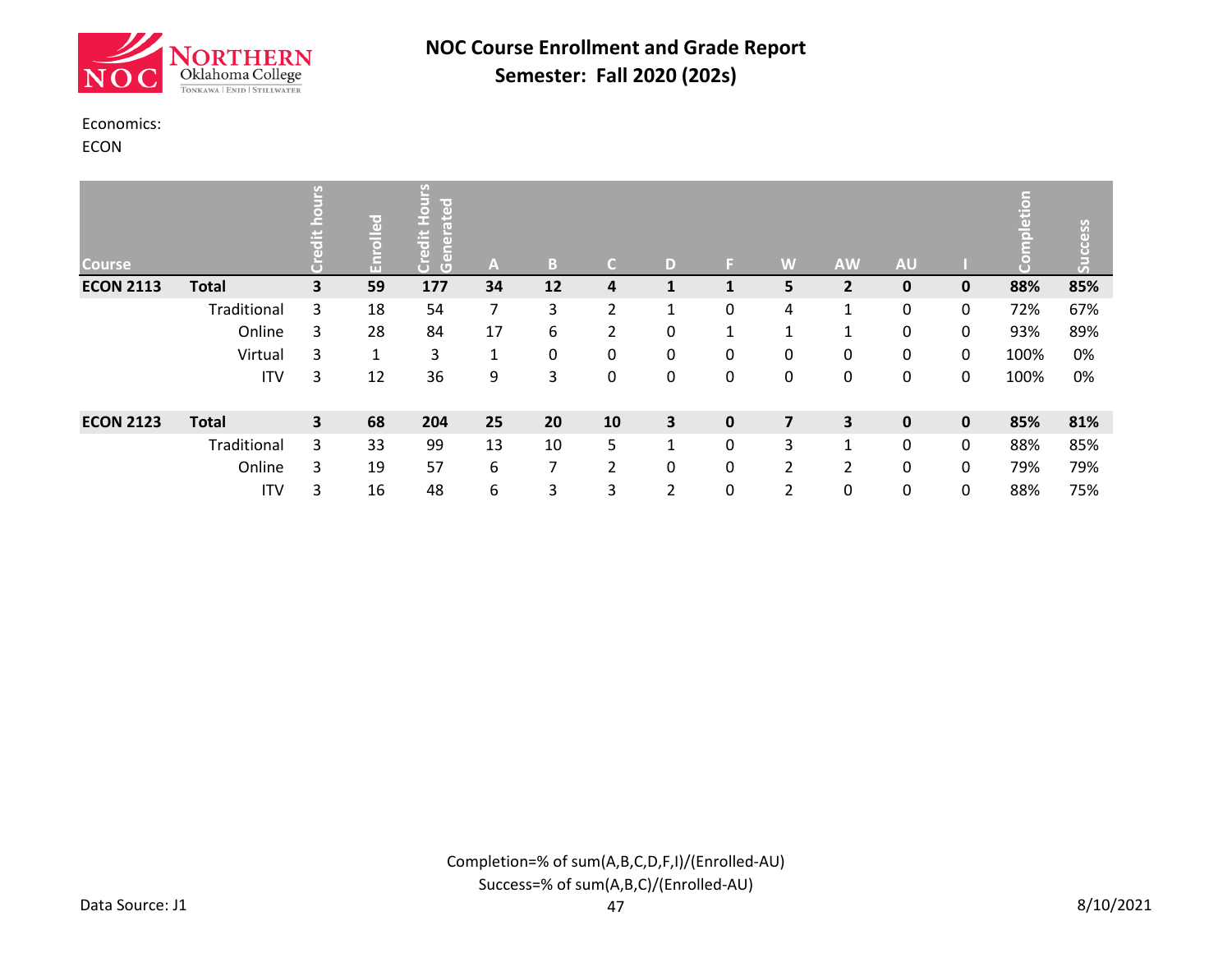![](_page_15_Picture_0.jpeg)

#### Economics:

ECON

| <b>Course</b>    |              | U)                      | ၟၟ<br>$\bar{5}$<br>'n | y)<br>lir er<br>$\overline{a}$<br>o<br>æ<br>H<br>ä<br>$\overline{a}$<br>$\overline{a}$<br>$\overline{G}$ | A              | B. | C.             | D                       | ы            | W              | <b>AW</b>               | <b>AU</b>   |             | ā<br>iă | ess |
|------------------|--------------|-------------------------|-----------------------|----------------------------------------------------------------------------------------------------------|----------------|----|----------------|-------------------------|--------------|----------------|-------------------------|-------------|-------------|---------|-----|
| <b>ECON 2113</b> | <b>Total</b> | 3                       | 59                    | 177                                                                                                      | 34             | 12 | 4              |                         |              | 5              | $\overline{2}$          | $\mathbf 0$ | $\mathbf 0$ | 88%     | 85% |
|                  | Traditional  | 3                       | 18                    | 54                                                                                                       | $\overline{7}$ | 3  | $\overline{2}$ | $\blacktriangleleft$    | 0            | 4              | 1                       | 0           | 0           | 72%     | 67% |
|                  | Online       | 3                       | 28                    | 84                                                                                                       | 17             | 6  | 2              | 0                       | $\mathbf{I}$ | 1              | 1                       | 0           | 0           | 93%     | 89% |
|                  | Virtual      | 3                       | $\mathbf{1}$          | 3                                                                                                        | 1              | 0  | 0              | 0                       | 0            | 0              | 0                       | 0           | 0           | 100%    | 0%  |
|                  | <b>ITV</b>   | 3                       | 12                    | 36                                                                                                       | 9              | 3  | 0              | $\mathbf{0}$            | 0            | 0              | 0                       | 0           | 0           | 100%    | 0%  |
| <b>ECON 2123</b> | <b>Total</b> | $\overline{\mathbf{3}}$ | 68                    | 204                                                                                                      | 25             | 20 | 10             | $\overline{\mathbf{3}}$ | $\mathbf 0$  | $\overline{7}$ | $\overline{\mathbf{3}}$ | $\pmb{0}$   | $\pmb{0}$   | 85%     | 81% |
|                  | Traditional  | 3                       | 33                    | 99                                                                                                       | 13             | 10 | 5              | 1                       | 0            | 3              | 1                       | 0           | 0           | 88%     | 85% |
|                  | Online       | 3                       | 19                    | 57                                                                                                       | 6              | 7  | $\overline{2}$ | 0                       | 0            | 2              | $\overline{2}$          | 0           | 0           | 79%     | 79% |
|                  | <b>ITV</b>   | 3                       | 16                    | 48                                                                                                       | 6              | 3  | 3              | 2                       | 0            | 2              | 0                       | 0           | 0           | 88%     | 75% |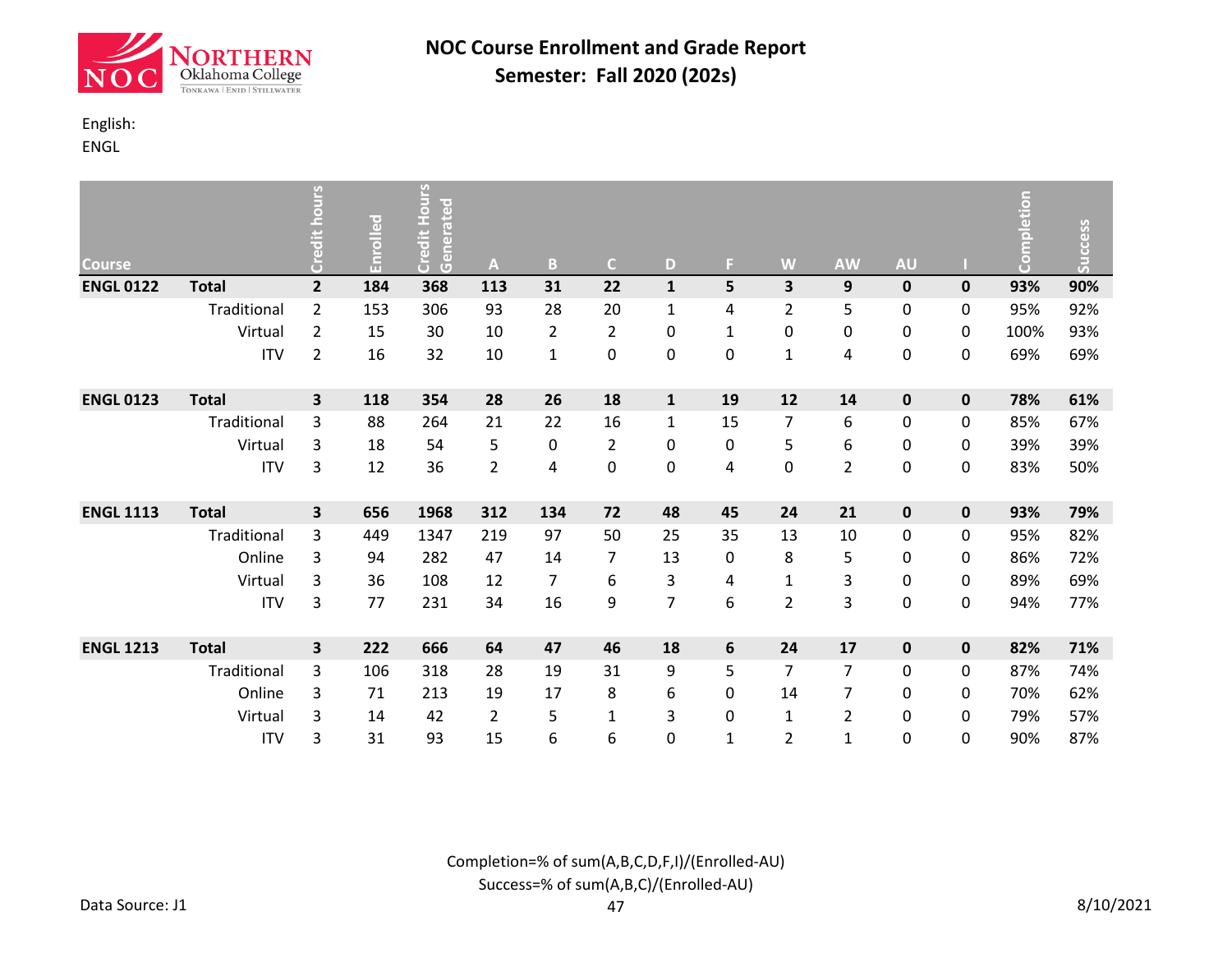![](_page_16_Picture_0.jpeg)

### English:

ENGL

| <b>Course</b>    |              | Credit hours   | Enrolled | <b>Credit Hours</b><br>Generated | A              | B              | $\mathsf{C}$   | D              | F.           | W              | <b>AW</b>      | <b>AU</b>   |             | Completion | Success |
|------------------|--------------|----------------|----------|----------------------------------|----------------|----------------|----------------|----------------|--------------|----------------|----------------|-------------|-------------|------------|---------|
| <b>ENGL 0122</b> | <b>Total</b> | $\overline{2}$ | 184      | 368                              | 113            | 31             | 22             | $\mathbf{1}$   | 5            | 3              | 9              | $\pmb{0}$   | $\pmb{0}$   | 93%        | 90%     |
|                  | Traditional  | $\overline{2}$ | 153      | 306                              | 93             | 28             | 20             | $\mathbf{1}$   | 4            | $\overline{2}$ | 5              | 0           | 0           | 95%        | 92%     |
|                  | Virtual      | $\overline{2}$ | 15       | 30                               | 10             | $\overline{2}$ | $\overline{2}$ | 0              | $\mathbf{1}$ | 0              | 0              | 0           | 0           | 100%       | 93%     |
|                  | <b>ITV</b>   | 2              | 16       | 32                               | 10             | $\mathbf{1}$   | 0              | 0              | 0            | $\mathbf{1}$   | 4              | 0           | 0           | 69%        | 69%     |
| <b>ENGL 0123</b> | <b>Total</b> | 3              | 118      | 354                              | 28             | 26             | 18             | $\mathbf{1}$   | 19           | 12             | 14             | $\pmb{0}$   | $\pmb{0}$   | 78%        | 61%     |
|                  | Traditional  | 3              | 88       | 264                              | 21             | 22             | 16             | $\mathbf{1}$   | 15           | $\overline{7}$ | 6              | 0           | 0           | 85%        | 67%     |
|                  | Virtual      | 3              | 18       | 54                               | 5              | 0              | $\overline{2}$ | 0              | 0            | 5              | 6              | 0           | 0           | 39%        | 39%     |
|                  | <b>ITV</b>   | 3              | 12       | 36                               | $\overline{2}$ | 4              | 0              | 0              | 4            | 0              | $\overline{2}$ | $\pmb{0}$   | 0           | 83%        | 50%     |
| <b>ENGL 1113</b> | <b>Total</b> | 3              | 656      | 1968                             | 312            | 134            | 72             | 48             | 45           | 24             | 21             | $\mathbf 0$ | $\mathbf 0$ | 93%        | 79%     |
|                  | Traditional  | 3              | 449      | 1347                             | 219            | 97             | 50             | 25             | 35           | 13             | 10             | 0           | 0           | 95%        | 82%     |
|                  | Online       | 3              | 94       | 282                              | 47             | 14             | $\overline{7}$ | 13             | 0            | 8              | 5              | 0           | 0           | 86%        | 72%     |
|                  | Virtual      | 3              | 36       | 108                              | 12             | 7              | 6              | 3              | 4            | $\mathbf 1$    | 3              | 0           | 0           | 89%        | 69%     |
|                  | <b>ITV</b>   | 3              | 77       | 231                              | 34             | 16             | 9              | $\overline{7}$ | 6            | $\overline{2}$ | 3              | 0           | 0           | 94%        | 77%     |
| <b>ENGL 1213</b> | <b>Total</b> | 3              | 222      | 666                              | 64             | 47             | 46             | 18             | 6            | 24             | 17             | $\mathbf 0$ | 0           | 82%        | 71%     |
|                  | Traditional  | 3              | 106      | 318                              | 28             | 19             | 31             | 9              | 5            | $\overline{7}$ | $\overline{7}$ | 0           | 0           | 87%        | 74%     |
|                  | Online       | 3              | 71       | 213                              | 19             | 17             | 8              | 6              | 0            | 14             | $\overline{7}$ | 0           | 0           | 70%        | 62%     |
|                  | Virtual      | 3              | 14       | 42                               | $\overline{2}$ | 5              | $\mathbf{1}$   | 3              | 0            | $\mathbf{1}$   | $\overline{2}$ | 0           | 0           | 79%        | 57%     |
|                  | <b>ITV</b>   | 3              | 31       | 93                               | 15             | 6              | 6              | 0              | $\mathbf{1}$ | 2              | $\mathbf{1}$   | 0           | 0           | 90%        | 87%     |

Completion=% of sum(A,B,C,D,F,I)/(Enrolled-AU) Success=% of sum(A,B,C)/(Enrolled-AU)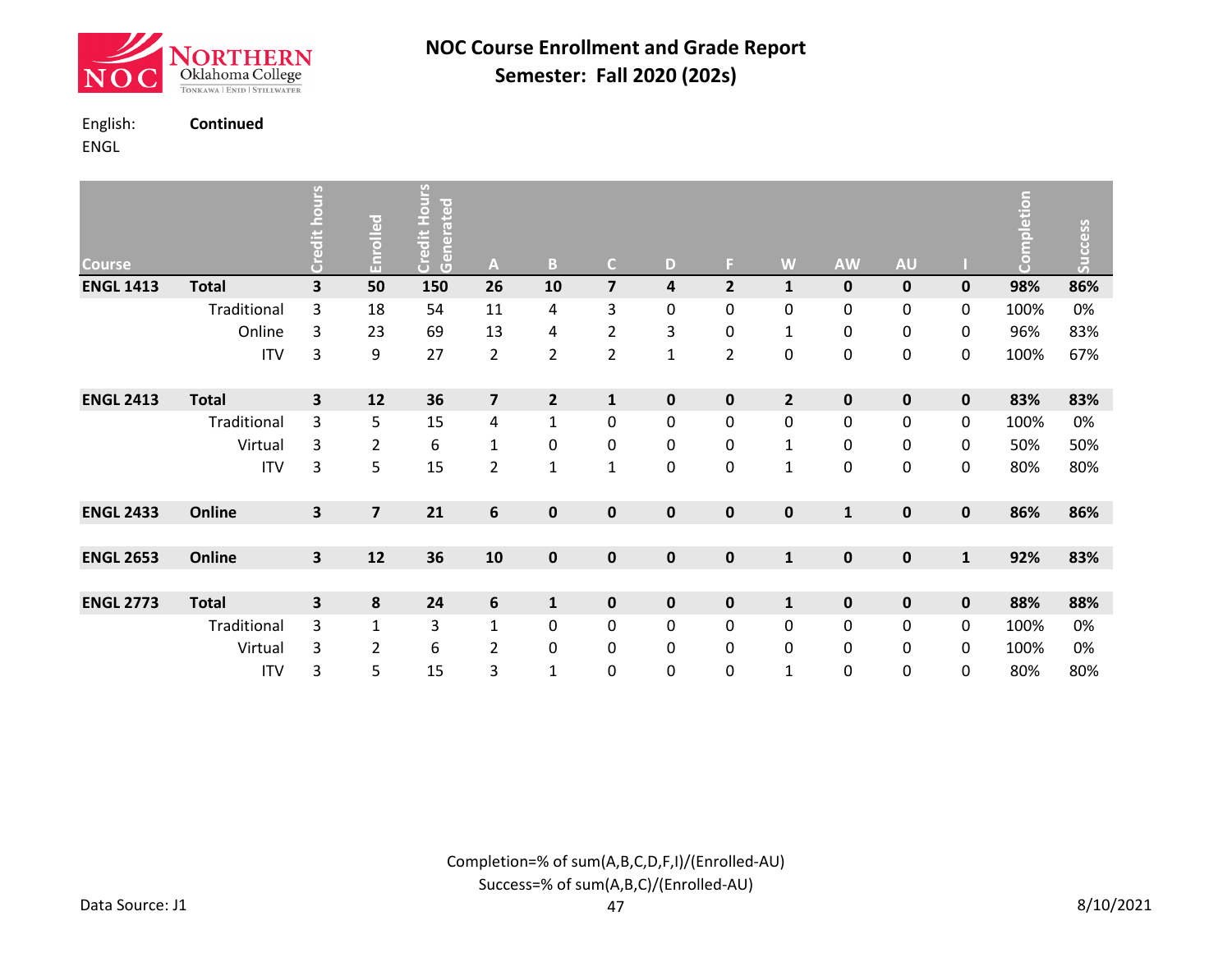![](_page_17_Picture_0.jpeg)

English: **Continued**

ENGL

| Contin |  |
|--------|--|
|        |  |

| <b>Course</b>    |              | <b>OUIS</b><br>Credit h | Enrolled                | Lour<br>Hour<br>Generated<br>Credit | A                       | $\, {\bf B}$            | $\mathsf{C}$            | D            | F.             | W                       | <b>AW</b>    | <b>AU</b>   |              | Completion | <b>Success</b> |
|------------------|--------------|-------------------------|-------------------------|-------------------------------------|-------------------------|-------------------------|-------------------------|--------------|----------------|-------------------------|--------------|-------------|--------------|------------|----------------|
| <b>ENGL 1413</b> | <b>Total</b> | 3                       | 50                      | 150                                 | 26                      | 10                      | $\overline{\mathbf{z}}$ | 4            | $\mathbf{2}$   | $\mathbf{1}$            | $\pmb{0}$    | $\pmb{0}$   | $\pmb{0}$    | 98%        | 86%            |
|                  | Traditional  | 3                       | 18                      | 54                                  | 11                      | 4                       | 3                       | $\mathbf 0$  | 0              | 0                       | 0            | 0           | 0            | 100%       | 0%             |
|                  | Online       | 3                       | 23                      | 69                                  | 13                      | 4                       | $\overline{\mathbf{c}}$ | 3            | 0              | $\mathbf{1}$            | 0            | 0           | 0            | 96%        | 83%            |
|                  | <b>ITV</b>   | 3                       | 9                       | 27                                  | $\overline{2}$          | $\overline{2}$          | $\overline{\mathbf{c}}$ | $\mathbf{1}$ | $\overline{2}$ | 0                       | 0            | 0           | 0            | 100%       | 67%            |
| <b>ENGL 2413</b> | <b>Total</b> | 3                       | 12                      | 36                                  | $\overline{\mathbf{z}}$ | $\overline{\mathbf{2}}$ | $\mathbf 1$             | $\mathbf 0$  | 0              | $\overline{\mathbf{2}}$ | $\pmb{0}$    | $\pmb{0}$   | $\pmb{0}$    | 83%        | 83%            |
|                  | Traditional  | 3                       | 5                       | 15                                  | 4                       | $\mathbf{1}$            | $\boldsymbol{0}$        | $\mathbf 0$  | 0              | 0                       | 0            | 0           | $\mathbf 0$  | 100%       | 0%             |
|                  | Virtual      | 3                       | 2                       | 6                                   | 1                       | 0                       | $\pmb{0}$               | $\pmb{0}$    | 0              | 1                       | 0            | 0           | 0            | 50%        | 50%            |
|                  | <b>ITV</b>   | 3                       | 5                       | 15                                  | $\overline{2}$          | $\mathbf{1}$            | $\mathbf{1}$            | $\mathbf 0$  | 0              | $\mathbf{1}$            | 0            | 0           | $\pmb{0}$    | 80%        | 80%            |
| <b>ENGL 2433</b> | Online       | 3                       | $\overline{\mathbf{z}}$ | 21                                  | $\boldsymbol{6}$        | $\pmb{0}$               | $\pmb{0}$               | $\mathbf 0$  | $\mathbf 0$    | $\mathbf 0$             | $\mathbf{1}$ | $\pmb{0}$   | $\pmb{0}$    | 86%        | 86%            |
|                  |              |                         |                         |                                     |                         |                         |                         |              |                |                         |              |             |              |            |                |
| <b>ENGL 2653</b> | Online       | $\overline{\mathbf{3}}$ | 12                      | 36                                  | 10                      | $\pmb{0}$               | $\mathbf 0$             | $\mathbf 0$  | 0              | $\mathbf{1}$            | $\mathbf 0$  | $\mathbf 0$ | $\mathbf{1}$ | 92%        | 83%            |
|                  |              |                         |                         |                                     |                         |                         |                         |              |                |                         |              |             |              |            |                |
| <b>ENGL 2773</b> | <b>Total</b> | 3                       | 8                       | 24                                  | 6                       | $\mathbf 1$             | $\pmb{0}$               | $\mathbf 0$  | $\mathbf 0$    | $\mathbf{1}$            | $\mathbf 0$  | $\pmb{0}$   | $\pmb{0}$    | 88%        | 88%            |
|                  | Traditional  | 3                       | $\mathbf{1}$            | 3                                   | $\mathbf{1}$            | 0                       | $\boldsymbol{0}$        | $\pmb{0}$    | 0              | $\mathbf 0$             | 0            | 0           | $\pmb{0}$    | 100%       | 0%             |
|                  | Virtual      | 3                       | 2                       | 6                                   | 2                       | 0                       | $\pmb{0}$               | 0            | 0              | 0                       | 0            | 0           | 0            | 100%       | 0%             |
|                  | <b>ITV</b>   | 3                       | 5                       | 15                                  | 3                       | $\mathbf{1}$            | $\boldsymbol{0}$        | $\mathbf 0$  | 0              | $\mathbf{1}$            | 0            | 0           | 0            | 80%        | 80%            |

Completion=% of sum(A,B,C,D,F,I)/(Enrolled-AU) Success=% of sum(A,B,C)/(Enrolled-AU)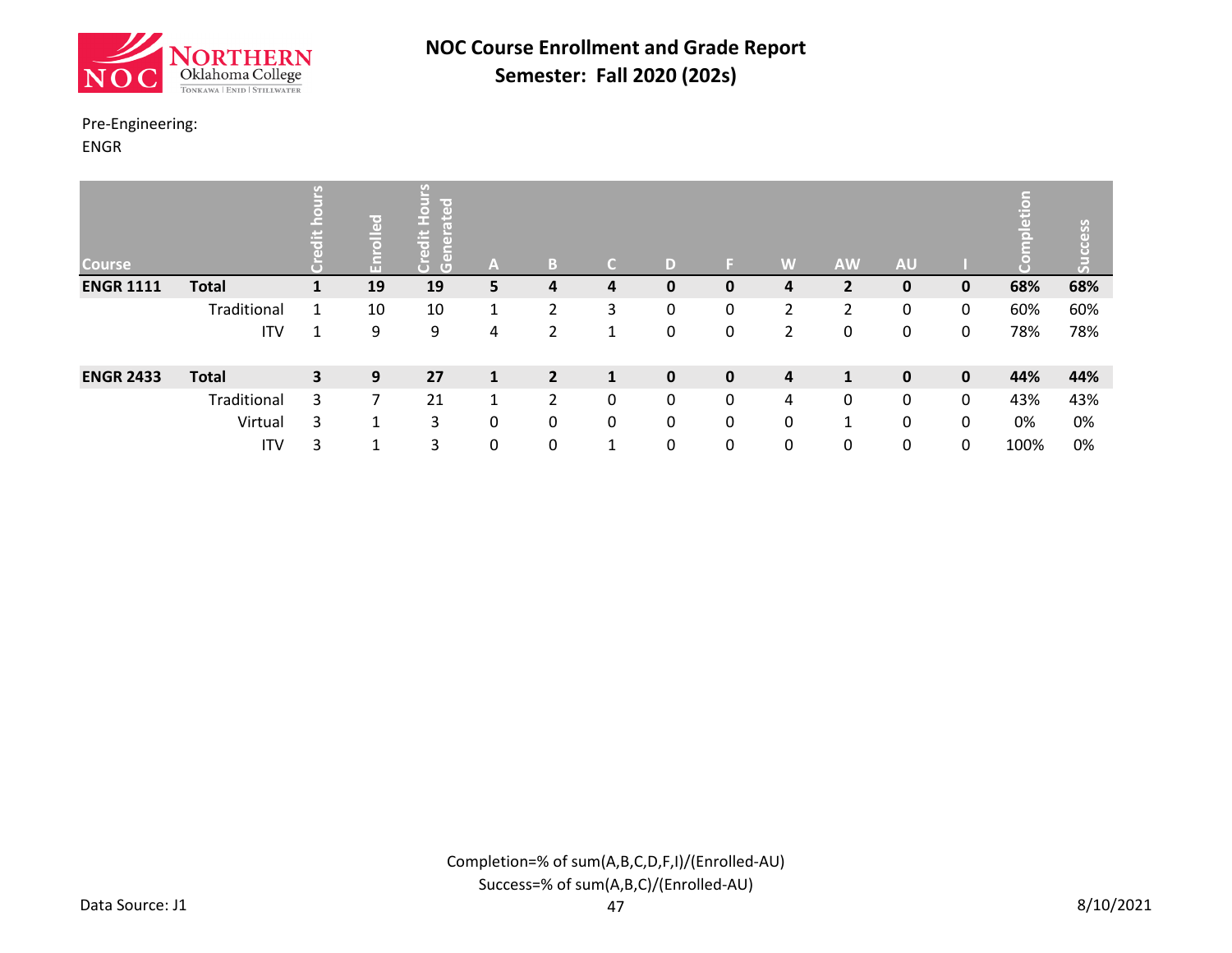![](_page_18_Picture_0.jpeg)

#### Pre-Engineering:

ENGR

| <b>Course</b>    |              | $\mathcal{F}_{\mathcal{A}}$ | rolled<br>릂 | lir er<br>$\frac{1}{\sigma}$<br>ō<br>កា<br>$\overline{G}$ | A            | B              | C            | D            |              | W              | <b>AW</b>      | <b>AU</b>   |             | Ë    | ess |
|------------------|--------------|-----------------------------|-------------|-----------------------------------------------------------|--------------|----------------|--------------|--------------|--------------|----------------|----------------|-------------|-------------|------|-----|
| <b>ENGR 1111</b> | <b>Total</b> | 1                           | 19          | 19                                                        | 5            | 4              | 4            | 0            | 0            | 4              | $\overline{2}$ | 0           | $\mathbf 0$ | 68%  | 68% |
|                  | Traditional  | 1                           | 10          | 10                                                        | 1            | 2              | 3            | 0            | 0            | $\overline{2}$ | $\overline{2}$ | 0           | 0           | 60%  | 60% |
|                  | <b>ITV</b>   | 1                           | 9           | 9                                                         | 4            | 2              | 1            | 0            | 0            | $\overline{2}$ | 0              | 0           | 0           | 78%  | 78% |
| <b>ENGR 2433</b> | <b>Total</b> | $\overline{\mathbf{3}}$     | 9           | 27                                                        | $\mathbf{1}$ | $\overline{2}$ | $\mathbf{1}$ | $\mathbf{0}$ | $\mathbf{0}$ | 4              | $\mathbf{1}$   | $\mathbf 0$ | $\mathbf 0$ | 44%  | 44% |
|                  | Traditional  | 3                           | 7           | 21                                                        | 1            | 2              | 0            | $\mathbf{0}$ | 0            | 4              | 0              | 0           | 0           | 43%  | 43% |
|                  | Virtual      | 3                           | 1           | 3                                                         | 0            | 0              | 0            | 0            | $\mathbf{0}$ | 0              | 1              | 0           | 0           | 0%   | 0%  |
|                  | <b>ITV</b>   | 3                           | 1           | 3                                                         | 0            | 0              | 1            | $\mathbf{0}$ | 0            | 0              | 0              | 0           | $\mathbf 0$ | 100% | 0%  |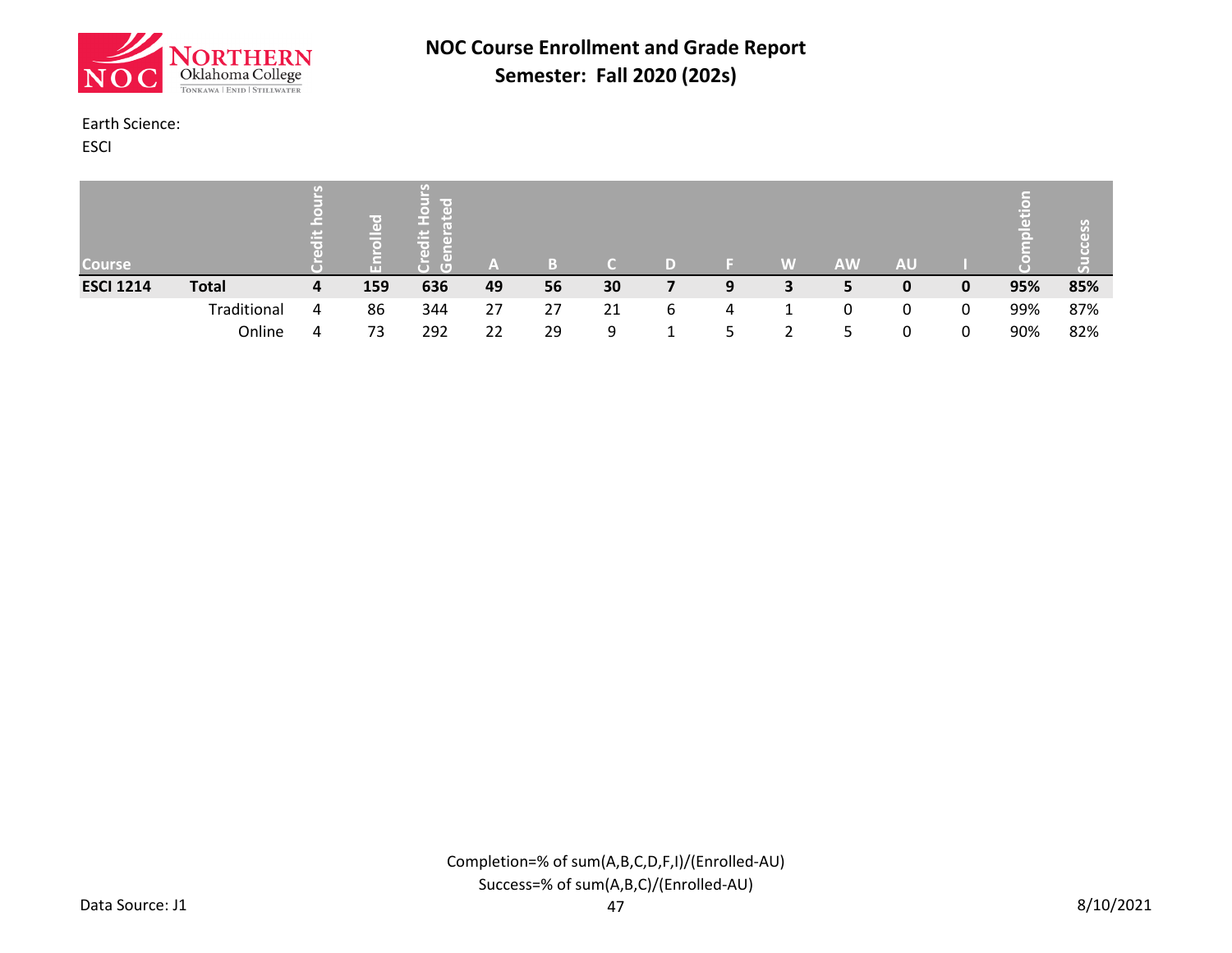![](_page_19_Picture_0.jpeg)

#### Earth Science:

ESCI

| <b>Course</b>    |              | $\left( \mathcal{F}_{\mathcal{A}}\right)$ |     | line of<br>ir en 1<br>G | A  | B  |    |   |   | W | <b>AW</b> | <b>AU</b> |   | ŢФ. | $\mathcal{S}$<br>Œ<br>$\overline{(\sqrt{n})}$ |
|------------------|--------------|-------------------------------------------|-----|-------------------------|----|----|----|---|---|---|-----------|-----------|---|-----|-----------------------------------------------|
| <b>ESCI 1214</b> | <b>Total</b> | 4                                         | 159 | 636                     | 49 | 56 | 30 |   | 9 | 3 | 5         | 0         | 0 | 95% | 85%                                           |
|                  | Traditional  | 4                                         | 86  | 344                     | 27 | 27 | 21 | 6 | 4 |   | 0         | $\Omega$  | 0 | 99% | 87%                                           |
|                  | Online       | 4                                         | 73  | 292                     | 22 | 29 | 9  |   |   |   | ∽         | 0         | 0 | 90% | 82%                                           |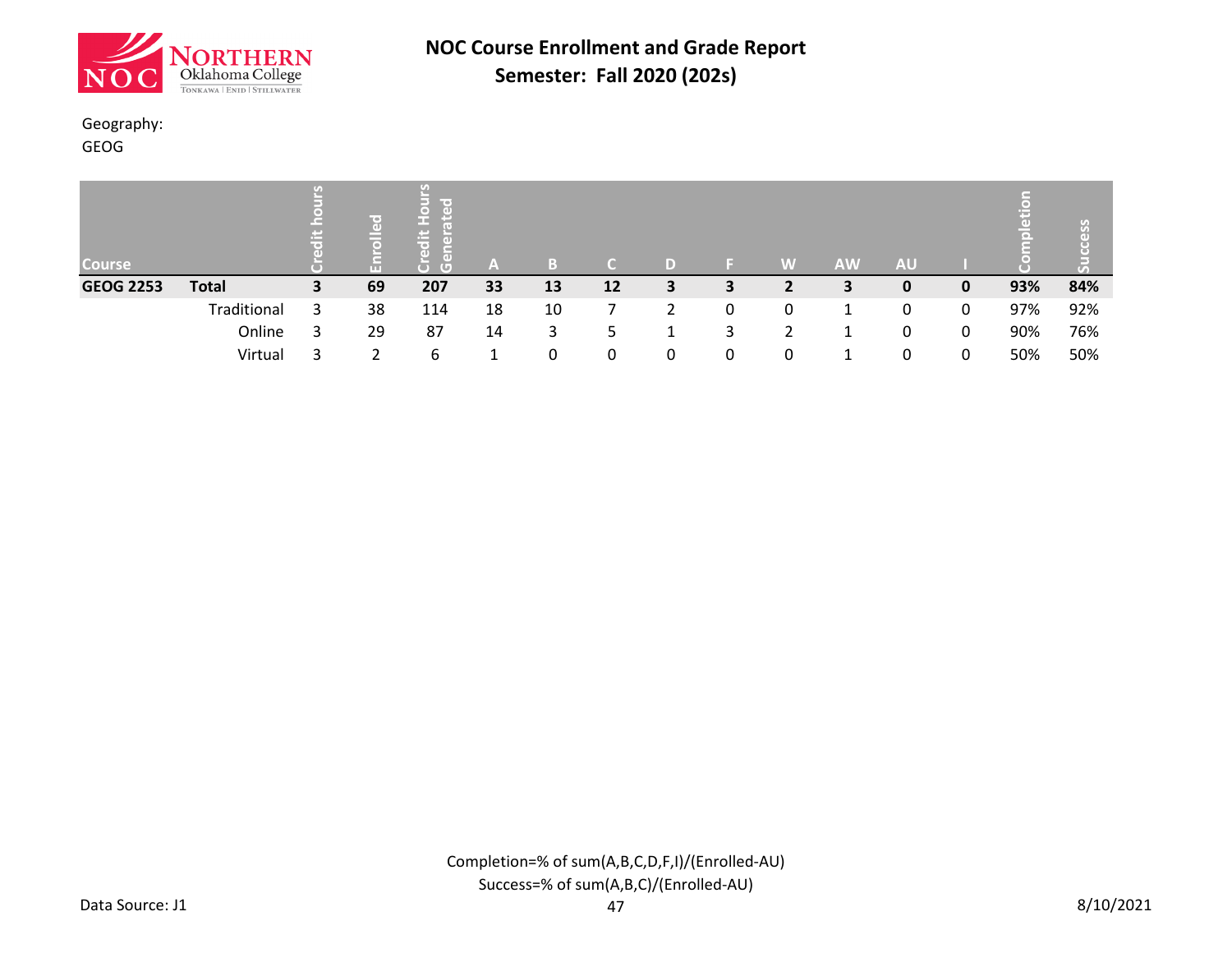![](_page_20_Picture_0.jpeg)

#### Geography:

GEOG

| <b>Course</b>    |              |   | (e)<br>$\left($<br>G | me o<br>−<br>rei<br>ÆG* | A  | B  |    |   |   | W | <b>AW</b> | <b>AU</b> |   | 끟   | C)  |
|------------------|--------------|---|----------------------|-------------------------|----|----|----|---|---|---|-----------|-----------|---|-----|-----|
| <b>GEOG 2253</b> | <b>Total</b> | 3 | 69                   | 207                     | 33 | 13 | 12 | 3 | З |   | 3         | 0         | 0 | 93% | 84% |
|                  | Traditional  |   | 38                   | 114                     | 18 | 10 |    |   | 0 | 0 |           | 0         | 0 | 97% | 92% |
|                  | Online       |   | 29                   | 87                      | 14 | 3  | 5  |   | 3 |   |           | 0         | 0 | 90% | 76% |
|                  | Virtual      |   |                      | 6                       |    | 0  | 0  |   | 0 | 0 |           | 0         | 0 | 50% | 50% |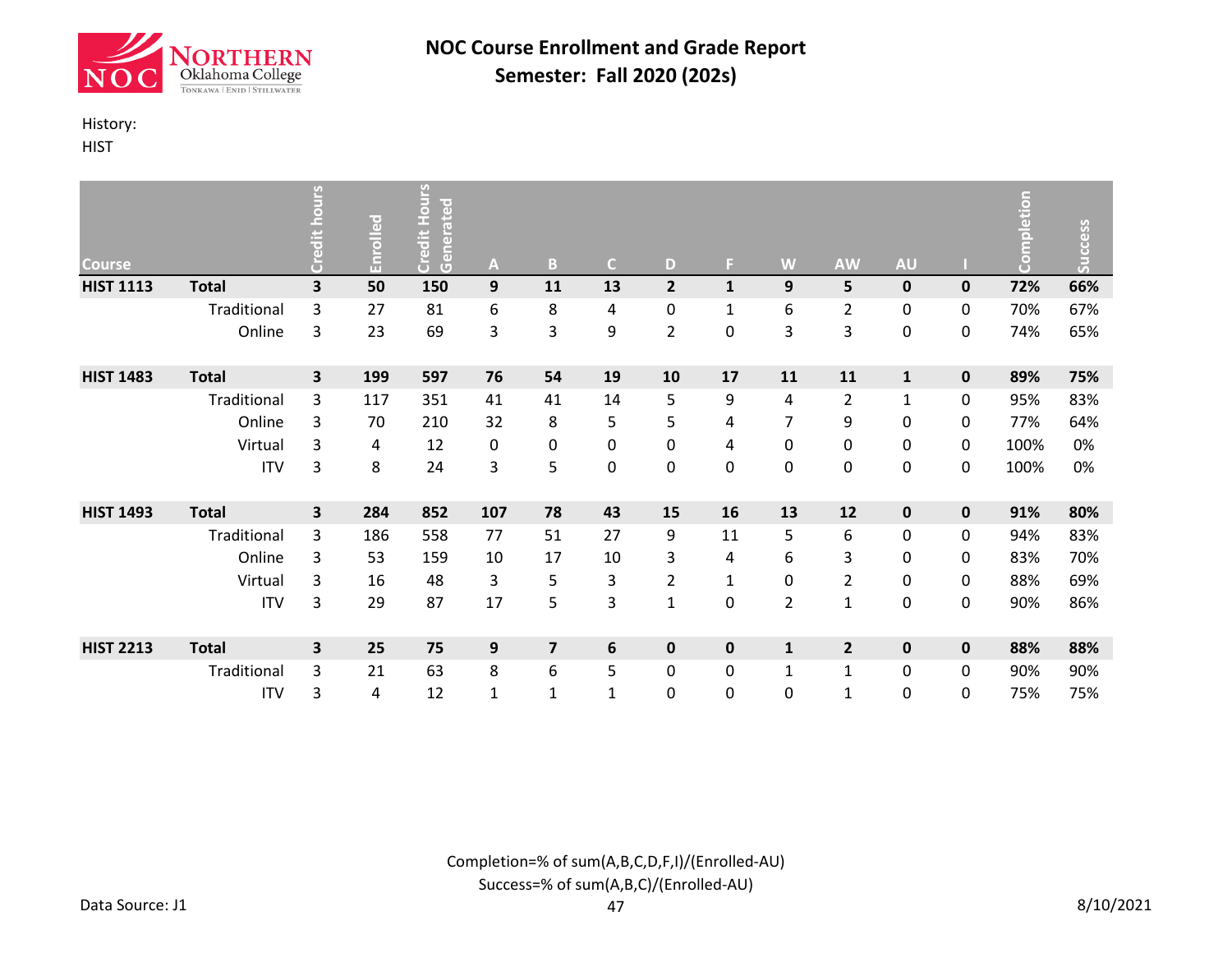![](_page_21_Picture_0.jpeg)

### History:

**HIST** 

| <b>Course</b>    |              | <b>OUIS</b><br>Credit h | Enrolled | Credit Hours<br>Generated | A                | B                       | $\mathsf{C}$ | D              | ы            | W              | <b>AW</b>      | <b>AU</b>    |             | Completion | Success |
|------------------|--------------|-------------------------|----------|---------------------------|------------------|-------------------------|--------------|----------------|--------------|----------------|----------------|--------------|-------------|------------|---------|
| <b>HIST 1113</b> | <b>Total</b> | 3                       | 50       | 150                       | $\boldsymbol{9}$ | 11                      | 13           | $\overline{2}$ | $\mathbf{1}$ | 9              | 5              | $\pmb{0}$    | $\mathbf 0$ | 72%        | 66%     |
|                  | Traditional  | 3                       | 27       | 81                        | 6                | 8                       | 4            | 0              | $\mathbf{1}$ | 6              | $\overline{2}$ | 0            | 0           | 70%        | 67%     |
|                  | Online       | 3                       | 23       | 69                        | 3                | 3                       | 9            | $\overline{2}$ | 0            | 3              | 3              | 0            | 0           | 74%        | 65%     |
| <b>HIST 1483</b> | <b>Total</b> | 3                       | 199      | 597                       | 76               | 54                      | 19           | 10             | 17           | 11             | 11             | $\mathbf{1}$ | $\pmb{0}$   | 89%        | 75%     |
|                  | Traditional  | 3                       | 117      | 351                       | 41               | 41                      | 14           | 5              | 9            | 4              | $\overline{2}$ | $\mathbf{1}$ | 0           | 95%        | 83%     |
|                  | Online       | 3                       | 70       | 210                       | 32               | 8                       | 5            | 5              | 4            | 7              | 9              | 0            | 0           | 77%        | 64%     |
|                  | Virtual      | 3                       | 4        | 12                        | 0                | 0                       | $\pmb{0}$    | 0              | 4            | 0              | 0              | 0            | 0           | 100%       | 0%      |
|                  | <b>ITV</b>   | 3                       | 8        | 24                        | 3                | 5                       | $\pmb{0}$    | $\mathbf 0$    | 0            | $\pmb{0}$      | 0              | 0            | 0           | 100%       | 0%      |
| <b>HIST 1493</b> | <b>Total</b> | 3                       | 284      | 852                       | 107              | 78                      | 43           | 15             | 16           | 13             | 12             | 0            | $\mathbf 0$ | 91%        | 80%     |
|                  | Traditional  | 3                       | 186      | 558                       | 77               | 51                      | 27           | 9              | 11           | 5              | 6              | 0            | 0           | 94%        | 83%     |
|                  | Online       | 3                       | 53       | 159                       | 10               | 17                      | 10           | 3              | 4            | 6              | 3              | 0            | 0           | 83%        | 70%     |
|                  | Virtual      | 3                       | 16       | 48                        | 3                | 5                       | 3            | $\overline{2}$ | 1            | 0              | $\overline{2}$ | 0            | 0           | 88%        | 69%     |
|                  | <b>ITV</b>   | 3                       | 29       | 87                        | 17               | 5                       | 3            | 1              | 0            | $\overline{2}$ | $\mathbf{1}$   | 0            | 0           | 90%        | 86%     |
| <b>HIST 2213</b> | <b>Total</b> | 3                       | 25       | 75                        | 9                | $\overline{\mathbf{z}}$ | 6            | 0              | 0            | $\mathbf{1}$   | $\overline{2}$ | $\pmb{0}$    | $\pmb{0}$   | 88%        | 88%     |
|                  | Traditional  | 3                       | 21       | 63                        | 8                | 6                       | 5            | 0              | 0            | $\mathbf{1}$   | $\mathbf{1}$   | 0            | 0           | 90%        | 90%     |
|                  | <b>ITV</b>   | 3                       | 4        | 12                        | $\mathbf{1}$     | $\mathbf{1}$            | $\mathbf{1}$ | 0              | 0            | 0              | $\mathbf{1}$   | 0            | 0           | 75%        | 75%     |

Completion=% of sum(A,B,C,D,F,I)/(Enrolled-AU) Success=% of sum(A,B,C)/(Enrolled-AU)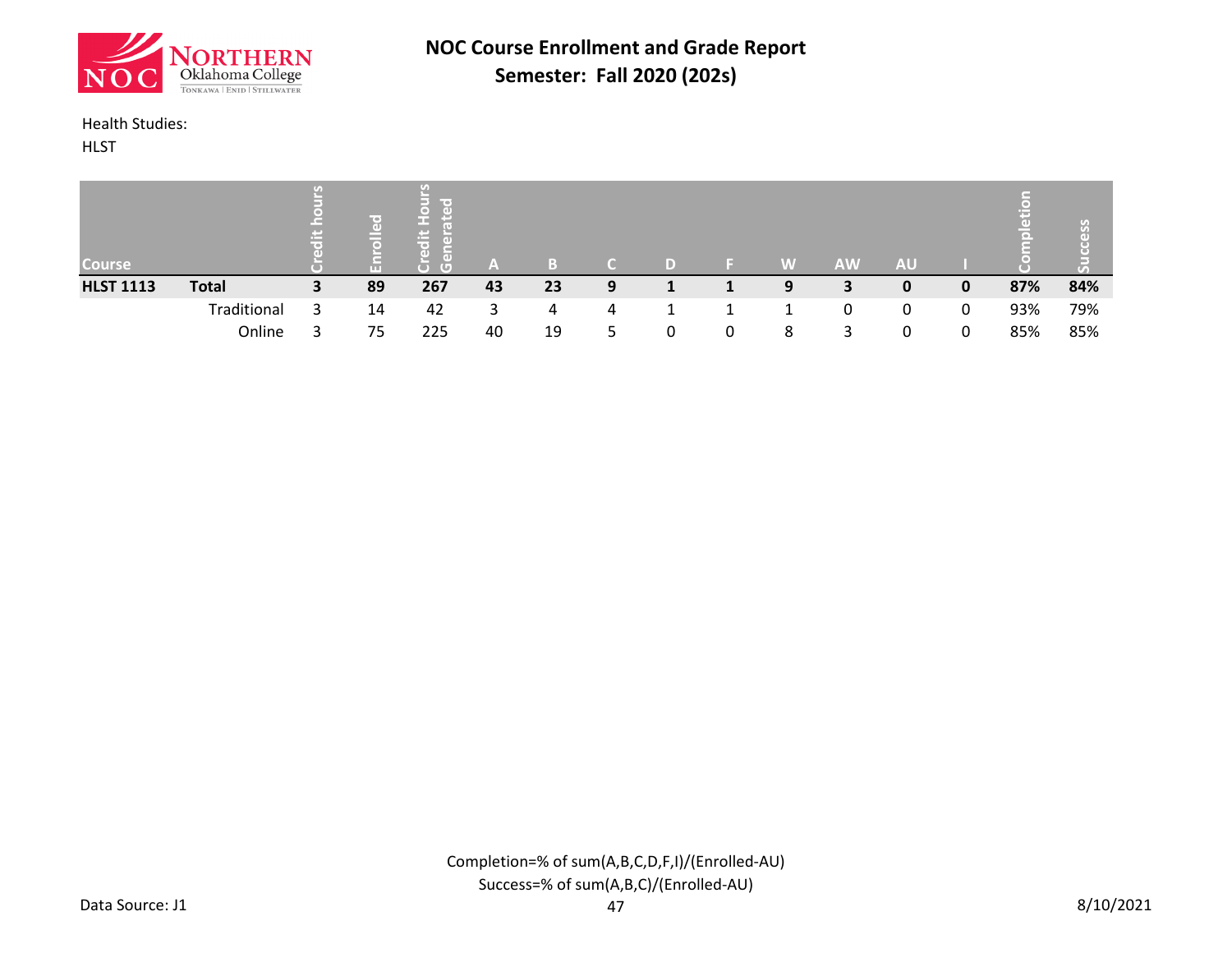![](_page_22_Picture_0.jpeg)

#### Health Studies:

**HLST** 

| <b>Course</b>    |              | $\mathcal{F}_{\mathcal{A}}$ | ш  | line v<br>G | A  | B  |   |   | W | <b>AW</b> | <b>AU</b> |   | τĐ<br>◥▬◣ | ိ<br>Ю<br>$\overline{(\sqrt{n})}$ |
|------------------|--------------|-----------------------------|----|-------------|----|----|---|---|---|-----------|-----------|---|-----------|-----------------------------------|
| <b>HLST 1113</b> | <b>Total</b> | 3                           | 89 | 267         | 43 | 23 | 9 |   | 9 | 3         | 0         | 0 | 87%       | 84%                               |
|                  | Traditional  |                             | 14 | 42          | 3. | 4  | 4 |   |   | 0         | $\Omega$  | 0 | 93%       | 79%                               |
|                  | Online       |                             | 75 | 225         | 40 | 19 | 5 | 0 | 8 | 3         | 0         | 0 | 85%       | 85%                               |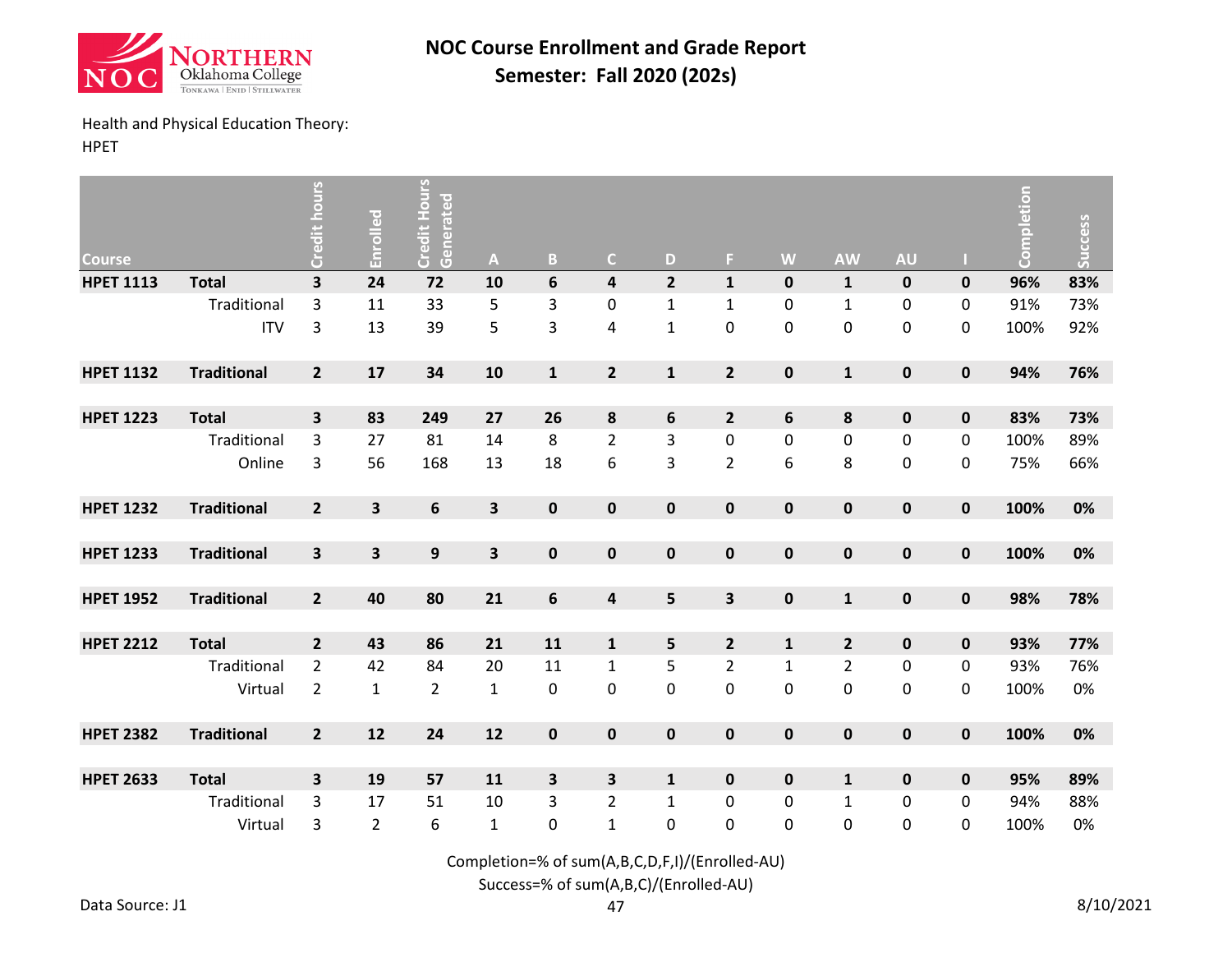![](_page_23_Picture_0.jpeg)

# Health and Physical Education Theory:

HPET

| <b>Course</b>    |                    | Credit hours            | Enrolled                | Credit Hours<br>Generated | A                       | $\mathsf B$               | $\mathsf{C}$            | D              | F.                      | W                | <b>AW</b>        | <b>AU</b>   |           | Completion | Success |
|------------------|--------------------|-------------------------|-------------------------|---------------------------|-------------------------|---------------------------|-------------------------|----------------|-------------------------|------------------|------------------|-------------|-----------|------------|---------|
| <b>HPET 1113</b> | <b>Total</b>       | $\overline{\mathbf{3}}$ | 24                      | 72                        | 10                      | $\boldsymbol{6}$          | $\overline{\mathbf{4}}$ | $\overline{2}$ | $\mathbf{1}$            | $\pmb{0}$        | $\mathbf 1$      | $\pmb{0}$   | $\pmb{0}$ | 96%        | 83%     |
|                  | Traditional        | 3                       | 11                      | 33                        | 5                       | $\ensuremath{\mathsf{3}}$ | 0                       | $\mathbf{1}$   | $\mathbf 1$             | 0                | $\mathbf 1$      | 0           | 0         | 91%        | 73%     |
|                  | <b>ITV</b>         | 3                       | 13                      | 39                        | 5                       | 3                         | $\overline{\mathbf{4}}$ | $\mathbf{1}$   | $\pmb{0}$               | $\mathbf 0$      | $\boldsymbol{0}$ | 0           | 0         | 100%       | 92%     |
| <b>HPET 1132</b> | <b>Traditional</b> | $\overline{2}$          | 17                      | 34                        | 10                      | $\mathbf 1$               | $\mathbf{2}$            | $\mathbf{1}$   | $\mathbf{2}$            | $\pmb{0}$        | $\mathbf{1}$     | $\pmb{0}$   | $\pmb{0}$ | 94%        | 76%     |
|                  |                    |                         |                         |                           |                         |                           |                         |                |                         |                  |                  |             |           |            |         |
| <b>HPET 1223</b> | <b>Total</b>       | 3                       | 83                      | 249                       | 27                      | 26                        | 8                       | 6              | $\overline{2}$          | $\boldsymbol{6}$ | 8                | $\pmb{0}$   | $\pmb{0}$ | 83%        | 73%     |
|                  | Traditional        | 3                       | 27                      | 81                        | 14                      | 8                         | $\overline{2}$          | 3              | $\pmb{0}$               | $\mathbf 0$      | $\boldsymbol{0}$ | 0           | 0         | 100%       | 89%     |
|                  | Online             | 3                       | 56                      | 168                       | 13                      | 18                        | 6                       | 3              | $\overline{2}$          | 6                | 8                | 0           | 0         | 75%        | 66%     |
| <b>HPET 1232</b> | <b>Traditional</b> | $\overline{\mathbf{2}}$ | 3                       | 6                         | $\overline{\mathbf{3}}$ | $\mathbf 0$               | $\pmb{0}$               | $\pmb{0}$      | $\mathbf 0$             | $\mathbf 0$      | $\bf{0}$         | $\pmb{0}$   | $\pmb{0}$ | 100%       | 0%      |
|                  |                    |                         |                         |                           |                         |                           |                         |                |                         |                  |                  |             |           |            |         |
| <b>HPET 1233</b> | <b>Traditional</b> | $\overline{\mathbf{3}}$ | $\overline{\mathbf{3}}$ | $\boldsymbol{9}$          | $\overline{\mathbf{3}}$ | $\mathbf 0$               | $\pmb{0}$               | $\pmb{0}$      | $\mathbf 0$             | $\pmb{0}$        | $\pmb{0}$        | $\pmb{0}$   | $\pmb{0}$ | 100%       | 0%      |
|                  |                    |                         |                         |                           |                         |                           |                         |                |                         |                  |                  |             |           |            |         |
| <b>HPET 1952</b> | <b>Traditional</b> | $\overline{\mathbf{2}}$ | 40                      | 80                        | 21                      | $\boldsymbol{6}$          | $\pmb{4}$               | 5              | $\overline{\mathbf{3}}$ | $\pmb{0}$        | $\mathbf 1$      | $\pmb{0}$   | $\pmb{0}$ | 98%        | 78%     |
|                  |                    |                         |                         |                           |                         |                           |                         |                |                         |                  |                  |             |           |            |         |
| <b>HPET 2212</b> | <b>Total</b>       | $\overline{\mathbf{2}}$ | 43                      | 86                        | 21                      | 11                        | $\mathbf 1$             | 5              | $\overline{2}$          | $\mathbf 1$      | $\overline{2}$   | $\pmb{0}$   | $\pmb{0}$ | 93%        | 77%     |
|                  | Traditional        | $\overline{2}$          | 42                      | 84                        | 20                      | 11                        | $\mathbf 1$             | 5              | $\overline{2}$          | $\mathbf 1$      | $\overline{2}$   | 0           | 0         | 93%        | 76%     |
|                  | Virtual            | $\overline{2}$          | $\mathbf{1}$            | 2                         | $\mathbf 1$             | 0                         | 0                       | 0              | 0                       | $\pmb{0}$        | 0                | 0           | 0         | 100%       | 0%      |
| <b>HPET 2382</b> | <b>Traditional</b> | $\overline{2}$          | 12                      | 24                        | 12                      | $\pmb{0}$                 | $\mathbf 0$             | $\pmb{0}$      | $\pmb{0}$               | $\pmb{0}$        | $\pmb{0}$        | $\pmb{0}$   | $\pmb{0}$ | 100%       | 0%      |
|                  |                    |                         |                         |                           |                         |                           |                         |                |                         |                  |                  |             |           |            |         |
| <b>HPET 2633</b> | <b>Total</b>       | $\overline{\mathbf{3}}$ | 19                      | 57                        | 11                      | $\overline{\mathbf{3}}$   | $\overline{\mathbf{3}}$ | $\mathbf{1}$   | $\mathbf 0$             | $\pmb{0}$        | $\mathbf{1}$     | $\mathbf 0$ | 0         | 95%        | 89%     |
|                  | Traditional        | 3                       | 17                      | 51                        | 10                      | 3                         | $\overline{2}$          | $\mathbf{1}$   | 0                       | 0                | $\mathbf 1$      | 0           | 0         | 94%        | 88%     |
|                  | Virtual            | 3                       | $\overline{2}$          | 6                         | $\mathbf{1}$            | $\boldsymbol{0}$          | $\mathbf{1}$            | 0              | 0                       | 0                | $\mathbf 0$      | 0           | 0         | 100%       | 0%      |

Completion=% of sum(A,B,C,D,F,I)/(Enrolled-AU)

Success=% of sum(A,B,C)/(Enrolled-AU)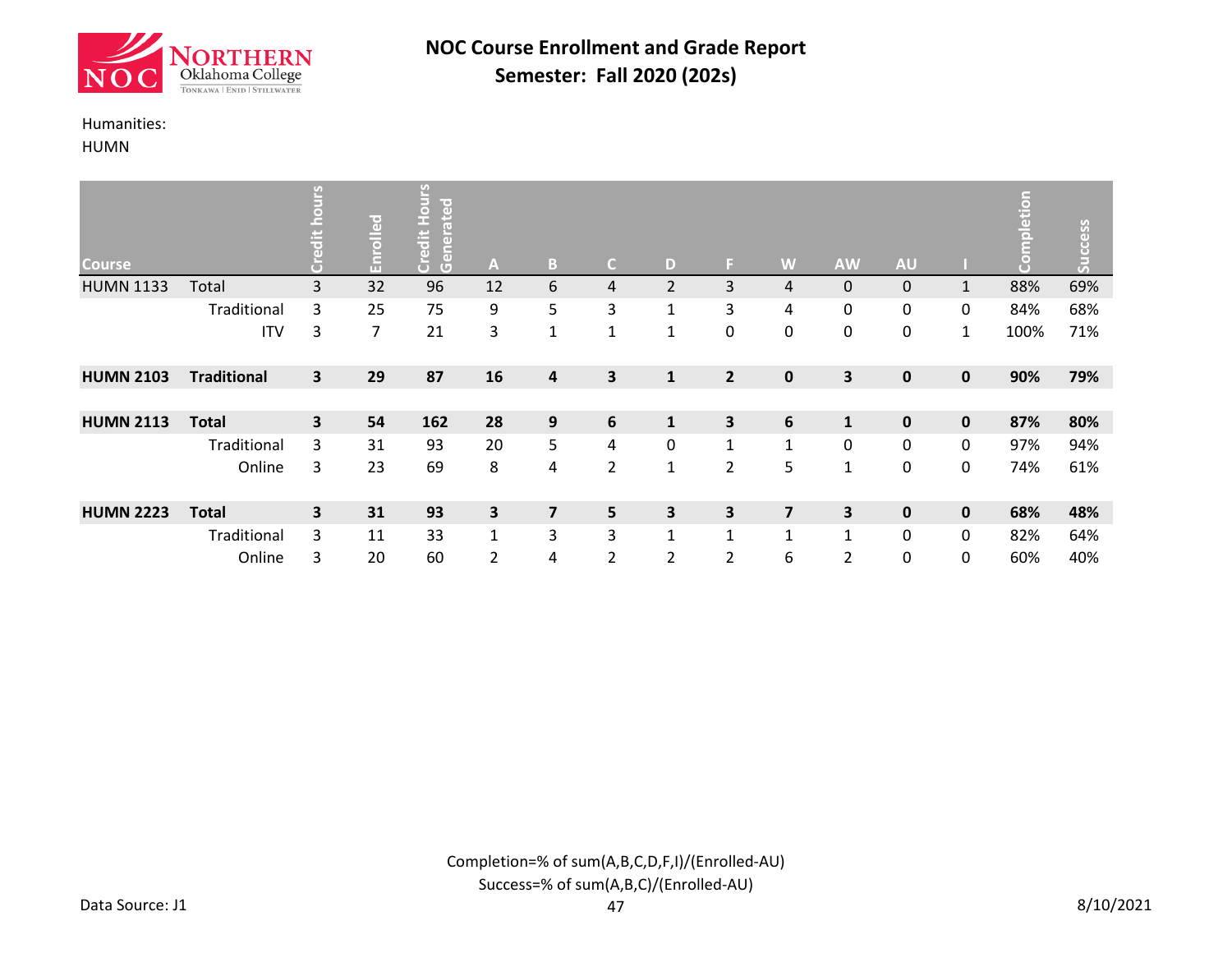![](_page_24_Picture_0.jpeg)

#### Humanities:

HUMN

| <b>Course</b>    |                    | <u>ب</u><br>$\overline{a}$ | Enrolled | SJIN<br>l e f<br>ate<br>$\bullet$<br>ž,<br>Credit<br>Gener | A              | B                       | $\mathsf{C}$            | D              | F.             | W              | <b>AW</b>      | <b>AU</b>   |              | etion<br>Ō | Success |
|------------------|--------------------|----------------------------|----------|------------------------------------------------------------|----------------|-------------------------|-------------------------|----------------|----------------|----------------|----------------|-------------|--------------|------------|---------|
| <b>HUMN 1133</b> | Total              | 3                          | 32       | 96                                                         | 12             | 6                       | 4                       | $\overline{2}$ | 3              | 4              | 0              | 0           | $\mathbf{1}$ | 88%        | 69%     |
|                  | Traditional        | 3                          | 25       | 75                                                         | 9              | 5                       | 3                       | 1              | 3              | 4              | 0              | 0           | 0            | 84%        | 68%     |
|                  | <b>ITV</b>         | 3                          | 7        | 21                                                         | 3              | $\mathbf 1$             | $\mathbf{1}$            | $\mathbf{1}$   | 0              | 0              | 0              | $\mathbf 0$ | $\mathbf{1}$ | 100%       | 71%     |
| <b>HUMN 2103</b> | <b>Traditional</b> | $\mathbf{3}$               | 29       | 87                                                         | 16             | $\overline{\mathbf{4}}$ | $\overline{\mathbf{3}}$ | $\mathbf{1}$   | $\overline{2}$ | $\mathbf 0$    | 3              | $\mathbf 0$ | 0            | 90%        | 79%     |
|                  |                    |                            |          |                                                            |                |                         |                         |                |                |                |                |             |              |            |         |
| <b>HUMN 2113</b> | <b>Total</b>       | 3                          | 54       | 162                                                        | 28             | 9                       | $\boldsymbol{6}$        | $\mathbf{1}$   | 3              | 6              | $\mathbf{1}$   | $\mathbf 0$ | 0            | 87%        | 80%     |
|                  | Traditional        | 3                          | 31       | 93                                                         | 20             | 5                       | 4                       | $\mathbf{0}$   | $\mathbf{1}$   | $\mathbf{1}$   | 0              | $\mathbf 0$ | 0            | 97%        | 94%     |
|                  | Online             | 3                          | 23       | 69                                                         | 8              | 4                       | $\overline{2}$          | $\mathbf{1}$   | $\overline{2}$ | 5              | $\mathbf{1}$   | $\pmb{0}$   | 0            | 74%        | 61%     |
| <b>HUMN 2223</b> | <b>Total</b>       | $\overline{\mathbf{3}}$    | 31       | 93                                                         | 3              | $\overline{\mathbf{z}}$ | 5                       | 3              | 3              | $\overline{7}$ | 3              | $\mathbf 0$ | 0            | 68%        | 48%     |
|                  | Traditional        | 3                          | 11       | 33                                                         | $\mathbf{1}$   | 3                       | 3                       | $\mathbf{1}$   | $\mathbf{1}$   | $\mathbf{1}$   | $\mathbf{1}$   | 0           | 0            | 82%        | 64%     |
|                  | Online             | 3                          | 20       | 60                                                         | $\overline{2}$ | 4                       | $\overline{2}$          | 2              | $\overline{2}$ | 6              | $\overline{2}$ | 0           | 0            | 60%        | 40%     |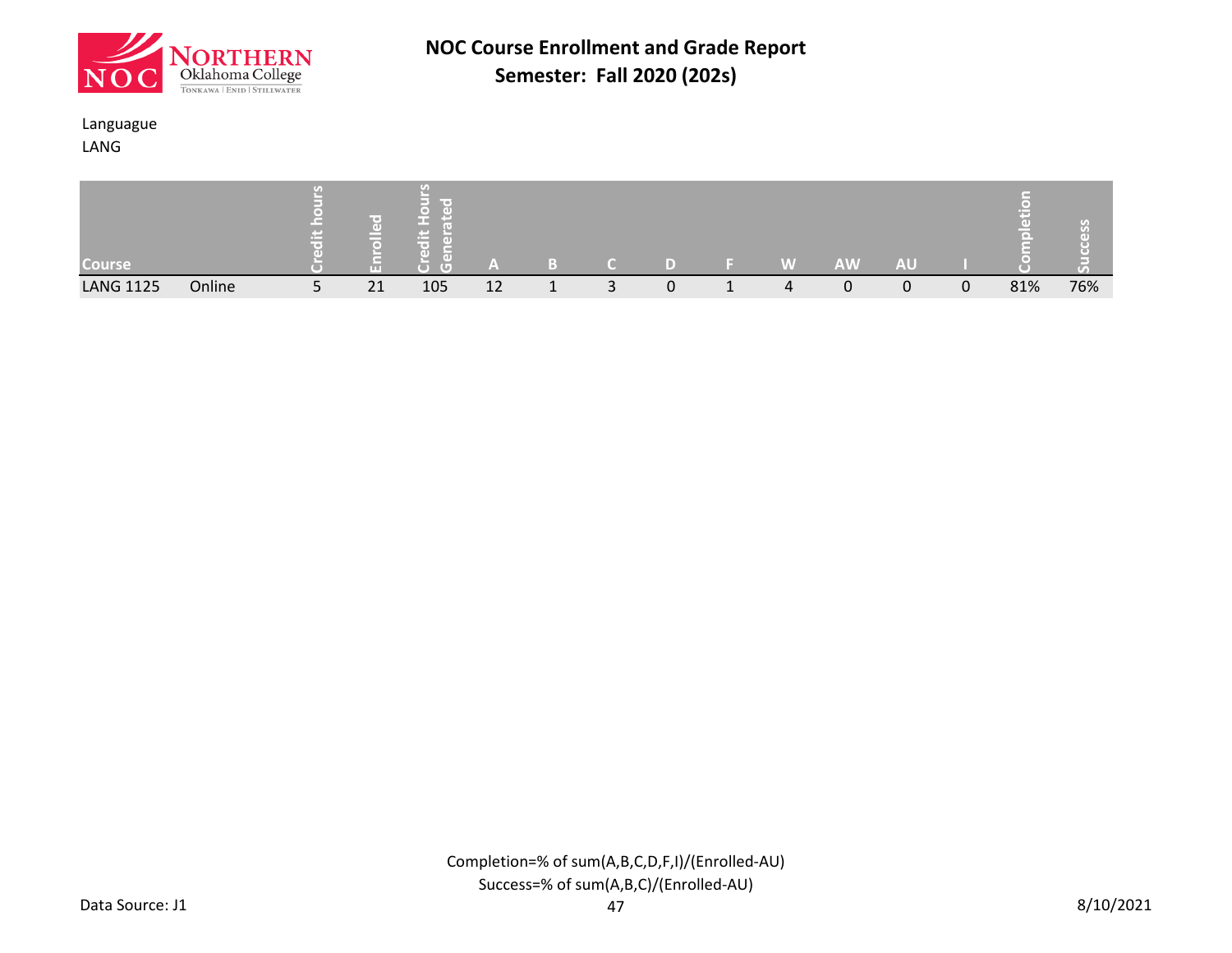![](_page_25_Picture_0.jpeg)

### Languague

LANG

| <b>Course</b>    |        |   | ш  | --<br>$\sqrt{2}$ |    |   |   | W | AW. | AU |   |     |     |
|------------------|--------|---|----|------------------|----|---|---|---|-----|----|---|-----|-----|
| <b>LANG 1125</b> | Online | ے | 21 | 105              | 12 | ັ | 0 | Δ |     | 0  | 0 | 81% | 76% |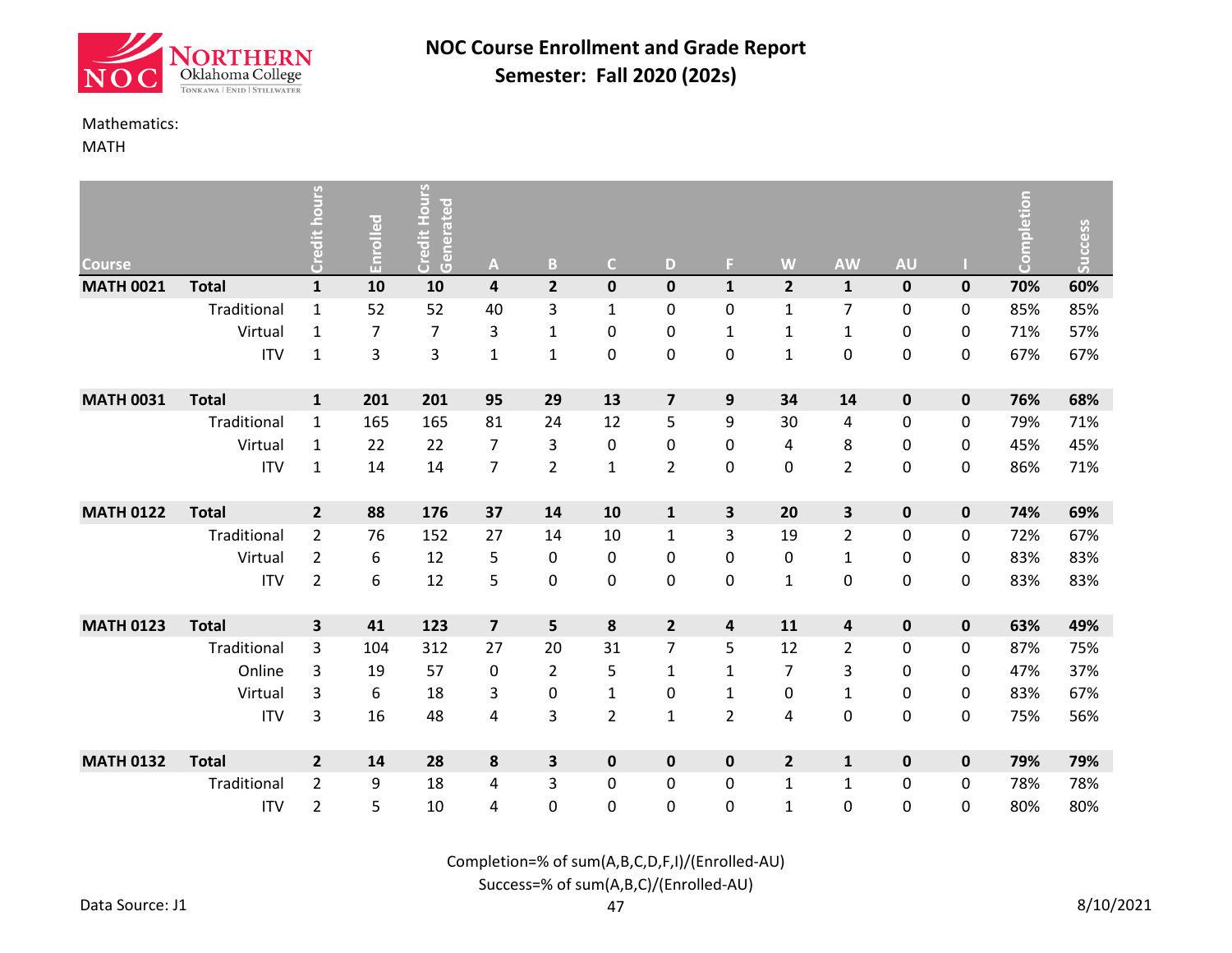![](_page_26_Picture_0.jpeg)

#### Mathematics:

MATH

| <b>Course</b>    |              | hours<br>Credit         | Enrolled | <b>Credit Hours</b><br>Generated | A                       | B              | $\mathsf{C}$     | D                       | F.             | W              | <b>AW</b>               | <b>AU</b>   |   | Completion | Success |
|------------------|--------------|-------------------------|----------|----------------------------------|-------------------------|----------------|------------------|-------------------------|----------------|----------------|-------------------------|-------------|---|------------|---------|
| <b>MATH 0021</b> | <b>Total</b> | $\mathbf{1}$            | 10       | 10                               | 4                       | $\overline{2}$ | $\mathbf 0$      | $\mathbf 0$             | $\mathbf{1}$   | $\overline{2}$ | $\mathbf{1}$            | $\pmb{0}$   | 0 | 70%        | 60%     |
|                  | Traditional  | $\mathbf{1}$            | 52       | 52                               | 40                      | 3              | $\mathbf{1}$     | 0                       | $\mathbf 0$    | $\mathbf{1}$   | $\overline{7}$          | 0           | 0 | 85%        | 85%     |
|                  | Virtual      | $\mathbf{1}$            | 7        | $\overline{7}$                   | 3                       | $\mathbf{1}$   | 0                | 0                       | $\mathbf{1}$   | $\mathbf{1}$   | $\mathbf{1}$            | 0           | 0 | 71%        | 57%     |
|                  | <b>ITV</b>   | $\mathbf{1}$            | 3        | 3                                | $\mathbf{1}$            | $\mathbf 1$    | $\boldsymbol{0}$ | 0                       | $\pmb{0}$      | $\mathbf{1}$   | $\mathbf 0$             | 0           | 0 | 67%        | 67%     |
| <b>MATH 0031</b> | <b>Total</b> | $\mathbf{1}$            | 201      | 201                              | 95                      | 29             | 13               | $\overline{\mathbf{z}}$ | 9              | 34             | 14                      | $\pmb{0}$   | 0 | 76%        | 68%     |
|                  | Traditional  | $\mathbf{1}$            | 165      | 165                              | 81                      | 24             | 12               | 5                       | 9              | 30             | $\overline{\mathbf{4}}$ | 0           | 0 | 79%        | 71%     |
|                  | Virtual      | 1                       | 22       | 22                               | 7                       | 3              | 0                | 0                       | 0              | 4              | 8                       | 0           | 0 | 45%        | 45%     |
|                  | <b>ITV</b>   | $\mathbf{1}$            | 14       | 14                               | $\overline{7}$          | $\overline{2}$ | $\mathbf{1}$     | $\overline{2}$          | 0              | 0              | $\overline{2}$          | 0           | 0 | 86%        | 71%     |
| <b>MATH 0122</b> | <b>Total</b> | $\overline{\mathbf{2}}$ | 88       | 176                              | 37                      | 14             | 10               | $\mathbf{1}$            | 3              | 20             | 3                       | $\pmb{0}$   | 0 | 74%        | 69%     |
|                  | Traditional  | $\overline{2}$          | 76       | 152                              | 27                      | 14             | $10\,$           | $\mathbf{1}$            | 3              | 19             | $\overline{2}$          | 0           | 0 | 72%        | 67%     |
|                  | Virtual      | $\overline{2}$          | 6        | 12                               | 5                       | 0              | 0                | 0                       | 0              | 0              | $\mathbf{1}$            | 0           | 0 | 83%        | 83%     |
|                  | <b>ITV</b>   | $\overline{2}$          | 6        | 12                               | 5                       | 0              | 0                | 0                       | 0              | $\mathbf{1}$   | $\pmb{0}$               | 0           | 0 | 83%        | 83%     |
| <b>MATH 0123</b> | <b>Total</b> | 3                       | 41       | 123                              | $\overline{\mathbf{z}}$ | 5              | 8                | $\overline{2}$          | 4              | 11             | $\overline{\mathbf{4}}$ | $\pmb{0}$   | 0 | 63%        | 49%     |
|                  | Traditional  | 3                       | 104      | 312                              | 27                      | 20             | 31               | $\overline{7}$          | 5              | 12             | $\overline{2}$          | 0           | 0 | 87%        | 75%     |
|                  | Online       | 3                       | 19       | 57                               | 0                       | $\overline{2}$ | 5                | $\mathbf{1}$            | $\mathbf{1}$   | $\overline{7}$ | 3                       | 0           | 0 | 47%        | 37%     |
|                  | Virtual      | 3                       | 6        | 18                               | 3                       | 0              | $\mathbf 1$      | 0                       | $\mathbf{1}$   | 0              | $\mathbf 1$             | 0           | 0 | 83%        | 67%     |
|                  | <b>ITV</b>   | 3                       | 16       | 48                               | 4                       | 3              | $\overline{2}$   | $\mathbf{1}$            | $\overline{2}$ | 4              | $\mathbf 0$             | 0           | 0 | 75%        | 56%     |
| <b>MATH 0132</b> | <b>Total</b> | $\overline{\mathbf{2}}$ | 14       | 28                               | 8                       | 3              | $\mathbf 0$      | $\mathbf 0$             | $\pmb{0}$      | $\overline{2}$ | $\mathbf{1}$            | $\mathbf 0$ | 0 | 79%        | 79%     |
|                  | Traditional  | $\overline{2}$          | 9        | 18                               | 4                       | 3              | 0                | 0                       | 0              | $\mathbf{1}$   | $\mathbf{1}$            | 0           | 0 | 78%        | 78%     |
|                  | <b>ITV</b>   | $\overline{2}$          | 5        | 10                               | 4                       | 0              | 0                | 0                       | 0              | $\mathbf{1}$   | $\mathbf 0$             | 0           | 0 | 80%        | 80%     |

Completion=% of sum(A,B,C,D,F,I)/(Enrolled-AU)

Success=% of sum(A,B,C)/(Enrolled-AU)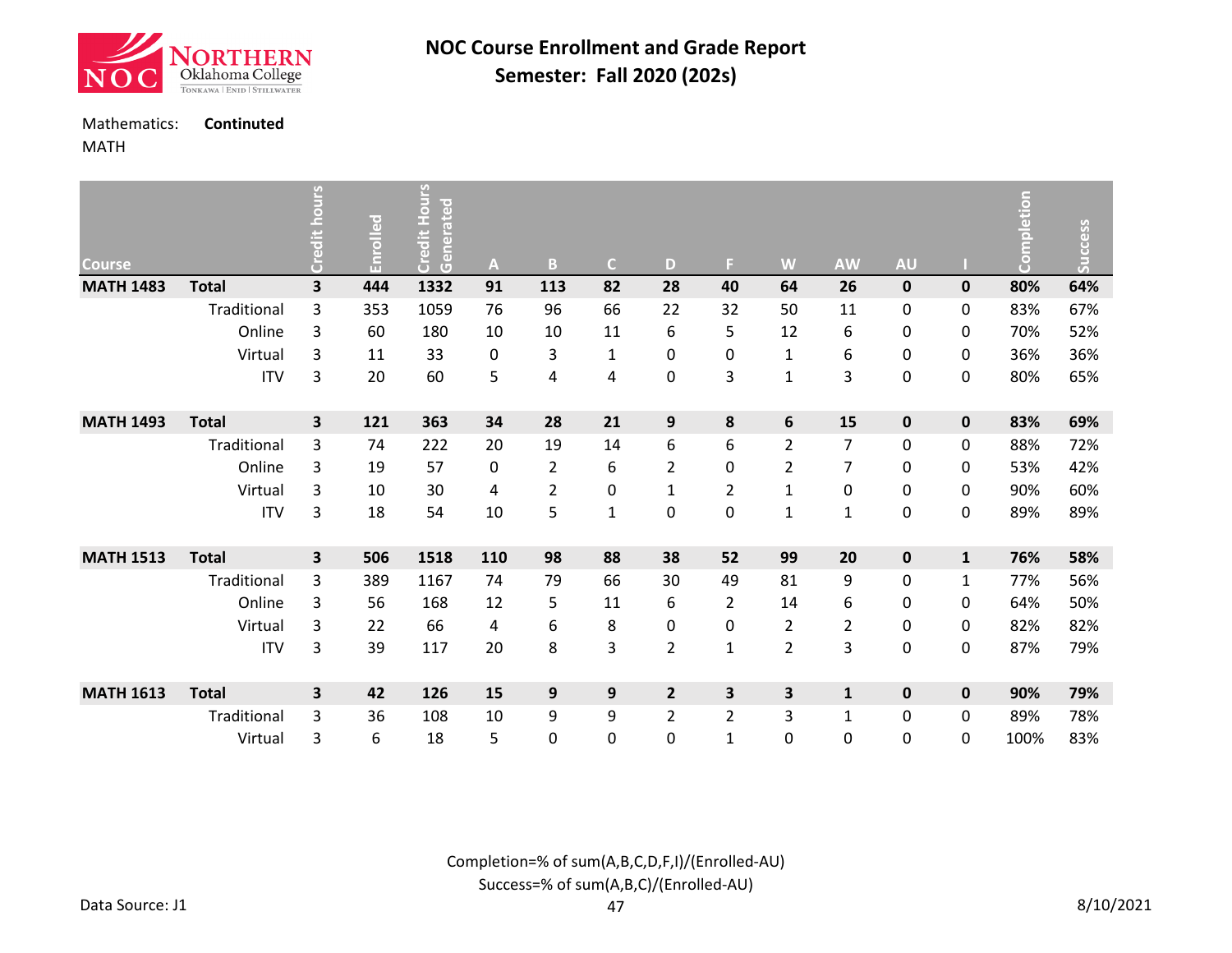![](_page_27_Picture_0.jpeg)

### Mathematics: **Continuted**

### MATH

| <b>Course</b>    |              | <b>Credit hours</b> | Enrolled | Hours<br>Generated<br>Credit I | A         | B                | $\mathsf{C}$     | D                | F              | W              | <b>AW</b>               | <b>AU</b>   |              | Completion | <b>Success</b> |
|------------------|--------------|---------------------|----------|--------------------------------|-----------|------------------|------------------|------------------|----------------|----------------|-------------------------|-------------|--------------|------------|----------------|
| <b>MATH 1483</b> | <b>Total</b> | 3                   | 444      | 1332                           | 91        | 113              | 82               | 28               | 40             | 64             | 26                      | $\pmb{0}$   | $\pmb{0}$    | 80%        | 64%            |
|                  | Traditional  | 3                   | 353      | 1059                           | 76        | 96               | 66               | 22               | 32             | 50             | 11                      | 0           | 0            | 83%        | 67%            |
|                  | Online       | 3                   | 60       | 180                            | 10        | 10               | 11               | 6                | 5              | 12             | 6                       | 0           | 0            | 70%        | 52%            |
|                  | Virtual      | 3                   | 11       | 33                             | 0         | 3                | $\mathbf{1}$     | 0                | 0              | 1              | 6                       | 0           | 0            | 36%        | 36%            |
|                  | <b>ITV</b>   | 3                   | 20       | 60                             | 5         | 4                | 4                | 0                | 3              | $\mathbf{1}$   | 3                       | 0           | 0            | 80%        | 65%            |
| <b>MATH 1493</b> | <b>Total</b> | 3                   | 121      | 363                            | 34        | 28               | 21               | $\boldsymbol{9}$ | 8              | 6              | 15                      | $\mathbf 0$ | $\mathbf 0$  | 83%        | 69%            |
|                  | Traditional  | 3                   | 74       | 222                            | 20        | 19               | 14               | 6                | 6              | $\overline{2}$ | 7                       | 0           | 0            | 88%        | 72%            |
|                  | Online       | 3                   | 19       | 57                             | $\pmb{0}$ | $\overline{2}$   | 6                | $\overline{2}$   | 0              | $\overline{2}$ | $\overline{7}$          | 0           | 0            | 53%        | 42%            |
|                  | Virtual      | 3                   | 10       | 30                             | 4         | $\overline{2}$   | 0                | $\mathbf{1}$     | $\overline{2}$ | $\mathbf 1$    | 0                       | 0           | 0            | 90%        | 60%            |
|                  | <b>ITV</b>   | 3                   | 18       | 54                             | 10        | 5                | $\mathbf{1}$     | $\mathbf 0$      | 0              | $\mathbf 1$    | $\mathbf{1}$            | 0           | 0            | 89%        | 89%            |
| <b>MATH 1513</b> | <b>Total</b> | 3                   | 506      | 1518                           | 110       | 98               | 88               | 38               | 52             | 99             | 20                      | 0           | $\mathbf{1}$ | 76%        | 58%            |
|                  | Traditional  | 3                   | 389      | 1167                           | 74        | 79               | 66               | 30               | 49             | 81             | 9                       | 0           | $\mathbf{1}$ | 77%        | 56%            |
|                  | Online       | 3                   | 56       | 168                            | 12        | 5                | 11               | 6                | $\overline{2}$ | 14             | 6                       | 0           | 0            | 64%        | 50%            |
|                  | Virtual      | 3                   | 22       | 66                             | 4         | 6                | 8                | 0                | 0              | $\overline{2}$ | $\overline{\mathbf{c}}$ | 0           | 0            | 82%        | 82%            |
|                  | <b>ITV</b>   | 3                   | 39       | 117                            | 20        | 8                | 3                | $\overline{2}$   | $\mathbf{1}$   | $\overline{2}$ | 3                       | 0           | 0            | 87%        | 79%            |
| <b>MATH 1613</b> | <b>Total</b> | 3                   | 42       | 126                            | 15        | $\boldsymbol{9}$ | $\boldsymbol{9}$ | $\overline{2}$   | 3              | 3              | $\mathbf 1$             | $\pmb{0}$   | $\pmb{0}$    | 90%        | 79%            |
|                  | Traditional  | 3                   | 36       | 108                            | 10        | 9                | 9                | $\overline{2}$   | $\overline{2}$ | 3              | $\mathbf{1}$            | 0           | 0            | 89%        | 78%            |
|                  | Virtual      | 3                   | 6        | 18                             | 5         | 0                | 0                | 0                | 1              | 0              | 0                       | 0           | 0            | 100%       | 83%            |

Completion=% of sum(A,B,C,D,F,I)/(Enrolled-AU) Success=% of sum(A,B,C)/(Enrolled-AU)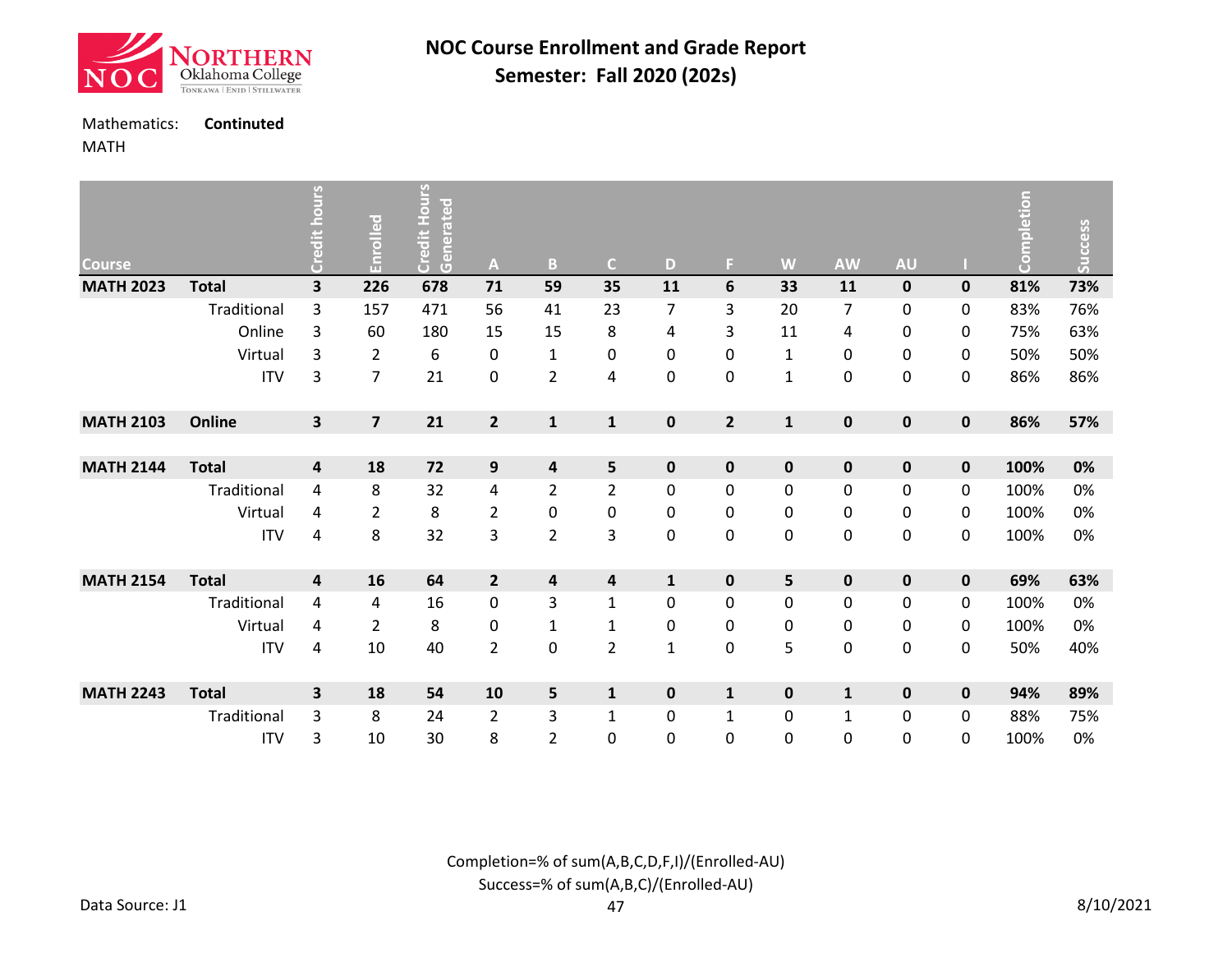![](_page_28_Picture_0.jpeg)

### Mathematics: **Continuted**

MATH

| <b>Course</b>    |              | Credit hours | Enrolled                | ی<br>Do<br>Ho<br>Generated<br>Credit I | A                       | B                       | $\mathsf{C}$            | D              | F.             | W            | <b>AW</b>      | <b>AU</b>   |             | <b>Completion</b> | <b>Success</b> |
|------------------|--------------|--------------|-------------------------|----------------------------------------|-------------------------|-------------------------|-------------------------|----------------|----------------|--------------|----------------|-------------|-------------|-------------------|----------------|
| <b>MATH 2023</b> | <b>Total</b> | 3            | 226                     | 678                                    | 71                      | 59                      | 35                      | 11             | 6              | 33           | 11             | $\mathbf 0$ | $\pmb{0}$   | 81%               | 73%            |
|                  | Traditional  | 3            | 157                     | 471                                    | 56                      | 41                      | 23                      | $\overline{7}$ | 3              | 20           | $\overline{7}$ | 0           | 0           | 83%               | 76%            |
|                  | Online       | 3            | 60                      | 180                                    | 15                      | 15                      | 8                       | 4              | 3              | 11           | 4              | 0           | 0           | 75%               | 63%            |
|                  | Virtual      | 3            | $\overline{2}$          | 6                                      | $\pmb{0}$               | $\mathbf{1}$            | $\mathbf 0$             | $\mathbf 0$    | 0              | $\mathbf{1}$ | 0              | $\pmb{0}$   | 0           | 50%               | 50%            |
|                  | <b>ITV</b>   | 3            | $\overline{7}$          | 21                                     | $\pmb{0}$               | $\overline{2}$          | 4                       | $\mathbf 0$    | 0              | $\mathbf 1$  | 0              | 0           | 0           | 86%               | 86%            |
| <b>MATH 2103</b> | Online       | 3            | $\overline{\mathbf{z}}$ | 21                                     | $\overline{2}$          | $\mathbf 1$             | $\mathbf{1}$            | $\mathbf 0$    | $\overline{2}$ | $\mathbf{1}$ | $\pmb{0}$      | $\pmb{0}$   | $\pmb{0}$   | 86%               | 57%            |
|                  |              |              |                         |                                        |                         |                         |                         |                |                |              |                |             |             |                   |                |
| <b>MATH 2144</b> | <b>Total</b> | 4            | 18                      | 72                                     | $\boldsymbol{9}$        | 4                       | $\overline{\mathbf{5}}$ | $\mathbf 0$    | $\mathbf 0$    | $\mathbf 0$  | $\mathbf 0$    | $\pmb{0}$   | $\pmb{0}$   | 100%              | 0%             |
|                  | Traditional  | 4            | 8                       | 32                                     | 4                       | $\overline{2}$          | $\overline{2}$          | $\mathbf 0$    | 0              | 0            | 0              | 0           | 0           | 100%              | 0%             |
|                  | Virtual      | 4            | $\overline{2}$          | 8                                      | 2                       | $\pmb{0}$               | 0                       | 0              | 0              | 0            | 0              | 0           | 0           | 100%              | 0%             |
|                  | <b>ITV</b>   | 4            | 8                       | 32                                     | 3                       | $\overline{2}$          | 3                       | $\mathbf 0$    | 0              | 0            | 0              | 0           | 0           | 100%              | 0%             |
| <b>MATH 2154</b> | <b>Total</b> | 4            | 16                      | 64                                     | $\overline{2}$          | $\overline{\mathbf{4}}$ | $\pmb{4}$               | $\mathbf{1}$   | $\pmb{0}$      | 5            | $\pmb{0}$      | $\mathbf 0$ | $\mathbf 0$ | 69%               | 63%            |
|                  | Traditional  | 4            | 4                       | 16                                     | 0                       | 3                       | $\mathbf{1}$            | 0              | 0              | 0            | 0              | 0           | 0           | 100%              | 0%             |
|                  | Virtual      | 4            | $\overline{2}$          | 8                                      | 0                       | $\mathbf{1}$            | $\mathbf{1}$            | 0              | 0              | 0            | 0              | $\pmb{0}$   | 0           | 100%              | 0%             |
|                  | <b>ITV</b>   | 4            | 10                      | 40                                     | $\overline{2}$          | $\boldsymbol{0}$        | $\overline{2}$          | 1              | 0              | 5            | 0              | $\pmb{0}$   | 0           | 50%               | 40%            |
| <b>MATH 2243</b> | <b>Total</b> | 3            | 18                      | 54                                     | 10                      | 5                       | $\mathbf{1}$            | $\mathbf 0$    | $\mathbf{1}$   | $\mathbf 0$  | $\mathbf{1}$   | 0           | $\pmb{0}$   | 94%               | 89%            |
|                  | Traditional  | 3            | 8                       | 24                                     | $\overline{\mathbf{c}}$ | 3                       | $\mathbf 1$             | 0              | 1              | 0            | $\mathbf{1}$   | 0           | 0           | 88%               | 75%            |
|                  | <b>ITV</b>   | 3            | 10                      | 30                                     | 8                       | $\overline{2}$          | 0                       | $\mathbf 0$    | 0              | 0            | 0              | 0           | 0           | 100%              | 0%             |

Completion=% of sum(A,B,C,D,F,I)/(Enrolled-AU) Success=% of sum(A,B,C)/(Enrolled-AU)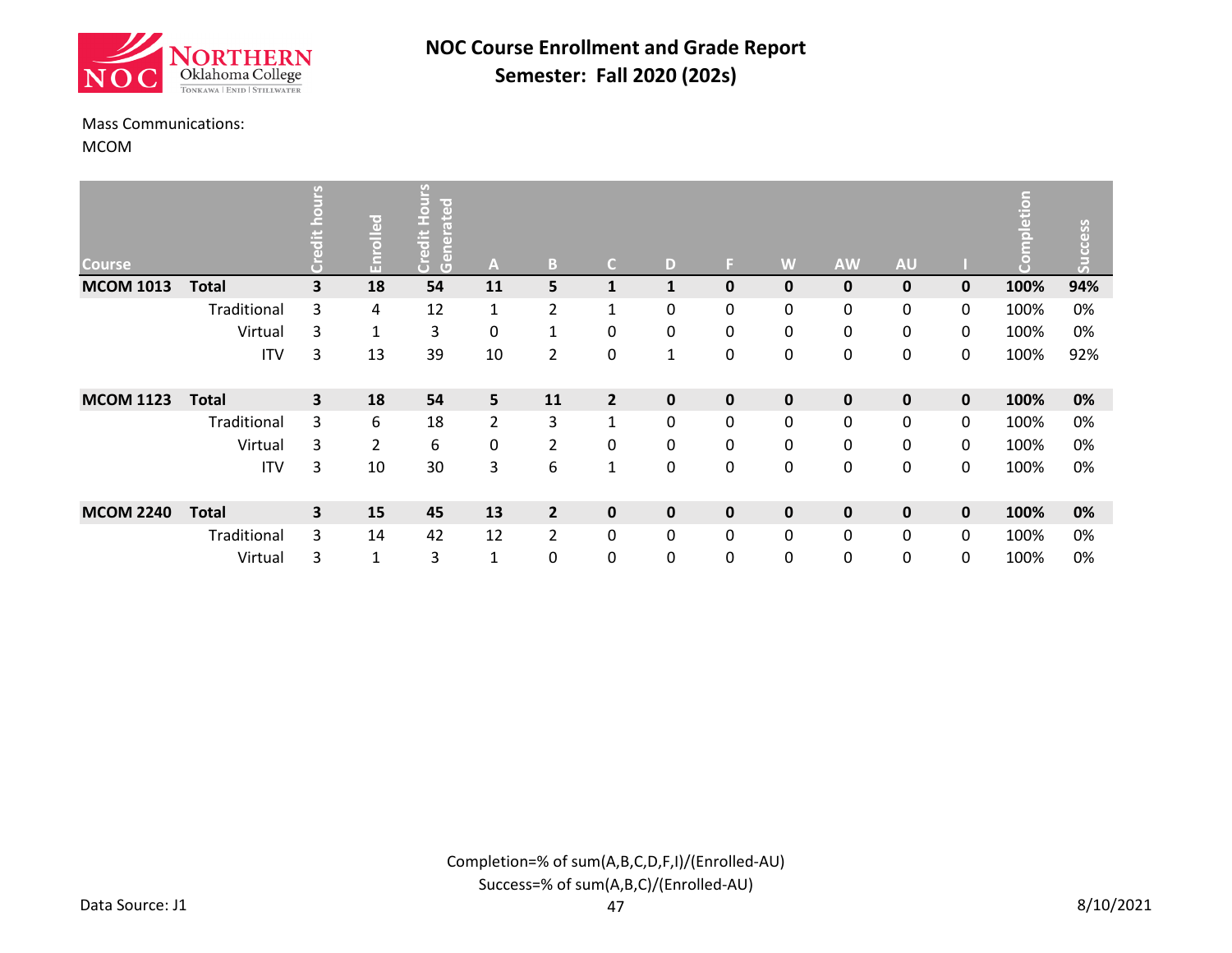![](_page_29_Picture_0.jpeg)

#### Mass Communications:

MCOM

| <b>Course</b>    |              | n                       | Enrolled       | S<br>lited<br>Ō<br>I<br>ate<br>Credit<br>Gener | A              | B              | $\mathsf{C}$   | D            | E. | W            | <b>AW</b>   | <b>AU</b>   |             | etion<br>$\left( \rule{0.2cm}{0.15mm} \right)$ | Success |
|------------------|--------------|-------------------------|----------------|------------------------------------------------|----------------|----------------|----------------|--------------|----|--------------|-------------|-------------|-------------|------------------------------------------------|---------|
| <b>MCOM 1013</b> | <b>Total</b> | $\overline{\mathbf{3}}$ | 18             | 54                                             | 11             | 5              | $\mathbf{1}$   | $\mathbf{1}$ | 0  | $\mathbf{0}$ | $\mathbf 0$ | $\mathbf 0$ | $\mathbf 0$ | 100%                                           | 94%     |
|                  | Traditional  | 3                       | 4              | 12                                             | $\mathbf{1}$   | $\overline{2}$ | $\mathbf{1}$   | $\mathbf{0}$ | 0  | 0            | 0           | 0           | 0           | 100%                                           | 0%      |
|                  | Virtual      | 3                       | $\mathbf{1}$   | 3                                              | 0              | 1              | 0              | 0            | 0  | 0            | 0           | 0           | 0           | 100%                                           | 0%      |
|                  | <b>ITV</b>   | 3                       | 13             | 39                                             | 10             | $\overline{2}$ | 0              | 1            | 0  | 0            | 0           | 0           | 0           | 100%                                           | 92%     |
| <b>MCOM 1123</b> | <b>Total</b> | 3                       | 18             | 54                                             | 5              | 11             | $\overline{2}$ | $\mathbf 0$  | 0  | $\mathbf 0$  | $\mathbf 0$ | $\mathbf 0$ | $\mathbf 0$ | 100%                                           | 0%      |
|                  | Traditional  | 3                       | 6              | 18                                             | $\overline{2}$ | 3              | $\mathbf{1}$   | $\mathbf{0}$ | 0  | 0            | 0           | 0           | 0           | 100%                                           | 0%      |
|                  | Virtual      | 3                       | $\overline{2}$ | 6                                              | 0              | $\overline{2}$ | 0              | $\mathbf{0}$ | 0  | 0            | 0           | 0           | 0           | 100%                                           | 0%      |
|                  | <b>ITV</b>   | 3                       | 10             | 30                                             | 3              | 6              | $\mathbf 1$    | 0            | 0  | 0            | 0           | 0           | 0           | 100%                                           | 0%      |
| <b>MCOM 2240</b> | <b>Total</b> | 3                       | 15             | 45                                             | 13             | $\overline{2}$ | $\mathbf 0$    | $\mathbf 0$  | 0  | $\mathbf 0$  | $\mathbf 0$ | $\mathbf 0$ | $\mathbf 0$ | 100%                                           | 0%      |
|                  | Traditional  | 3                       | 14             | 42                                             | 12             | 2              | 0              | 0            | 0  | 0            | 0           | 0           | 0           | 100%                                           | 0%      |
|                  | Virtual      | 3                       | $\mathbf{1}$   | 3                                              | $\mathbf{1}$   | 0              | 0              | 0            | 0  | 0            | 0           | 0           | 0           | 100%                                           | 0%      |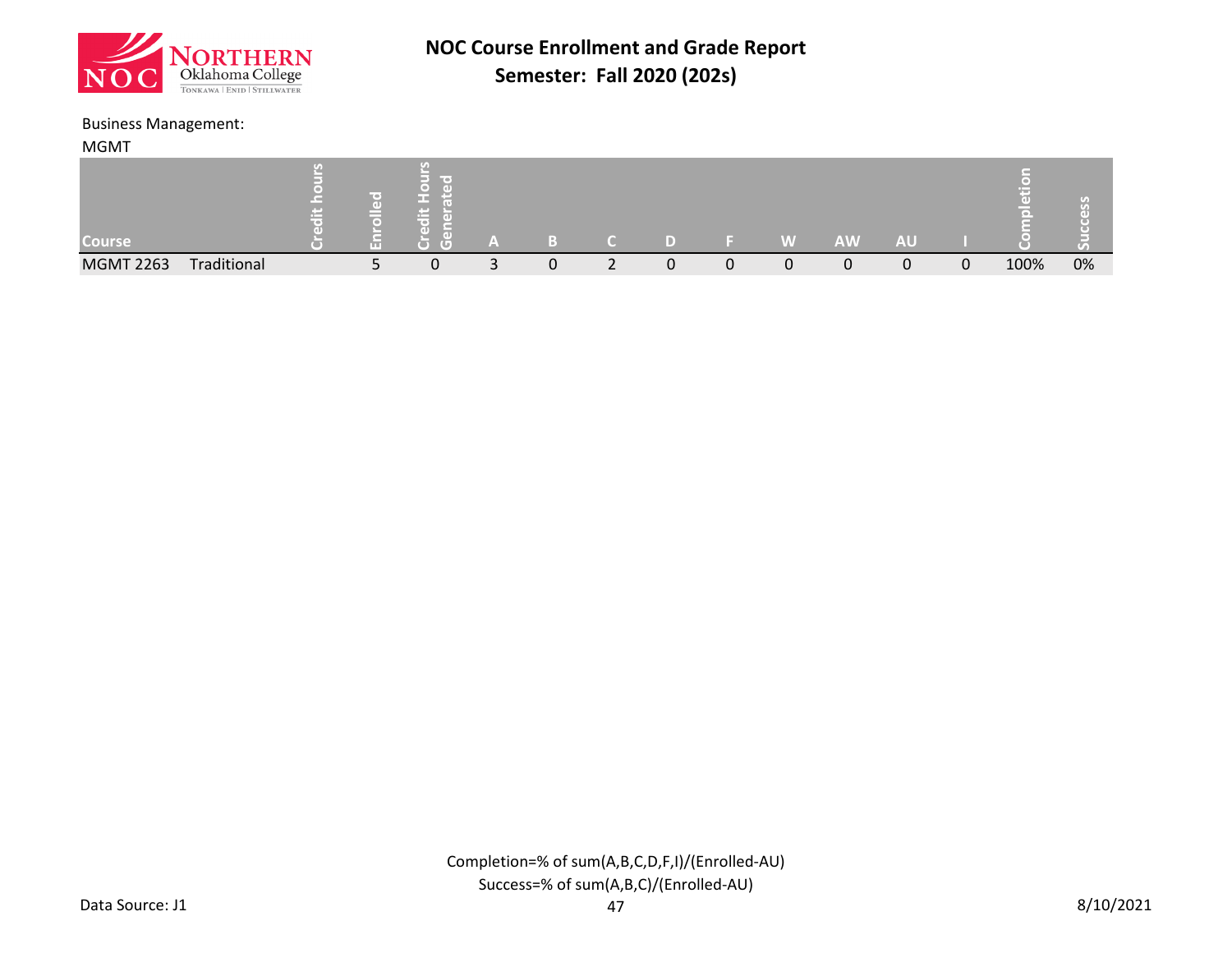![](_page_30_Picture_0.jpeg)

#### Business Management:

| <b>MGMT</b>      |             |  |                |   |        |  |   |           |           |   |      |    |
|------------------|-------------|--|----------------|---|--------|--|---|-----------|-----------|---|------|----|
| <b>Course</b>    |             |  | ma e<br>$\Box$ |   |        |  | W | <b>AW</b> | <b>AU</b> |   |      |    |
| <b>MGMT 2263</b> | Traditional |  | ◠<br>U         | 0 | っ<br>∠ |  |   |           |           | 0 | 100% | 0% |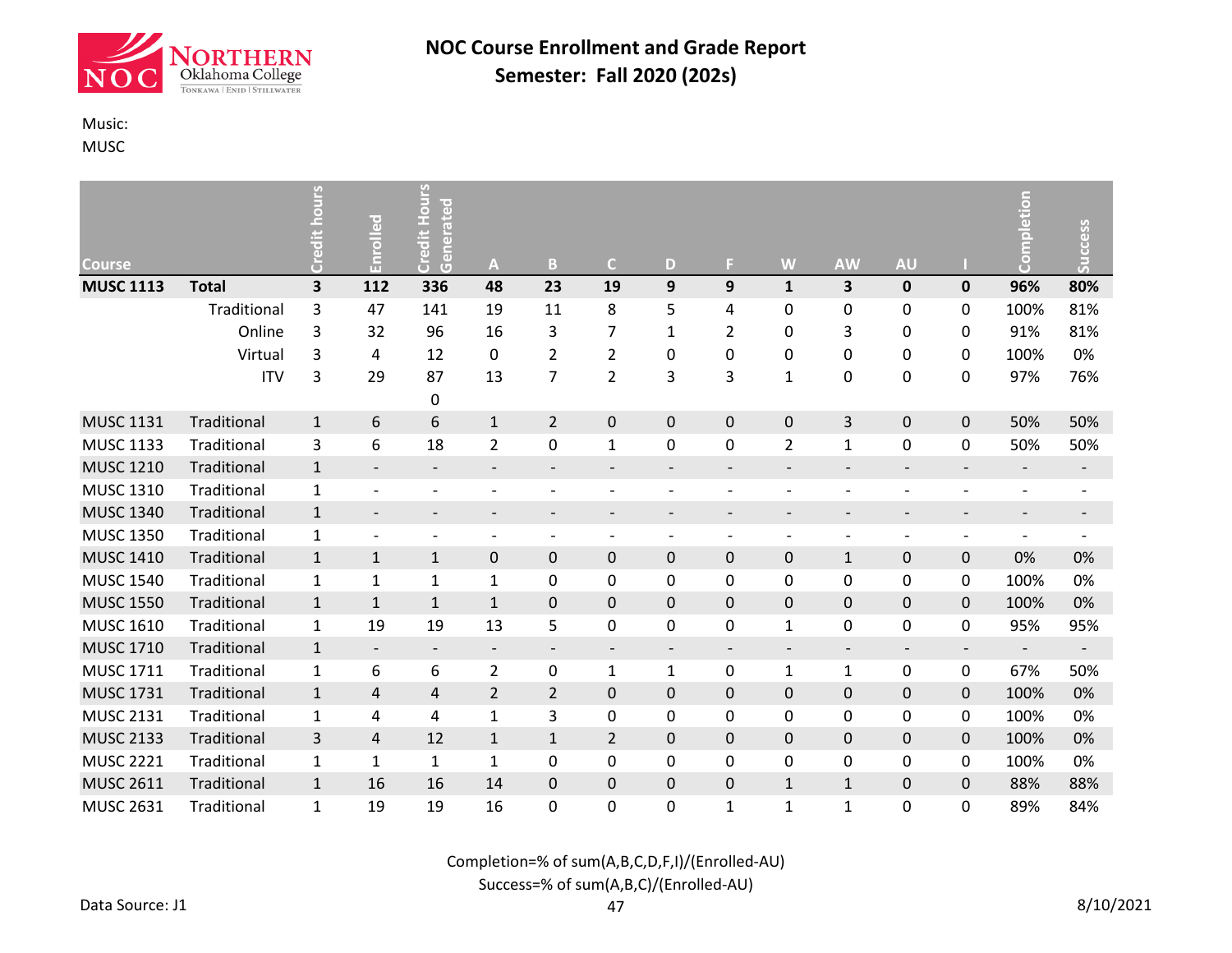![](_page_31_Picture_0.jpeg)

### Music:

MUSC

|                  |                             | ours                         | Enrolled                 | Credit Hours<br>Generated |                          | B                        | $\mathsf{C}$             | D                        | F.                       | W                        | <b>AW</b>                | <b>AU</b>                |                          | Completion                   | Success                  |
|------------------|-----------------------------|------------------------------|--------------------------|---------------------------|--------------------------|--------------------------|--------------------------|--------------------------|--------------------------|--------------------------|--------------------------|--------------------------|--------------------------|------------------------------|--------------------------|
| <b>Course</b>    |                             | ā<br>$\overline{\mathbf{3}}$ | 112                      |                           | A                        | 23                       |                          |                          | 9                        | $\mathbf{1}$             | 3                        |                          |                          |                              | 80%                      |
| <b>MUSC 1113</b> | <b>Total</b><br>Traditional | 3                            | 47                       | 336                       | 48                       | 11                       | 19<br>8                  | 9                        |                          |                          |                          | 0                        | 0                        | 96%<br>100%                  | 81%                      |
|                  | Online                      | 3                            | 32                       | 141<br>96                 | 19<br>16                 |                          | $\overline{7}$           | 5                        | 4<br>$\overline{2}$      | 0<br>0                   | 0<br>3                   | 0                        | 0                        | 91%                          | 81%                      |
|                  |                             |                              |                          |                           |                          | 3                        |                          | $\mathbf{1}$             |                          |                          |                          | 0                        | 0                        |                              |                          |
|                  | Virtual                     | 3                            | 4                        | 12                        | $\pmb{0}$                | $\overline{2}$           | $\overline{2}$           | 0                        | 0                        | 0                        | 0                        | 0                        | 0                        | 100%                         | 0%                       |
|                  | <b>ITV</b>                  | 3                            | 29                       | 87                        | 13                       | 7                        | $\overline{2}$           | 3                        | 3                        | $\mathbf{1}$             | 0                        | 0                        | 0                        | 97%                          | 76%                      |
|                  |                             |                              |                          | $\mathbf 0$               |                          |                          |                          |                          |                          |                          |                          |                          |                          |                              |                          |
| <b>MUSC 1131</b> | Traditional                 | $\mathbf{1}$                 | 6                        | 6                         | $\mathbf{1}$             | $\overline{2}$           | $\pmb{0}$                | 0                        | 0                        | 0                        | 3                        | 0                        | 0                        | 50%                          | 50%                      |
| <b>MUSC 1133</b> | Traditional                 | 3                            | 6                        | 18                        | $\overline{2}$           | 0                        | $\mathbf{1}$             | 0                        | 0                        | $\overline{2}$           | $\mathbf{1}$             | 0                        | 0                        | 50%                          | 50%                      |
| <b>MUSC 1210</b> | Traditional                 | $1\,$                        | $\overline{\phantom{a}}$ | $\overline{\phantom{a}}$  | $\overline{\phantom{a}}$ | $\overline{\phantom{a}}$ | $\overline{\phantom{a}}$ | $\overline{\phantom{a}}$ | $\overline{\phantom{a}}$ | $\overline{\phantom{a}}$ | $\overline{\phantom{a}}$ | $\overline{\phantom{a}}$ | $\qquad \qquad -$        | $\qquad \qquad \blacksquare$ | $\overline{\phantom{a}}$ |
| <b>MUSC 1310</b> | Traditional                 | $\mathbf{1}$                 | $\overline{\phantom{a}}$ |                           |                          |                          |                          |                          | $\overline{\phantom{a}}$ | $\qquad \qquad$          | $\overline{\phantom{a}}$ | $\overline{\phantom{0}}$ | $\qquad \qquad -$        | $\overline{a}$               | $\qquad \qquad -$        |
| <b>MUSC 1340</b> | Traditional                 | $\mathbf{1}$                 | $\overline{\phantom{a}}$ | $\overline{\phantom{a}}$  | $\overline{\phantom{a}}$ | $\overline{\phantom{a}}$ | $\overline{\phantom{a}}$ | $\overline{\phantom{a}}$ | $\overline{\phantom{a}}$ | $\overline{\phantom{a}}$ | $\overline{\phantom{a}}$ | $\overline{\phantom{0}}$ | $\overline{\phantom{a}}$ | $\overline{\phantom{a}}$     | $\overline{\phantom{a}}$ |
| <b>MUSC 1350</b> | Traditional                 | $\mathbf 1$                  | $\overline{\phantom{a}}$ |                           | $\overline{\phantom{a}}$ | $\overline{\phantom{a}}$ | $\overline{\phantom{a}}$ |                          | $\qquad \qquad$          | $\qquad \qquad$          | $\overline{\phantom{a}}$ |                          | $\overline{\phantom{a}}$ | $\overline{\phantom{0}}$     |                          |
| <b>MUSC 1410</b> | Traditional                 | $\mathbf{1}$                 | $\mathbf{1}$             | $\mathbf{1}$              | 0                        | 0                        | 0                        | 0                        | 0                        | 0                        | $\mathbf{1}$             | 0                        | 0                        | 0%                           | 0%                       |
| <b>MUSC 1540</b> | Traditional                 | $\mathbf{1}$                 | $\mathbf{1}$             | 1                         | $\mathbf{1}$             | 0                        | $\mathbf 0$              | 0                        | 0                        | 0                        | 0                        | 0                        | 0                        | 100%                         | 0%                       |
| <b>MUSC 1550</b> | Traditional                 | $\mathbf{1}$                 | $\mathbf{1}$             | $\mathbf{1}$              | $\mathbf{1}$             | $\pmb{0}$                | $\pmb{0}$                | 0                        | 0                        | 0                        | $\mathbf 0$              | 0                        | 0                        | 100%                         | 0%                       |
| <b>MUSC 1610</b> | Traditional                 | $\mathbf{1}$                 | 19                       | 19                        | 13                       | 5                        | 0                        | 0                        | 0                        | $\mathbf{1}$             | 0                        | 0                        | 0                        | 95%                          | 95%                      |
| <b>MUSC 1710</b> | Traditional                 | $\mathbf{1}$                 | $\overline{\phantom{a}}$ | $\overline{\phantom{a}}$  | $\overline{\phantom{a}}$ | $\overline{\phantom{a}}$ | $\overline{\phantom{a}}$ | $\overline{\phantom{a}}$ | $\overline{\phantom{a}}$ | $\overline{\phantom{a}}$ | $\overline{\phantom{a}}$ | $\overline{\phantom{a}}$ | $\overline{\phantom{a}}$ | $\overline{\phantom{a}}$     | $\overline{\phantom{a}}$ |
| <b>MUSC 1711</b> | Traditional                 | $\mathbf 1$                  | 6                        | 6                         | $\overline{2}$           | 0                        | $\mathbf{1}$             | 1                        | 0                        | $\mathbf{1}$             | $\mathbf{1}$             | 0                        | 0                        | 67%                          | 50%                      |
| <b>MUSC 1731</b> | Traditional                 | $\mathbf{1}$                 | 4                        | $\overline{\mathbf{r}}$   | $\overline{2}$           | $\overline{2}$           | $\pmb{0}$                | $\pmb{0}$                | 0                        | 0                        | $\mathbf 0$              | 0                        | 0                        | 100%                         | 0%                       |
| <b>MUSC 2131</b> | Traditional                 | $\mathbf{1}$                 | 4                        | 4                         | $\mathbf{1}$             | 3                        | 0                        | 0                        | 0                        | 0                        | 0                        | 0                        | 0                        | 100%                         | 0%                       |
| <b>MUSC 2133</b> | Traditional                 | $\overline{3}$               | 4                        | 12                        | $\mathbf{1}$             | $\mathbf 1$              | $\overline{2}$           | 0                        | 0                        | 0                        | $\mathbf 0$              | 0                        | 0                        | 100%                         | 0%                       |
| <b>MUSC 2221</b> | Traditional                 | $\mathbf 1$                  | $\mathbf{1}$             | $\mathbf{1}$              | $\mathbf{1}$             | $\pmb{0}$                | 0                        | 0                        | 0                        | 0                        | 0                        | 0                        | 0                        | 100%                         | 0%                       |
| <b>MUSC 2611</b> | Traditional                 | $\mathbf{1}$                 | 16                       | 16                        | 14                       | $\pmb{0}$                | $\boldsymbol{0}$         | $\pmb{0}$                | 0                        | $\mathbf{1}$             | $\mathbf{1}$             | 0                        | 0                        | 88%                          | 88%                      |
| <b>MUSC 2631</b> | Traditional                 | $\mathbf{1}$                 | 19                       | 19                        | 16                       | 0                        | 0                        | 0                        | $\mathbf{1}$             | $\mathbf{1}$             | $\mathbf{1}$             | 0                        | 0                        | 89%                          | 84%                      |

Completion=% of sum(A,B,C,D,F,I)/(Enrolled-AU)

### Success=% of sum(A,B,C)/(Enrolled-AU)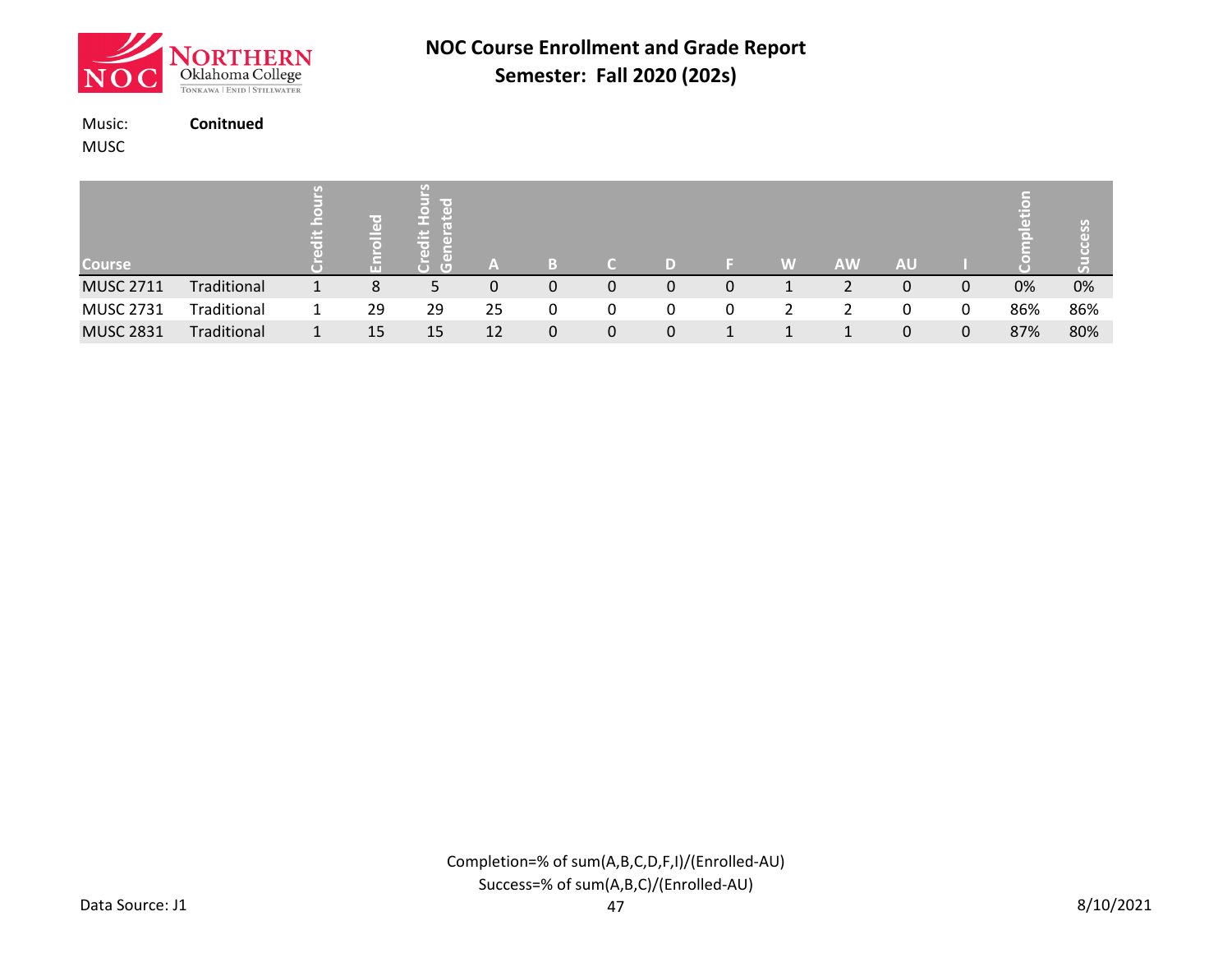![](_page_32_Picture_0.jpeg)

Music: **Conitnued**

MUSC

| <b>Course</b>    |             |    | $\mathbb G$ |    | B |   | D |   | W | <b>AW</b> | <b>AU</b> |   | (e) |     |
|------------------|-------------|----|-------------|----|---|---|---|---|---|-----------|-----------|---|-----|-----|
| <b>MUSC 2711</b> | Traditional | 8  | 5           | 0  | 0 | 0 | 0 | 0 |   |           | 0         | 0 | 0%  | 0%  |
| <b>MUSC 2731</b> | Traditional | 29 | 29          | 25 | 0 | 0 | 0 | 0 |   |           | 0         | 0 | 86% | 86% |
| <b>MUSC 2831</b> | Traditional | 15 | 15          | 12 | 0 | 0 | 0 |   |   |           | 0         | 0 | 87% | 80% |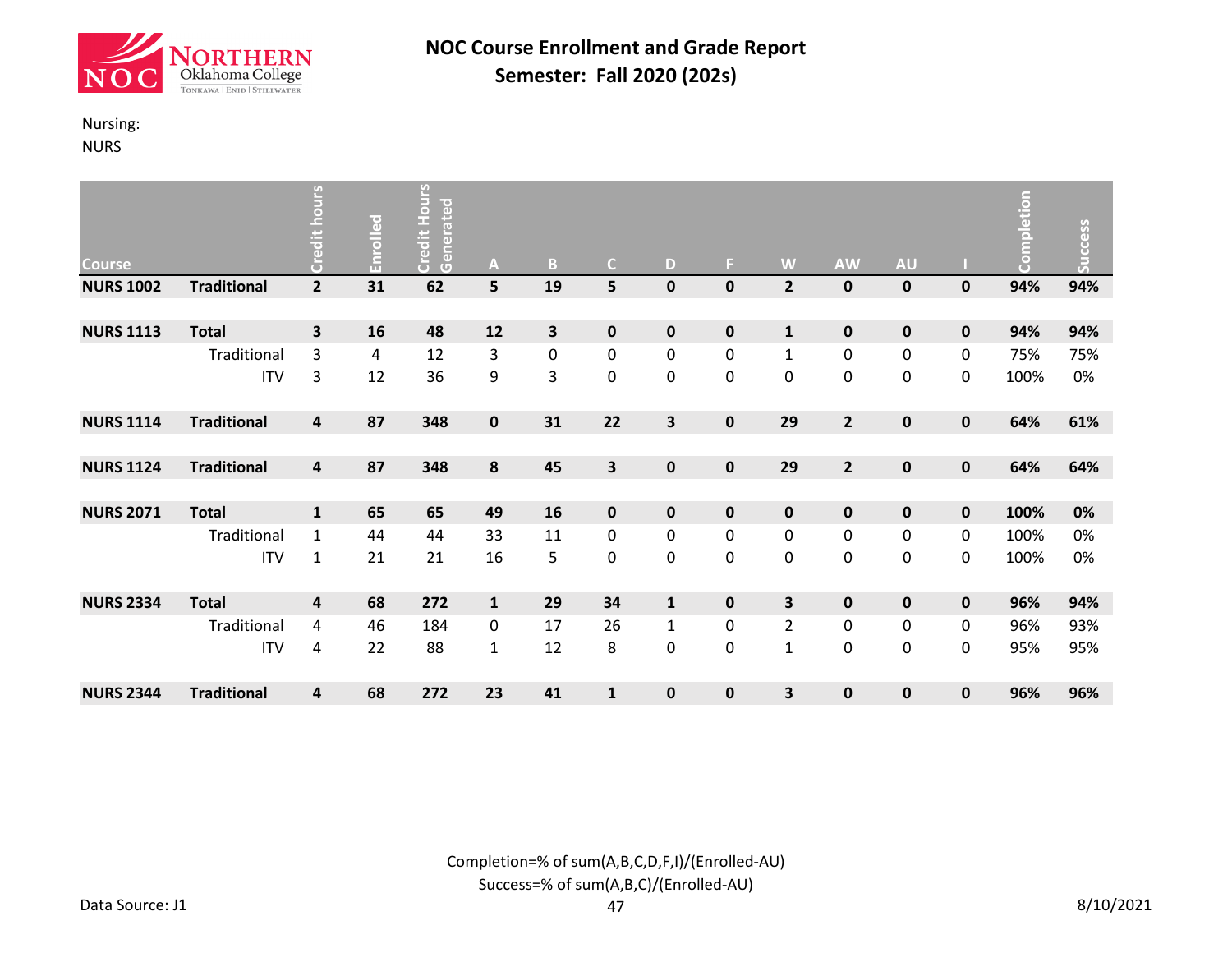![](_page_33_Picture_0.jpeg)

### Nursing:

NURS

| <b>Course</b>    |                    | Credit hours   | Enrolled | <b>Credit Hours</b><br>Generated | A            | $\mathbf{B}$ | $\mathsf{C}$ | D            | F.          | W              | <b>AW</b>        | <b>AU</b>        |             | Completion | <b>Success</b> |
|------------------|--------------------|----------------|----------|----------------------------------|--------------|--------------|--------------|--------------|-------------|----------------|------------------|------------------|-------------|------------|----------------|
| <b>NURS 1002</b> | <b>Traditional</b> | $\overline{2}$ | 31       | 62                               | 5            | 19           | 5            | $\mathbf 0$  | 0           | $\overline{2}$ | $\bf{0}$         | $\mathbf 0$      | 0           | 94%        | 94%            |
|                  |                    |                |          |                                  |              |              |              |              |             |                |                  |                  |             |            |                |
| <b>NURS 1113</b> | <b>Total</b>       | 3              | 16       | 48                               | 12           | 3            | $\mathbf 0$  | $\mathbf 0$  | 0           | $\mathbf{1}$   | $\mathbf 0$      | 0                | 0           | 94%        | 94%            |
|                  | Traditional        | 3              | 4        | 12                               | 3            | $\pmb{0}$    | $\pmb{0}$    | 0            | 0           | $\mathbf{1}$   | $\mathbf 0$      | $\boldsymbol{0}$ | 0           | 75%        | 75%            |
|                  | <b>ITV</b>         | 3              | 12       | 36                               | 9            | 3            | 0            | 0            | 0           | 0              | $\mathbf 0$      | $\mathbf 0$      | 0           | 100%       | 0%             |
| <b>NURS 1114</b> | <b>Traditional</b> | 4              | 87       | 348                              | 0            | 31           | 22           | 3            | 0           | 29             | $\overline{2}$   | $\mathbf 0$      | 0           | 64%        | 61%            |
|                  |                    |                |          |                                  |              |              |              |              |             |                |                  |                  |             |            |                |
| <b>NURS 1124</b> | <b>Traditional</b> | 4              | 87       | 348                              | 8            | 45           | 3            | $\mathbf 0$  | 0           | 29             | $\overline{2}$   | $\mathbf 0$      | $\mathbf 0$ | 64%        | 64%            |
|                  |                    |                |          |                                  |              |              |              |              |             |                |                  |                  |             |            |                |
| <b>NURS 2071</b> | <b>Total</b>       | $\mathbf{1}$   | 65       | 65                               | 49           | 16           | $\mathbf 0$  | $\mathbf 0$  | $\mathbf 0$ | $\mathbf 0$    | $\mathbf 0$      | $\mathbf 0$      | $\mathbf 0$ | 100%       | 0%             |
|                  | Traditional        | $\mathbf{1}$   | 44       | 44                               | 33           | 11           | 0            | 0            | 0           | $\pmb{0}$      | $\boldsymbol{0}$ | $\boldsymbol{0}$ | 0           | 100%       | 0%             |
|                  | <b>ITV</b>         | $\mathbf{1}$   | 21       | 21                               | 16           | 5            | 0            | 0            | 0           | $\pmb{0}$      | $\mathbf 0$      | $\pmb{0}$        | 0           | 100%       | 0%             |
| <b>NURS 2334</b> | <b>Total</b>       | 4              | 68       | 272                              | $\mathbf{1}$ | 29           | 34           | $\mathbf{1}$ | 0           | 3              | $\pmb{0}$        | $\mathbf 0$      | 0           | 96%        | 94%            |
|                  | Traditional        | 4              | 46       | 184                              | 0            | 17           | 26           | 1            | 0           | $\overline{2}$ | $\mathbf 0$      | $\boldsymbol{0}$ | 0           | 96%        | 93%            |
|                  | <b>ITV</b>         | 4              | 22       | 88                               | $\mathbf{1}$ | 12           | 8            | 0            | 0           | $\mathbf{1}$   | $\mathbf 0$      | 0                | 0           | 95%        | 95%            |
| <b>NURS 2344</b> | <b>Traditional</b> | 4              | 68       | 272                              | 23           | 41           | $\mathbf{1}$ | $\mathbf{0}$ | 0           | 3              | $\bf{0}$         | 0                | 0           | 96%        | 96%            |

Completion=% of sum(A,B,C,D,F,I)/(Enrolled-AU) Success=% of sum(A,B,C)/(Enrolled-AU)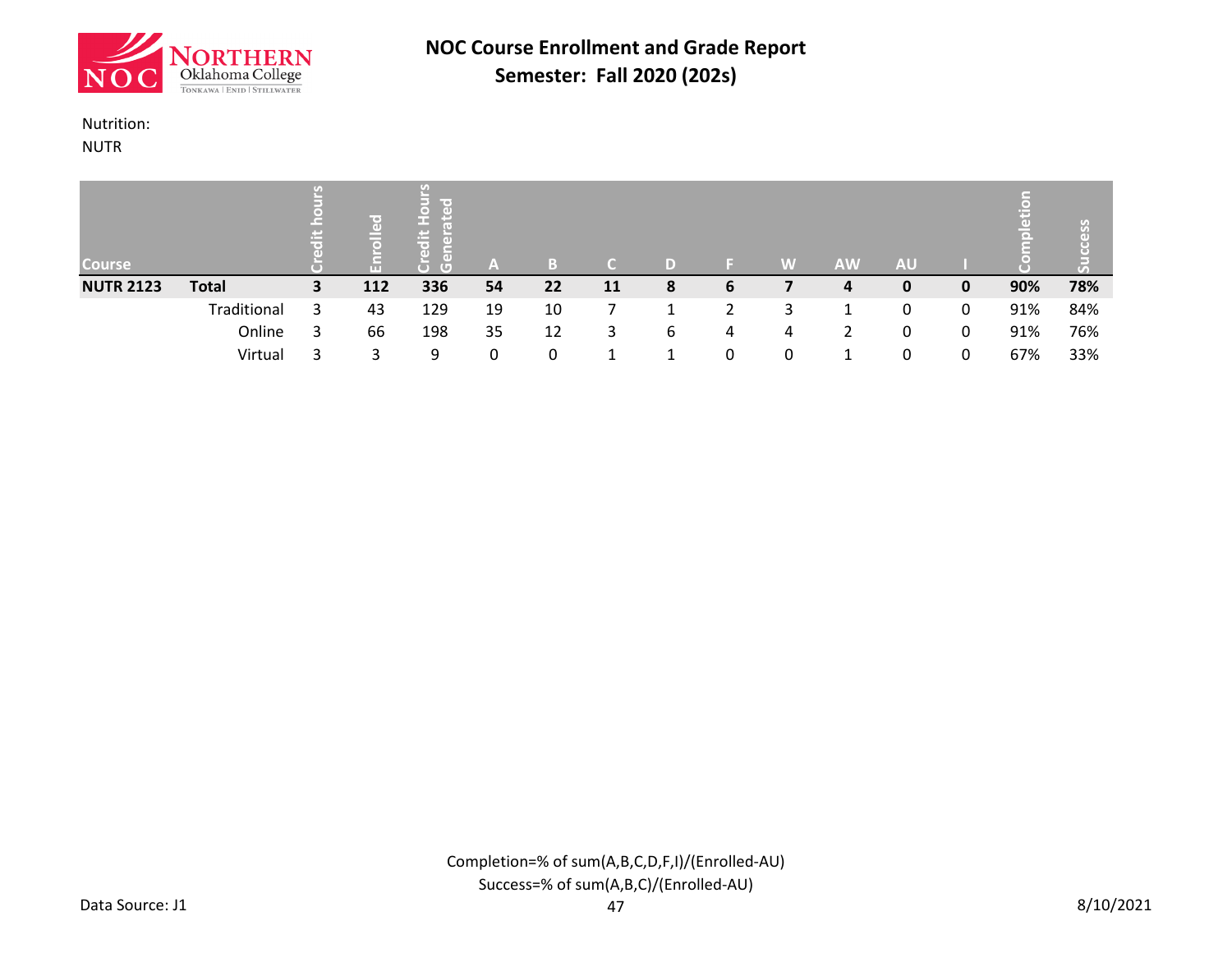![](_page_34_Picture_0.jpeg)

#### Nutrition:

NUTR

| <b>Course</b>    |              |    | r⇔]<br>$\overline{a}$<br>$\Box$<br>π | me o<br>▭<br>rei<br>(G | A  | B. |           |   |   | W            | <b>AW</b> | <b>AU</b> |   | $\overline{a}$<br>(o). | S <sub>o</sub><br>こ |
|------------------|--------------|----|--------------------------------------|------------------------|----|----|-----------|---|---|--------------|-----------|-----------|---|------------------------|---------------------|
| <b>NUTR 2123</b> | <b>Total</b> | 3. | 112                                  | 336                    | 54 | 22 | <b>11</b> | 8 | 6 |              | 4         | 0         | 0 | 90%                    | 78%                 |
|                  | Traditional  |    | 43                                   | 129                    | 19 | 10 |           |   |   | 3            |           | 0         | 0 | 91%                    | 84%                 |
|                  | Online       |    | 66                                   | 198                    | 35 | 12 | 3         | 6 | 4 | 4            |           | 0         | 0 | 91%                    | 76%                 |
|                  | Virtual      |    | 3                                    | 9                      | 0  | 0  |           |   | 0 | <sup>0</sup> |           |           | 0 | 67%                    | 33%                 |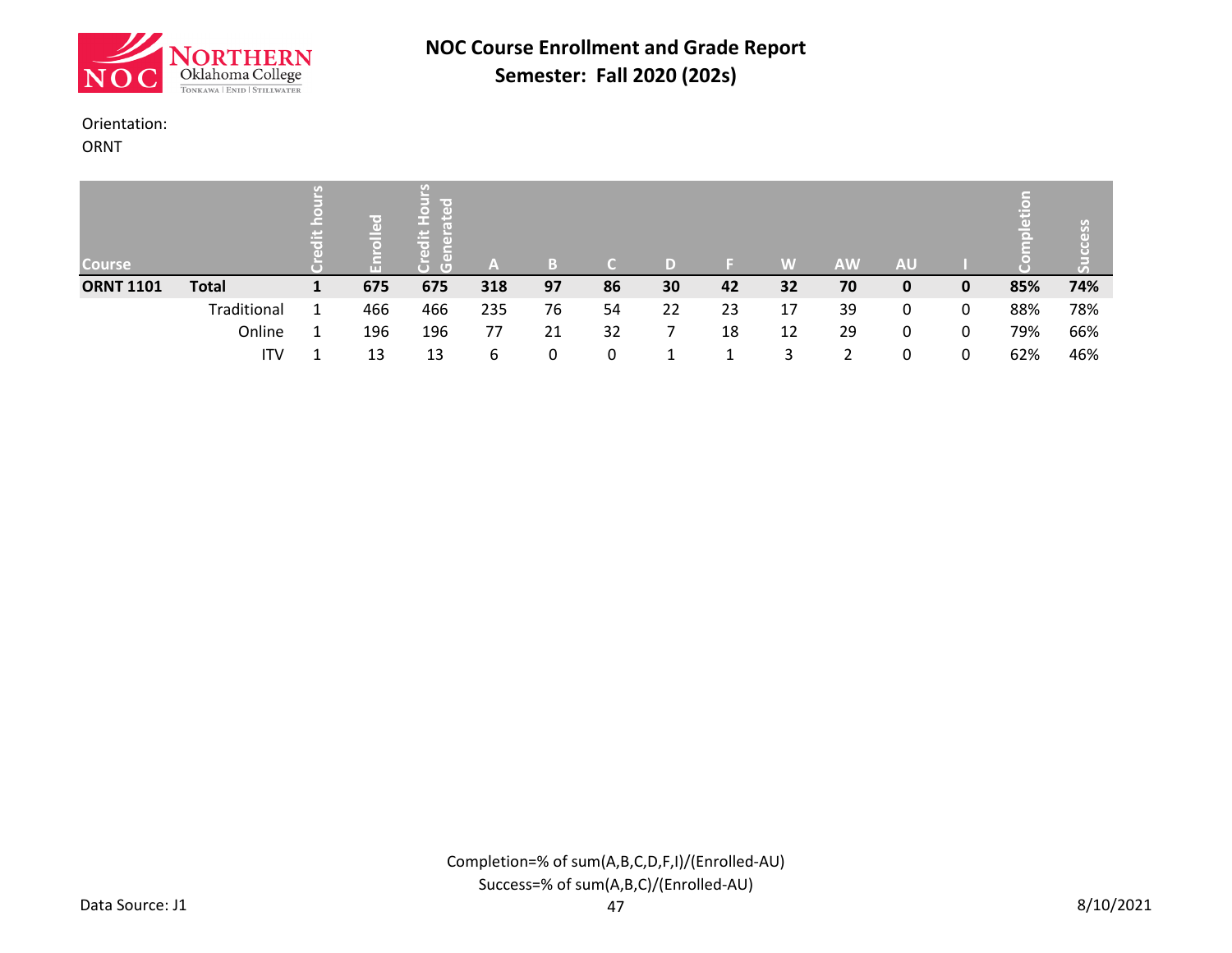![](_page_35_Picture_0.jpeg)

#### Orientation:

ORNT

| <b>Course</b>    |              |     | lir oʻ<br>œ<br>rei<br>m<br>пD<br>τ | $-1$ | B  |    |    |    | W  | <b>AW</b> | <b>AU</b> |   | 昌   | U)  |
|------------------|--------------|-----|------------------------------------|------|----|----|----|----|----|-----------|-----------|---|-----|-----|
| <b>ORNT 1101</b> | <b>Total</b> | 675 | 675                                | 318  | 97 | 86 | 30 | 42 | 32 | 70        | 0         | 0 | 85% | 74% |
|                  | Traditional  | 466 | 466                                | 235  | 76 | 54 | 22 | 23 | 17 | 39        | 0         | 0 | 88% | 78% |
|                  | Online       | 196 | 196                                | 77   | 21 | 32 |    | 18 | 12 | 29        | 0         | 0 | 79% | 66% |
|                  | ITV          | 13  | 13                                 | 6    | 0  | 0  |    |    |    |           | 0         | 0 | 62% | 46% |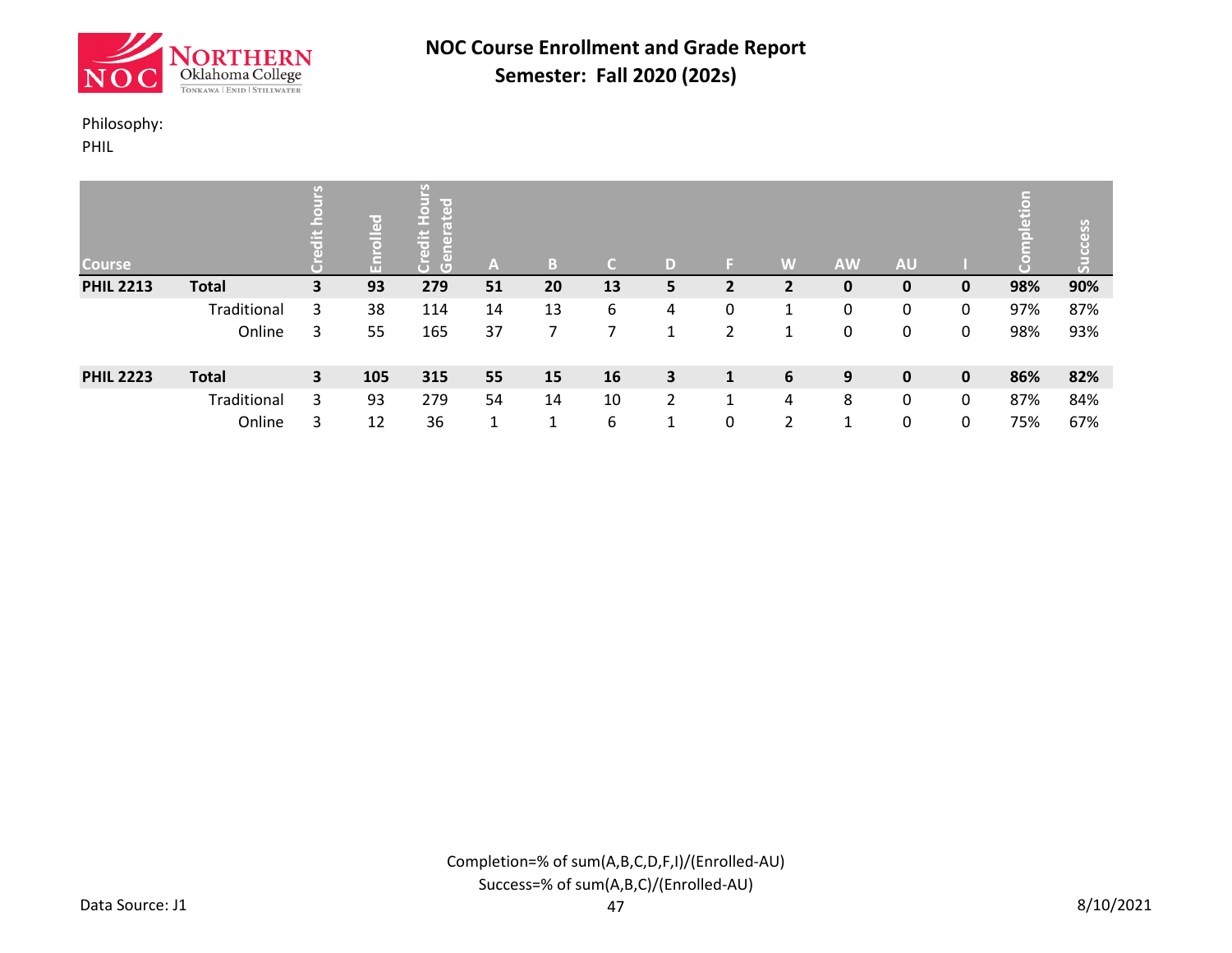![](_page_36_Picture_0.jpeg)

### Philosophy:

PHIL

| <b>Course</b>    |              | ≝                       | ဥ<br>$\bar{a}$<br>톱 | U)<br>ၣၟ<br>m<br>$\pm$<br>t®<br>$\overline{a}$<br>$\overline{a}$<br>$\overline{G}$ | A  | B. |    |                | E.                   | W | <b>AW</b> | <b>AU</b>    |             | Ë   | ess<br>$\vec{5}$ |
|------------------|--------------|-------------------------|---------------------|------------------------------------------------------------------------------------|----|----|----|----------------|----------------------|---|-----------|--------------|-------------|-----|------------------|
| <b>PHIL 2213</b> | <b>Total</b> | 3                       | 93                  | 279                                                                                | 51 | 20 | 13 | 5              | 2                    |   | 0         | 0            | $\mathbf 0$ | 98% | 90%              |
|                  | Traditional  | 3                       | 38                  | 114                                                                                | 14 | 13 | 6  | 4              | 0                    | 1 | 0         | 0            | 0           | 97% | 87%              |
|                  | Online       | 3                       | 55                  | 165                                                                                | 37 |    |    |                | 2                    |   | 0         | 0            | 0           | 98% | 93%              |
| <b>PHIL 2223</b> | <b>Total</b> | $\overline{\mathbf{3}}$ | 105                 | 315                                                                                | 55 | 15 | 16 | 3              | 1                    | 6 | 9         | $\mathbf{0}$ | $\mathbf 0$ | 86% | 82%              |
|                  | Traditional  | 3                       | 93                  | 279                                                                                | 54 | 14 | 10 | $\overline{2}$ | $\blacktriangleleft$ | 4 | 8         | 0            | 0           | 87% | 84%              |
|                  | Online       | 3                       | 12                  | 36                                                                                 | 1  | 1  | 6  |                | 0                    | 2 | 1         | 0            | 0           | 75% | 67%              |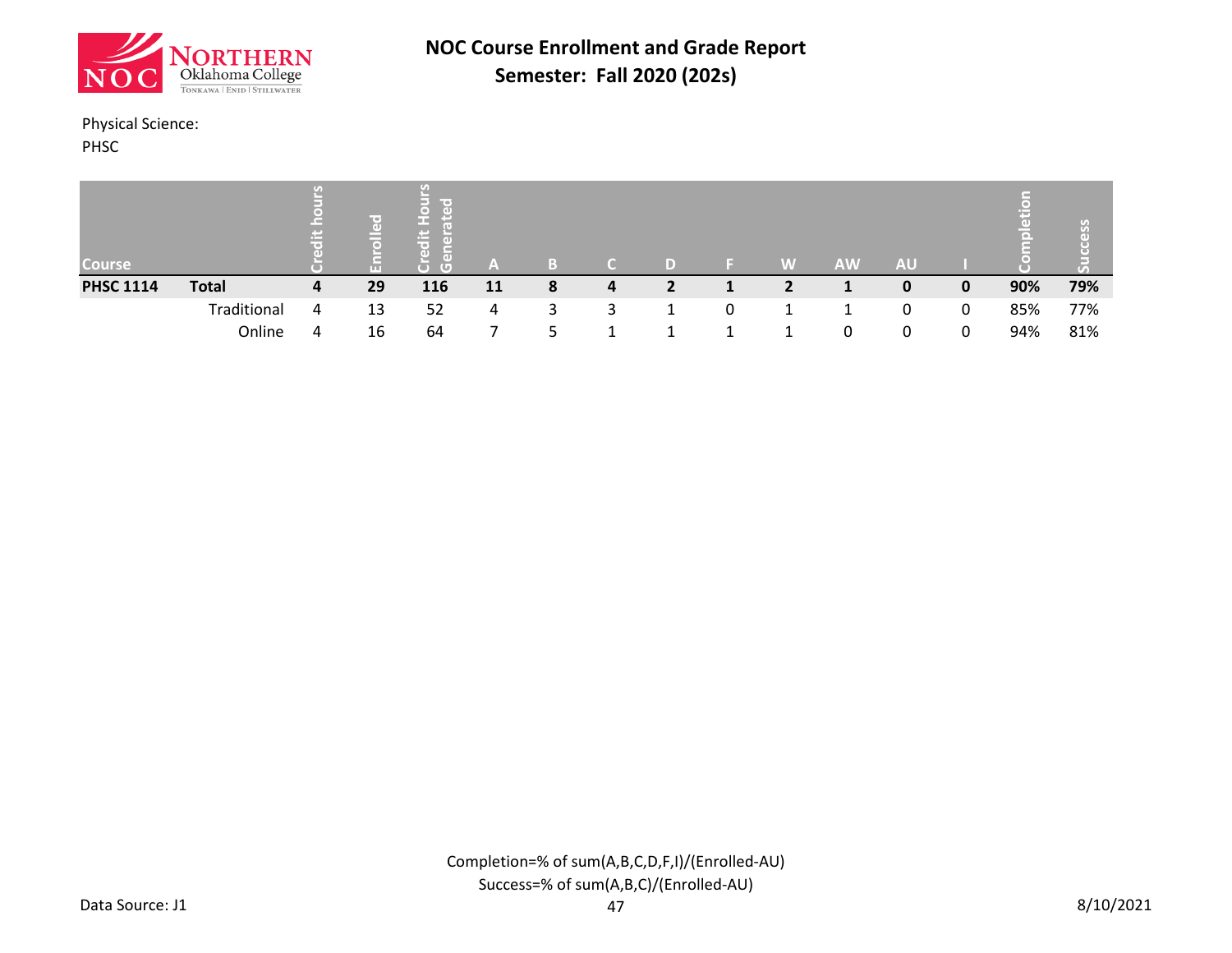![](_page_37_Picture_0.jpeg)

### Physical Science:

PHSC

| <b>Course</b>    |              |   |    | G   | A  | B |   |   | W              | <b>AW</b> | <b>AU</b> |   | ЮI  | <b>Was</b><br>$\tau_{\scriptscriptstyle A}$ |
|------------------|--------------|---|----|-----|----|---|---|---|----------------|-----------|-----------|---|-----|---------------------------------------------|
| <b>PHSC 1114</b> | <b>Total</b> | 4 | 29 | 116 | 11 | 8 | 4 |   | $\overline{2}$ |           | 0         | 0 | 90% | 79%                                         |
|                  | Traditional  | 4 | 13 | 52  | 4  | 3 | 3 | 0 |                |           | 0         | 0 | 85% | 77%                                         |
|                  | Online       | 4 | 16 | 64  |    |   |   |   |                | 0         | 0         | 0 | 94% | 81%                                         |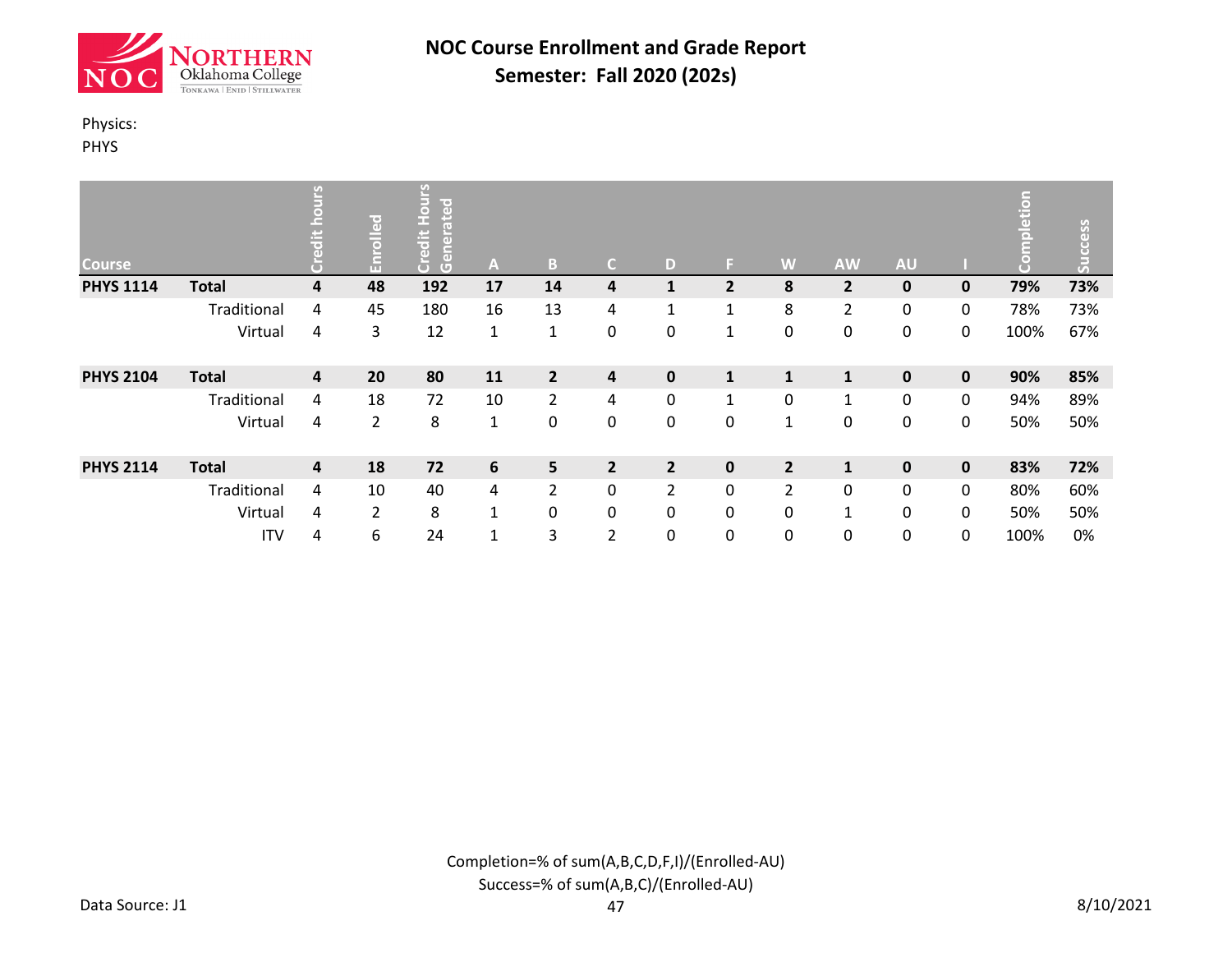![](_page_38_Picture_0.jpeg)

### Physics:

PHYS

| <b>Course</b>    |              | بہ | Enrolled       | Ø<br>$\overline{\bullet}$<br>ate<br>n,<br>edit<br>$\left(\mathbf{d}\right)$<br>e<br>မြို့<br>ă | A            | B              | C.             | D              | ы              | W              | <b>AW</b>      | <b>AU</b>   |             | etion<br>$\overline{\circ}$ | cess<br>h.<br>ā |
|------------------|--------------|----|----------------|------------------------------------------------------------------------------------------------|--------------|----------------|----------------|----------------|----------------|----------------|----------------|-------------|-------------|-----------------------------|-----------------|
| <b>PHYS 1114</b> | <b>Total</b> | 4  | 48             | 192                                                                                            | 17           | 14             | 4              | 1              | $\overline{2}$ | 8              | $\overline{2}$ | $\mathbf 0$ | 0           | 79%                         | 73%             |
|                  | Traditional  | 4  | 45             | 180                                                                                            | 16           | 13             | 4              | $\mathbf{1}$   | 1              | 8              | $\overline{2}$ | 0           | 0           | 78%                         | 73%             |
|                  | Virtual      | 4  | 3              | 12                                                                                             | $\mathbf{1}$ | $\mathbf{1}$   | 0              | 0              | $\mathbf 1$    | 0              | $\pmb{0}$      | 0           | 0           | 100%                        | 67%             |
| <b>PHYS 2104</b> | <b>Total</b> | 4  | 20             | 80                                                                                             | 11           | $\overline{2}$ | 4              | $\mathbf 0$    | $\mathbf{1}$   | $\mathbf{1}$   | $\mathbf{1}$   | $\mathbf 0$ | $\mathbf 0$ | 90%                         | 85%             |
|                  | Traditional  | 4  | 18             | 72                                                                                             | 10           | $\overline{2}$ | 4              | 0              | $\mathbf{1}$   | 0              | $\mathbf{1}$   | 0           | 0           | 94%                         | 89%             |
|                  | Virtual      | 4  | $\overline{2}$ | 8                                                                                              | $\mathbf{1}$ | 0              | 0              | 0              | 0              | $\mathbf{1}$   | $\pmb{0}$      | $\pmb{0}$   | 0           | 50%                         | 50%             |
| <b>PHYS 2114</b> | <b>Total</b> | 4  | 18             | 72                                                                                             | 6            | 5              | $\overline{2}$ | $\overline{2}$ | $\mathbf 0$    | $\overline{2}$ | $\mathbf{1}$   | 0           | $\mathbf 0$ | 83%                         | 72%             |
|                  | Traditional  | 4  | 10             | 40                                                                                             | 4            | $\overline{2}$ | 0              | 2              | 0              | $\overline{2}$ | 0              | 0           | 0           | 80%                         | 60%             |
|                  | Virtual      | 4  | $\overline{2}$ | 8                                                                                              | $\mathbf{1}$ | 0              | 0              | 0              | 0              | 0              | $\mathbf{1}$   | 0           | 0           | 50%                         | 50%             |
|                  | <b>ITV</b>   | 4  | 6              | 24                                                                                             | 1            | 3              | $\overline{2}$ | 0              | 0              | 0              | 0              | 0           | 0           | 100%                        | 0%              |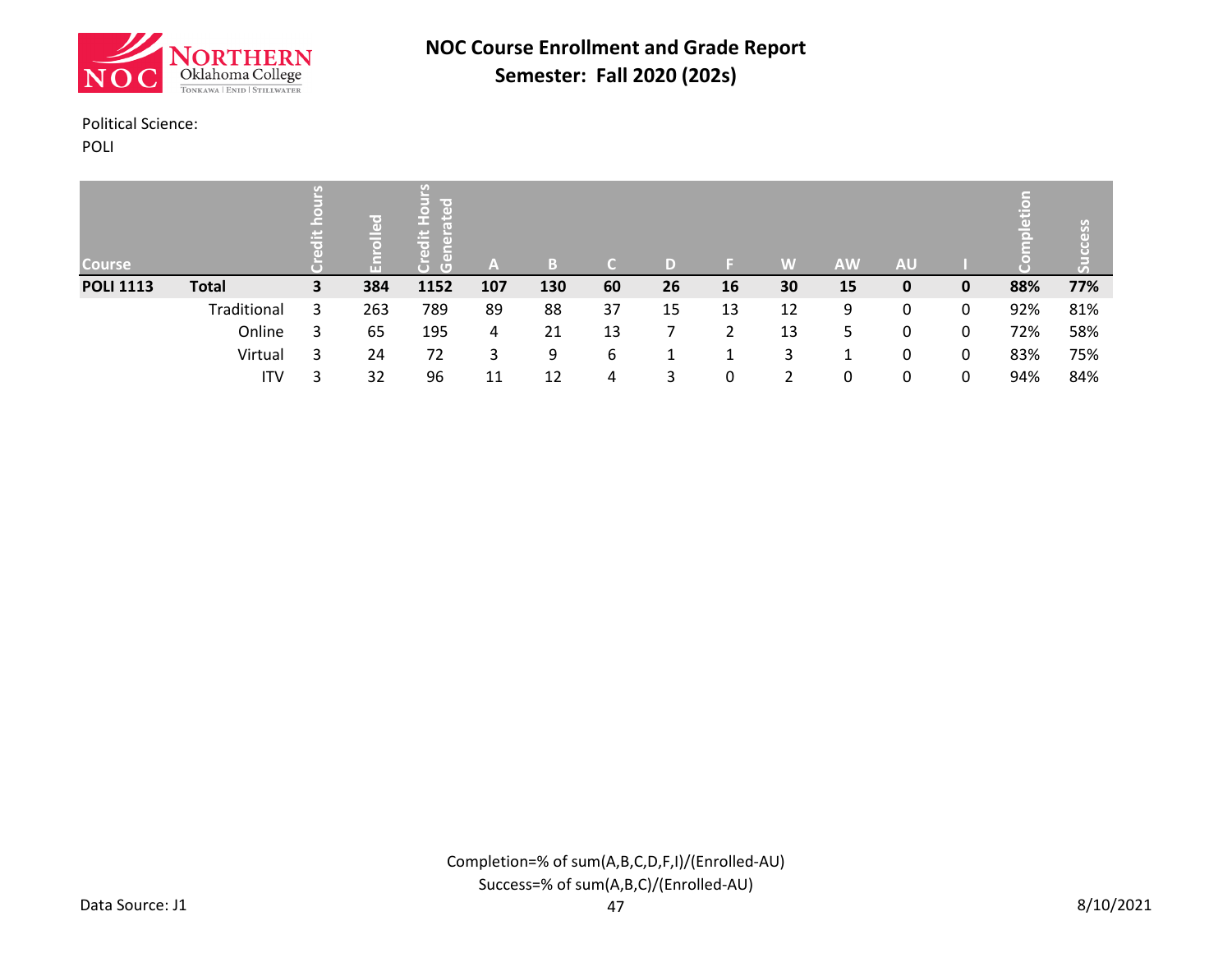![](_page_39_Picture_0.jpeg)

#### Political Science:

POLI

| <b>Course</b>    |              |   | 日<br>$\overline{\bullet}$ | lin er<br>r o i<br>(U) | A   | B.  |    |    |    | W  | <b>AW</b> | <b>AU</b> |              |     |     |
|------------------|--------------|---|---------------------------|------------------------|-----|-----|----|----|----|----|-----------|-----------|--------------|-----|-----|
| <b>POLI 1113</b> | <b>Total</b> | 3 | 384                       | 1152                   | 107 | 130 | 60 | 26 | 16 | 30 | 15        | 0         | $\mathbf{0}$ | 88% | 77% |
|                  | Traditional  | 3 | 263                       | 789                    | 89  | 88  | 37 | 15 | 13 | 12 | 9         | 0         | 0            | 92% | 81% |
|                  | Online       | 3 | 65                        | 195                    | 4   | 21  | 13 |    | ำ  | 13 | 5         | 0         | 0            | 72% | 58% |
|                  | Virtual      | 3 | 24                        | 72                     | 3   | 9   | 6  |    |    | 3  |           | 0         | 0            | 83% | 75% |
|                  | ITV          |   | 32                        | 96                     | 11  | 12  | 4  | 3  | 0  | າ  | 0         | 0         | 0            | 94% | 84% |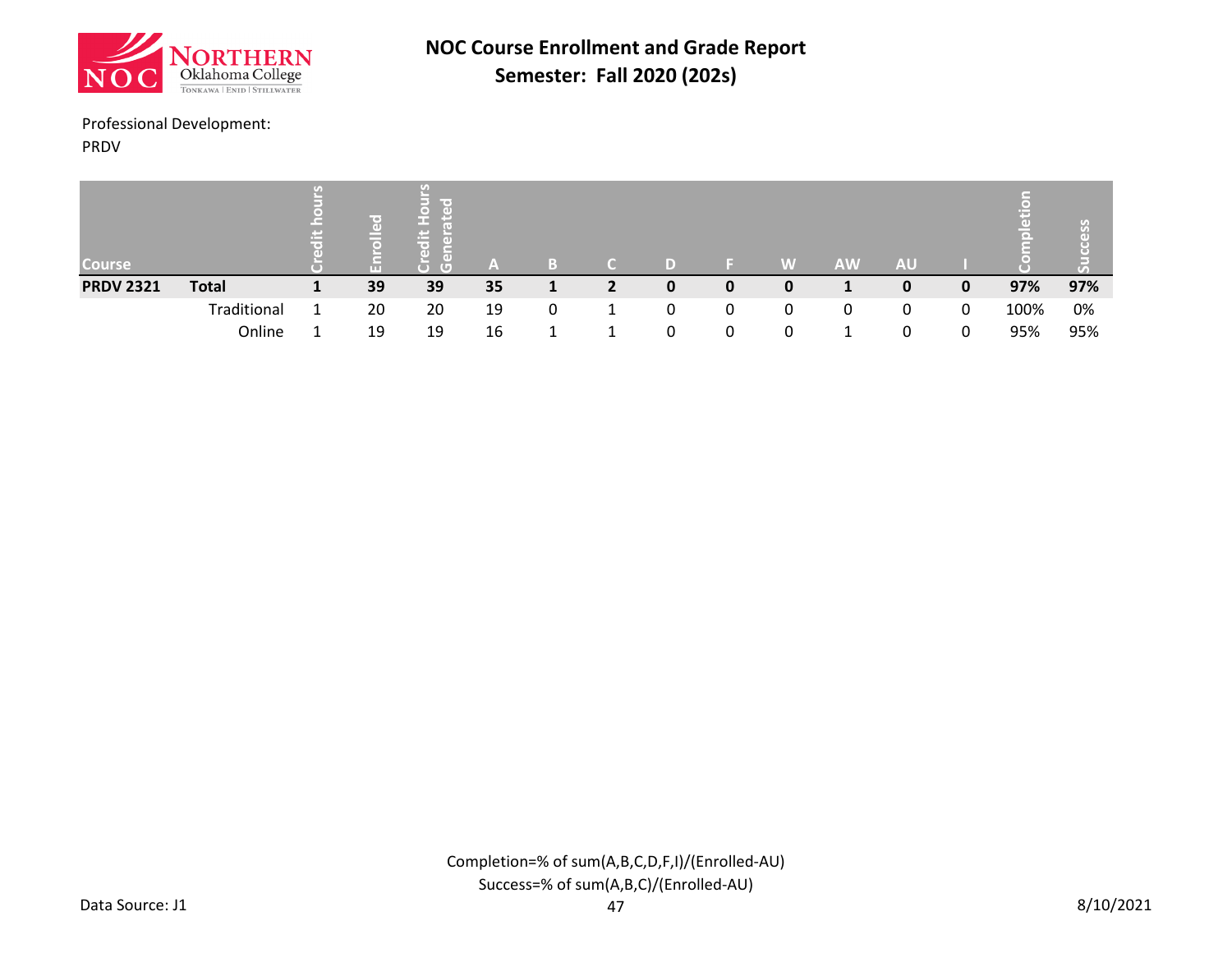![](_page_40_Picture_0.jpeg)

### Professional Development:

PRDV

| Course           |              | ro<br>ш | me o<br>( e D )<br>Œ |    |   |   |   |    | W | <b>AW</b> | <b>AU</b> |   | ol   | $\sigma$<br>$\tau_s$ |
|------------------|--------------|---------|----------------------|----|---|---|---|----|---|-----------|-----------|---|------|----------------------|
| <b>PRDV 2321</b> | <b>Total</b> | 39      | 39                   | 35 |   | 2 | 0 | 0  | 0 |           |           | 0 | 97%  | 97%                  |
|                  | Traditional  | 20      | 20                   | 19 | 0 |   |   | 0  | 0 | 0         | 0         | 0 | 100% | 0%                   |
|                  | Online       | 19      | 19                   | 16 |   |   |   | O. |   |           |           | 0 | 95%  | 95%                  |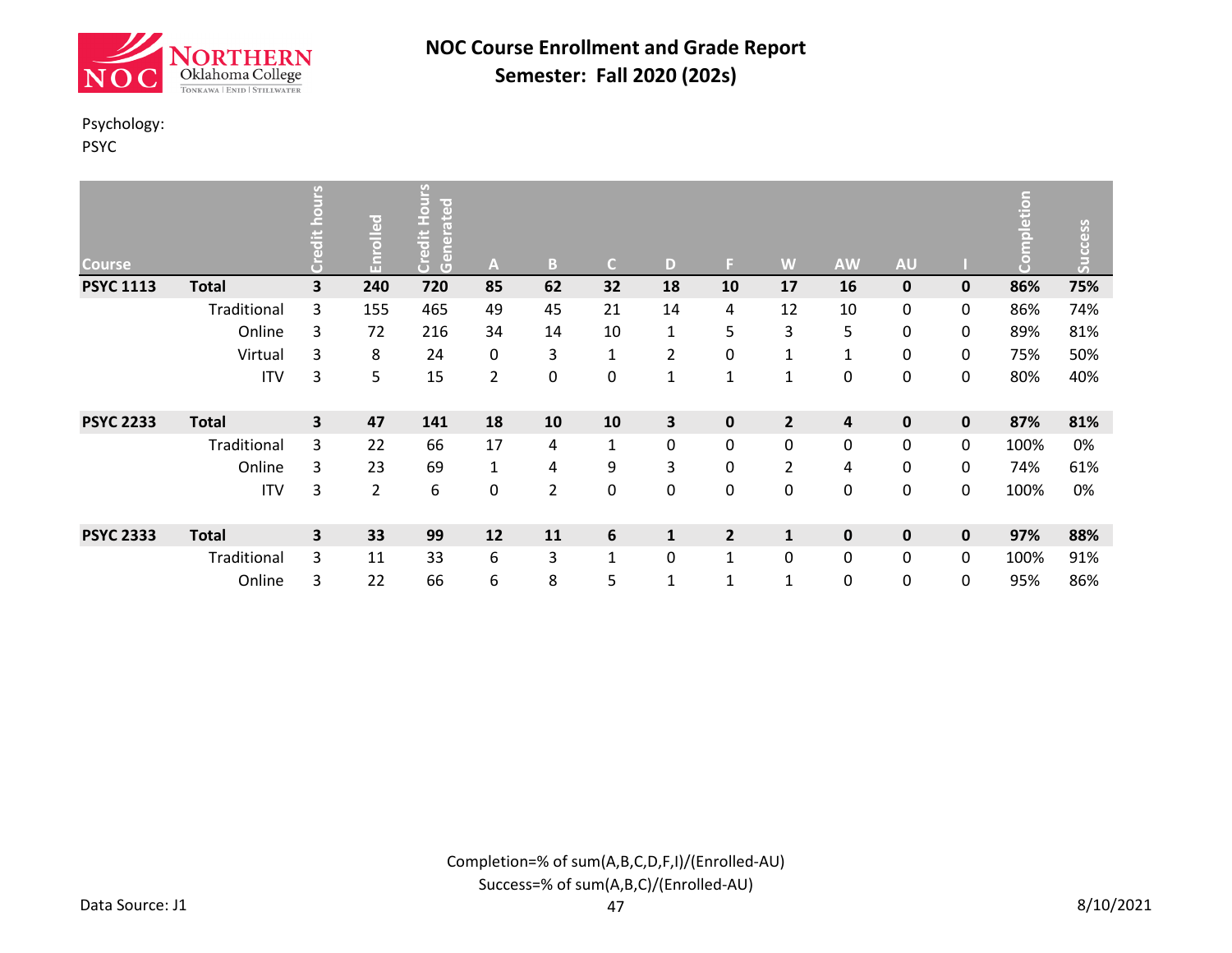![](_page_41_Picture_0.jpeg)

### Psychology:

PSYC

| <b>Course</b>    |              | ی                       | Enrolled | Hours<br>loate<br>Credit<br>$\overline{a}$<br>lene<br>Gene | A              | B              | $\mathsf{C}$ | D            | F.             | W              | <b>AW</b>    | <b>AU</b>   |           | npletion<br>၉ | Success |
|------------------|--------------|-------------------------|----------|------------------------------------------------------------|----------------|----------------|--------------|--------------|----------------|----------------|--------------|-------------|-----------|---------------|---------|
| <b>PSYC 1113</b> | <b>Total</b> | 3                       | 240      | 720                                                        | 85             | 62             | 32           | 18           | 10             | 17             | 16           | $\mathbf 0$ | 0         | 86%           | 75%     |
|                  | Traditional  | 3                       | 155      | 465                                                        | 49             | 45             | 21           | 14           | 4              | 12             | 10           | 0           | 0         | 86%           | 74%     |
|                  | Online       | 3                       | 72       | 216                                                        | 34             | 14             | 10           | 1            | 5              | 3              | 5            | 0           | 0         | 89%           | 81%     |
|                  | Virtual      | 3                       | 8        | 24                                                         | 0              | 3              | $\mathbf 1$  | 2            | 0              | $\mathbf{1}$   | $\mathbf{1}$ | 0           | 0         | 75%           | 50%     |
|                  | <b>ITV</b>   | 3                       | 5        | 15                                                         | $\overline{2}$ | 0              | 0            | 1            | $\mathbf{1}$   | $\mathbf{1}$   | 0            | 0           | 0         | 80%           | 40%     |
| <b>PSYC 2233</b> | <b>Total</b> | $\overline{\mathbf{3}}$ | 47       | 141                                                        | 18             | 10             | 10           | 3            | $\mathbf 0$    | $\overline{2}$ | 4            | $\pmb{0}$   | $\pmb{0}$ | 87%           | 81%     |
|                  | Traditional  | 3                       | 22       | 66                                                         | 17             | 4              | 1            | 0            | 0              | 0              | $\pmb{0}$    | 0           | 0         | 100%          | 0%      |
|                  | Online       | 3                       | 23       | 69                                                         | 1              | 4              | 9            | 3            | 0              | 2              | 4            | 0           | 0         | 74%           | 61%     |
|                  | <b>ITV</b>   | 3                       | 2        | 6                                                          | 0              | $\overline{2}$ | 0            | 0            | 0              | 0              | 0            | 0           | 0         | 100%          | 0%      |
| <b>PSYC 2333</b> | <b>Total</b> | 3                       | 33       | 99                                                         | 12             | 11             | 6            | $\mathbf{1}$ | $\overline{2}$ | $\mathbf{1}$   | $\mathbf{0}$ | $\mathbf 0$ | 0         | 97%           | 88%     |
|                  | Traditional  | 3                       | 11       | 33                                                         | 6              | 3              | $\mathbf{1}$ | 0            | $\mathbf{1}$   | 0              | 0            | 0           | 0         | 100%          | 91%     |
|                  | Online       | 3                       | 22       | 66                                                         | 6              | 8              | 5            | 1            | 1              | $\mathbf{1}$   | 0            | 0           | 0         | 95%           | 86%     |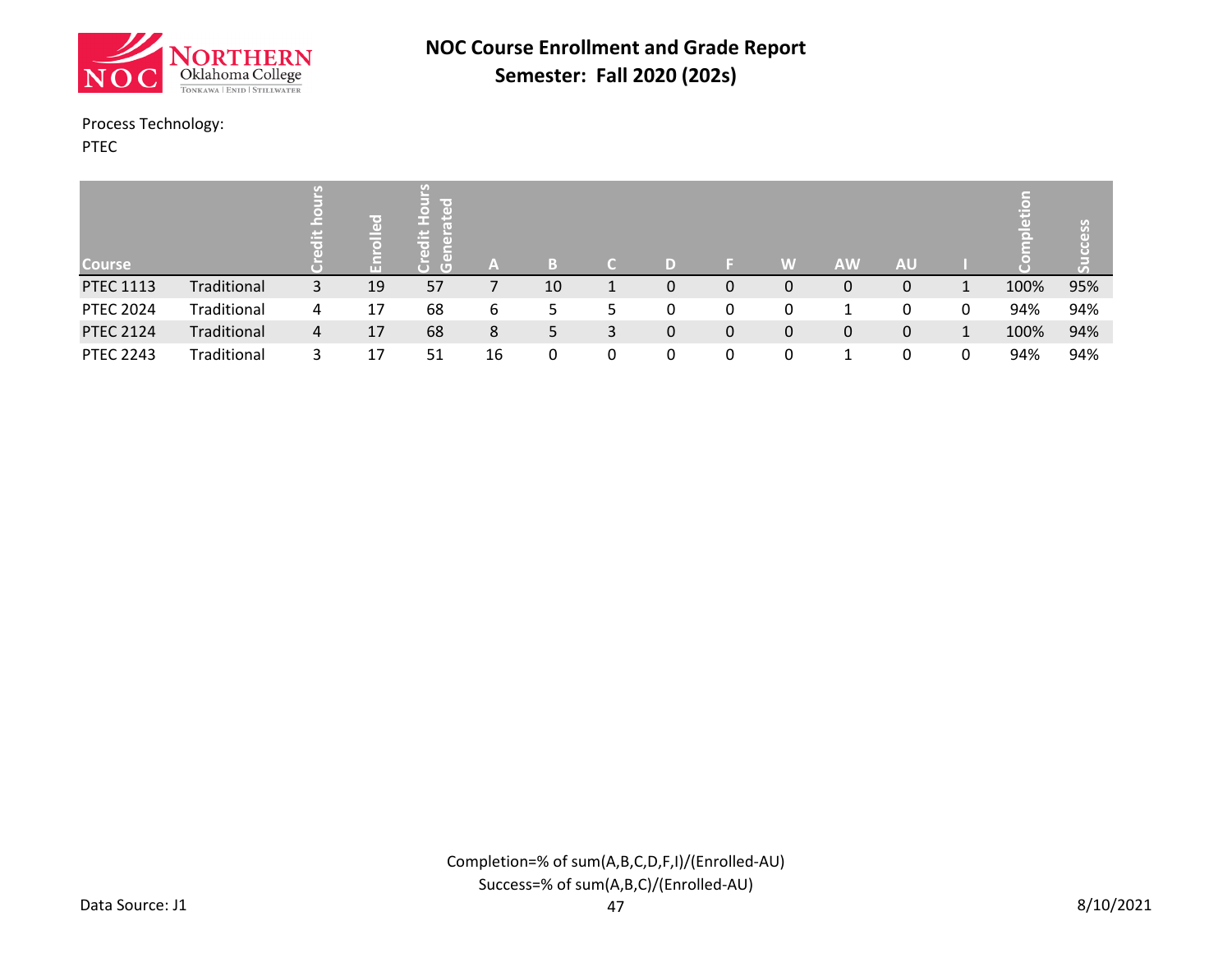![](_page_42_Picture_0.jpeg)

#### Process Technology:

PTEC

| <b>Course</b>    |             |   | lit of<br>ш | $\overline{\phantom{a}}$ (e),<br>œ<br>œ<br>TO <sup>1</sup><br>пn<br>σ | A  | B  |   |   |   | W | <b>AW</b> | <b>AU</b> |   |      |     |
|------------------|-------------|---|-------------|-----------------------------------------------------------------------|----|----|---|---|---|---|-----------|-----------|---|------|-----|
| <b>PTEC 1113</b> | Traditional | 3 | 19          | 57                                                                    |    | 10 |   | 0 | 0 | 0 | 0         | 0         | 1 | 100% | 95% |
| <b>PTEC 2024</b> | Traditional | 4 | 17          | 68                                                                    | 6  | 5  | כ |   | 0 | 0 |           | 0         | 0 | 94%  | 94% |
| <b>PTEC 2124</b> | Traditional | 4 | 17          | 68                                                                    | 8  | 5  | 3 | 0 | 0 | 0 | 0         | 0         | 1 | 100% | 94% |
| <b>PTEC 2243</b> | Traditional | 3 | 17          | 51                                                                    | 16 | 0  | 0 | 0 | 0 |   |           | 0         | 0 | 94%  | 94% |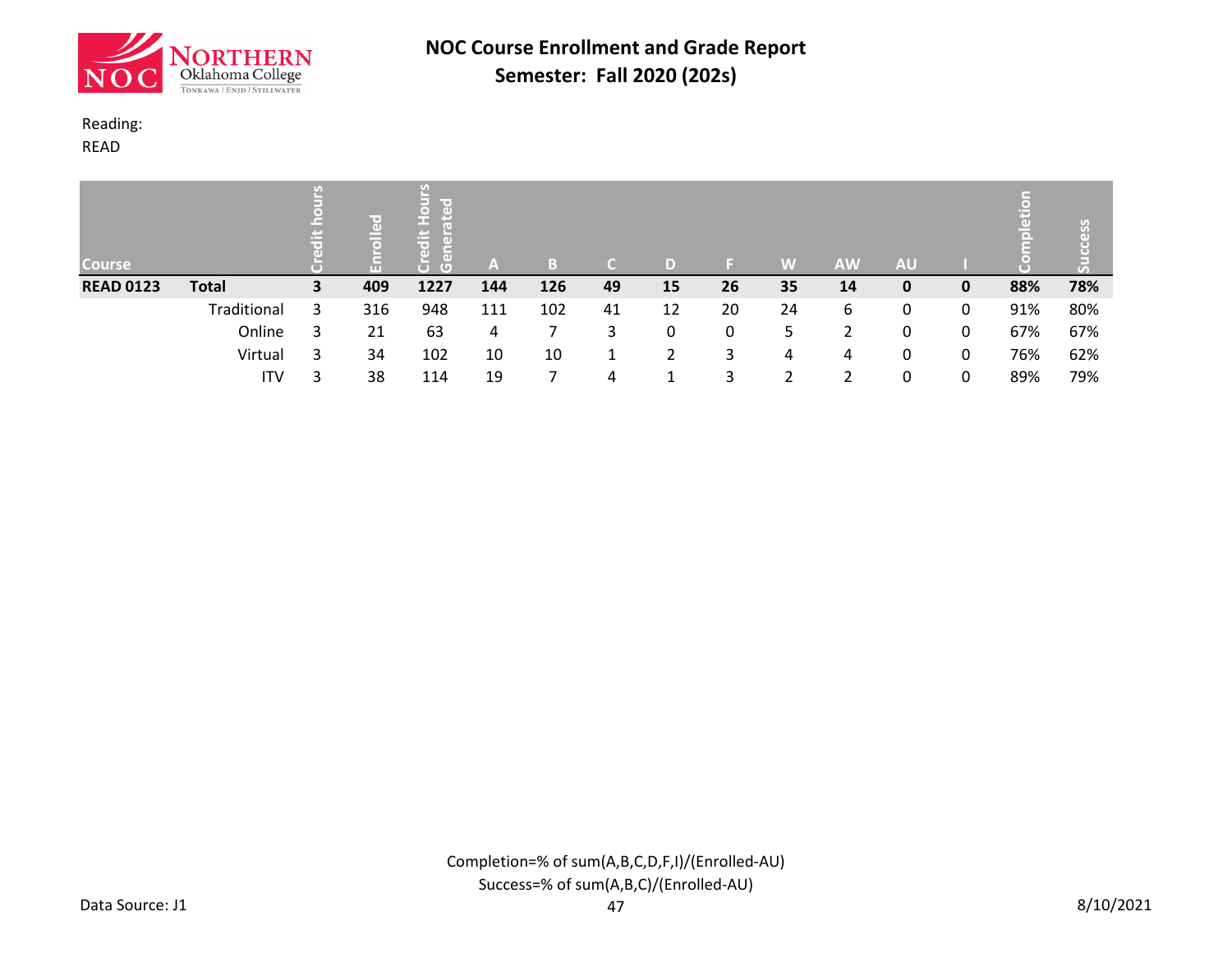![](_page_43_Picture_0.jpeg)

### Reading:

READ

| <b>Course</b>    |              | ÷. | ₩⇔⊾<br>$\overline{a}$<br>G | lir oʻ<br>œ<br>ま<br>$\overline{G}$ | ľАV | B   |    |    |    | W  | <b>AW</b> | <b>AU</b> |   | 高   | n   |
|------------------|--------------|----|----------------------------|------------------------------------|-----|-----|----|----|----|----|-----------|-----------|---|-----|-----|
| <b>READ 0123</b> | <b>Total</b> | 3  | 409                        | 1227                               | 144 | 126 | 49 | 15 | 26 | 35 | 14        | 0         | 0 | 88% | 78% |
|                  | Traditional  | 3  | 316                        | 948                                | 111 | 102 | 41 | 12 | 20 | 24 | 6         | 0         | 0 | 91% | 80% |
|                  | Online       |    | 21                         | 63                                 | 4   |     | 3  |    | 0  | 5  | າ         | 0         | 0 | 67% | 67% |
|                  | Virtual      | 3  | 34                         | 102                                | 10  | 10  | 1  |    | 3  | 4  | 4         | 0         | 0 | 76% | 62% |
|                  | ITV          |    | 38                         | 114                                | 19  |     | 4  |    | 3  |    | ำ         | 0         | 0 | 89% | 79% |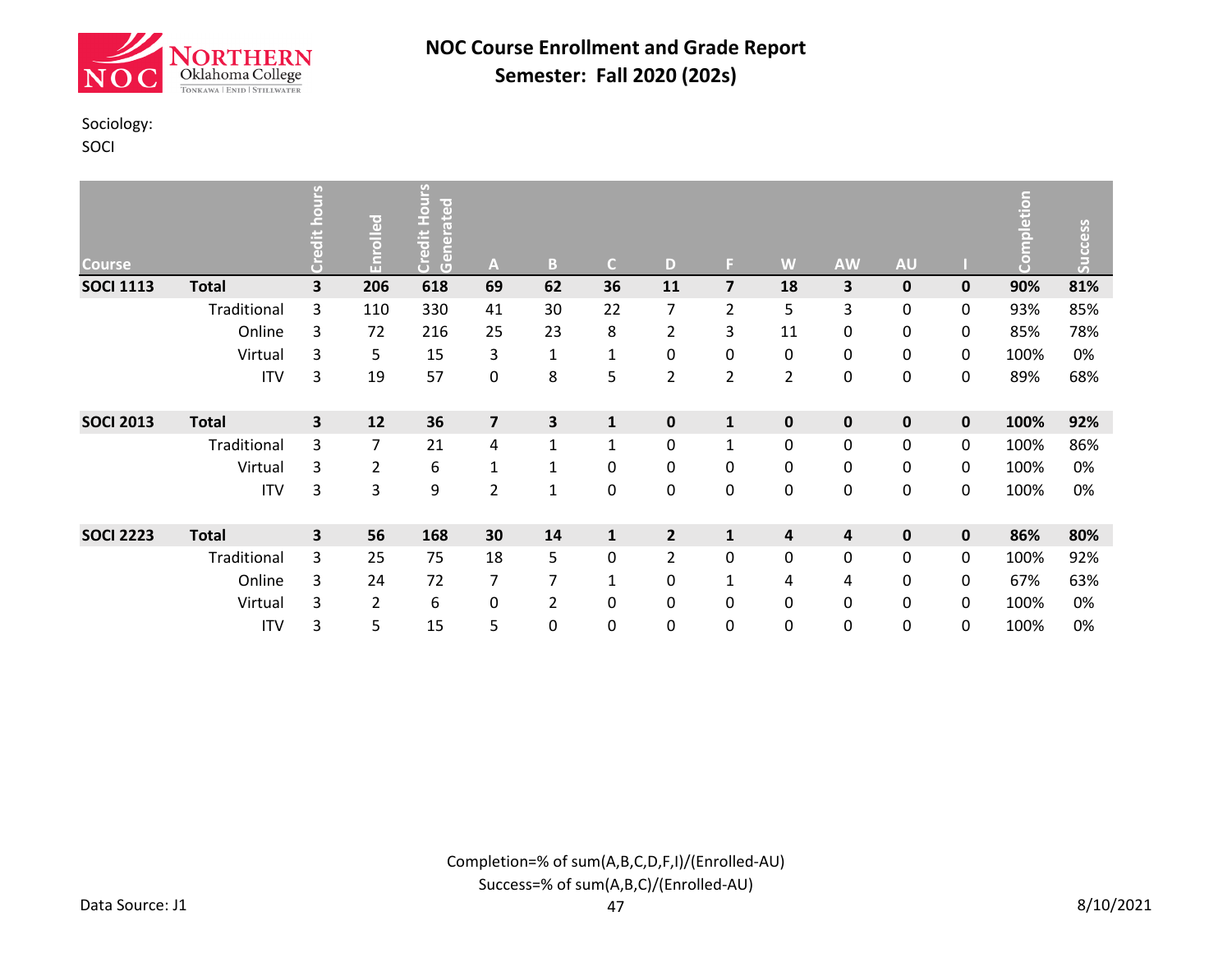![](_page_44_Picture_0.jpeg)

### Sociology:

SOCI

| <b>Course</b>    |              | Sun | Enrolled | Hours<br>Generated<br><b>Credit</b> | $\mathsf{A}$            | B              | $\mathsf{C}$ | D              | F.             | W              | <b>AW</b>        | <b>AU</b> |           | mpletion<br>ē | Success |
|------------------|--------------|-----|----------|-------------------------------------|-------------------------|----------------|--------------|----------------|----------------|----------------|------------------|-----------|-----------|---------------|---------|
| <b>SOCI 1113</b> | <b>Total</b> | 3   | 206      | 618                                 | 69                      | 62             | 36           | 11             | $\overline{7}$ | 18             | 3                | $\pmb{0}$ | $\pmb{0}$ | 90%           | 81%     |
|                  | Traditional  | 3   | 110      | 330                                 | 41                      | 30             | 22           | 7              | $\overline{2}$ | 5              | 3                | 0         | 0         | 93%           | 85%     |
|                  | Online       | 3   | 72       | 216                                 | 25                      | 23             | 8            | $\overline{2}$ | 3              | 11             | 0                | 0         | 0         | 85%           | 78%     |
|                  | Virtual      | 3   | 5        | 15                                  | 3                       | $\mathbf{1}$   | $\mathbf{1}$ | 0              | 0              | 0              | 0                | 0         | 0         | 100%          | 0%      |
|                  | <b>ITV</b>   | 3   | 19       | 57                                  | 0                       | 8              | 5            | $\overline{2}$ | $\overline{2}$ | $\overline{2}$ | $\boldsymbol{0}$ | 0         | 0         | 89%           | 68%     |
| <b>SOCI 2013</b> | <b>Total</b> | 3   | 12       | 36                                  | $\overline{\mathbf{z}}$ | 3              | $\mathbf{1}$ | $\pmb{0}$      | $\mathbf{1}$   | $\pmb{0}$      | $\pmb{0}$        | $\pmb{0}$ | 0         | 100%          | 92%     |
|                  | Traditional  | 3   | 7        | 21                                  | 4                       | $\mathbf 1$    | $\mathbf{1}$ | 0              | $\mathbf{1}$   | 0              | $\boldsymbol{0}$ | 0         | 0         | 100%          | 86%     |
|                  | Virtual      | 3   | 2        | 6                                   | $\mathbf{1}$            | $\mathbf 1$    | 0            | 0              | 0              | 0              | 0                | 0         | 0         | 100%          | 0%      |
|                  | <b>ITV</b>   | 3   | 3        | 9                                   | $\overline{2}$          | $\mathbf{1}$   | 0            | 0              | $\mathbf 0$    | $\pmb{0}$      | $\boldsymbol{0}$ | 0         | 0         | 100%          | 0%      |
| <b>SOCI 2223</b> | <b>Total</b> | 3   | 56       | 168                                 | 30                      | 14             | $\mathbf{1}$ | $\overline{2}$ | $\mathbf{1}$   | 4              | 4                | 0         | $\pmb{0}$ | 86%           | 80%     |
|                  | Traditional  | 3   | 25       | 75                                  | 18                      | 5              | 0            | $\overline{2}$ | 0              | 0              | $\mathbf 0$      | 0         | 0         | 100%          | 92%     |
|                  | Online       | 3   | 24       | 72                                  | 7                       | 7              | 1            | 0              | 1              | 4              | 4                | 0         | 0         | 67%           | 63%     |
|                  | Virtual      | 3   | 2        | 6                                   | 0                       | $\overline{2}$ | 0            | 0              | 0              | 0              | $\boldsymbol{0}$ | 0         | 0         | 100%          | 0%      |
|                  | <b>ITV</b>   | 3   | 5        | 15                                  | 5                       | 0              | 0            | 0              | 0              | 0              | 0                | 0         | 0         | 100%          | 0%      |

Completion=% of sum(A,B,C,D,F,I)/(Enrolled-AU) Success=% of sum(A,B,C)/(Enrolled-AU)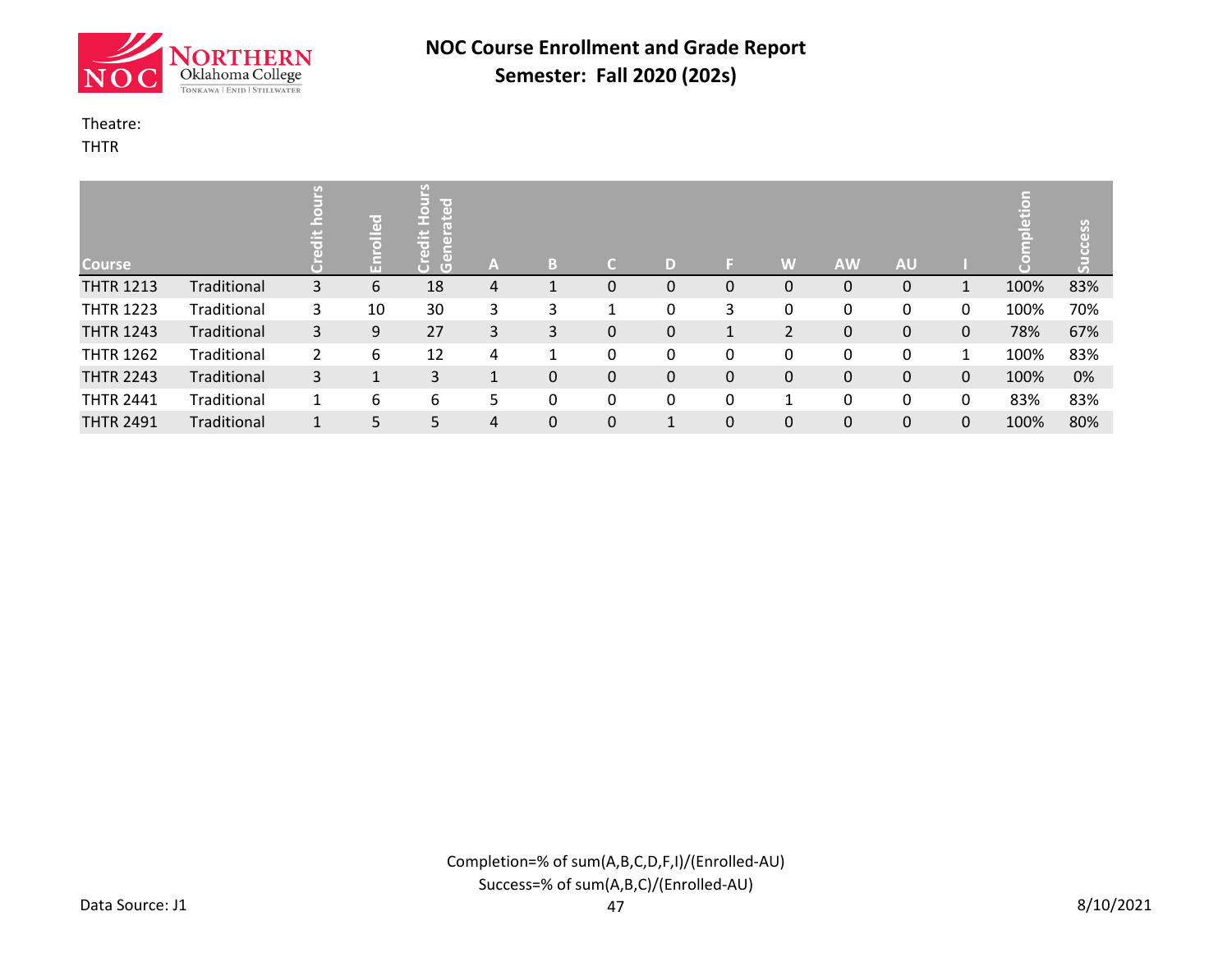![](_page_45_Picture_0.jpeg)

#### Theatre:

THTR

| <b>Course</b>    |             |                | ᄝ<br>$\overline{\bullet}$<br>Æ | $\overline{a}$<br>е<br>E<br>$\overline{(\bullet)}$<br>$\overline{a}$<br>$\overline{a}$<br>$\overline{G}$ | ÆV | B         | d |                    |              | W | <b>AW</b> | <b>AU</b> |   | $\ddot{a}$ | ess |
|------------------|-------------|----------------|--------------------------------|----------------------------------------------------------------------------------------------------------|----|-----------|---|--------------------|--------------|---|-----------|-----------|---|------------|-----|
| <b>THTR 1213</b> | Traditional | 3              | 6                              | 18                                                                                                       | 4  |           | 0 | 0                  | 0            | 0 | 0         | 0         |   | 100%       | 83% |
| <b>THTR 1223</b> | Traditional | 3              | 10                             | 30                                                                                                       | 3  | 3         | 1 |                    | 3            | 0 | 0         | 0         | 0 | 100%       | 70% |
| <b>THTR 1243</b> | Traditional | 3              | 9                              | 27                                                                                                       | 3  | 3         | 0 | $\Omega$           | $\mathbf{1}$ | 2 | 0         | 0         | 0 | 78%        | 67% |
| <b>THTR 1262</b> | Traditional | $\overline{2}$ | 6                              | 12                                                                                                       | 4  | 1         | 0 | 0                  | 0            | 0 | 0         | 0         | 1 | 100%       | 83% |
| <b>THTR 2243</b> | Traditional | 3              | J.                             | 3                                                                                                        |    | 0         | 0 | 0                  | 0            | 0 | 0         | 0         | 0 | 100%       | 0%  |
| <b>THTR 2441</b> | Traditional |                | 6                              | 6                                                                                                        | 5  | 0         | 0 | 0                  | 0            |   | 0         | 0         | 0 | 83%        | 83% |
| <b>THTR 2491</b> | Traditional | $\mathbf{1}$   | 5                              | 5.                                                                                                       | 4  | $\pmb{0}$ | 0 | $\mathbf{\Lambda}$ | 0            | 0 | 0         | 0         | 0 | 100%       | 80% |